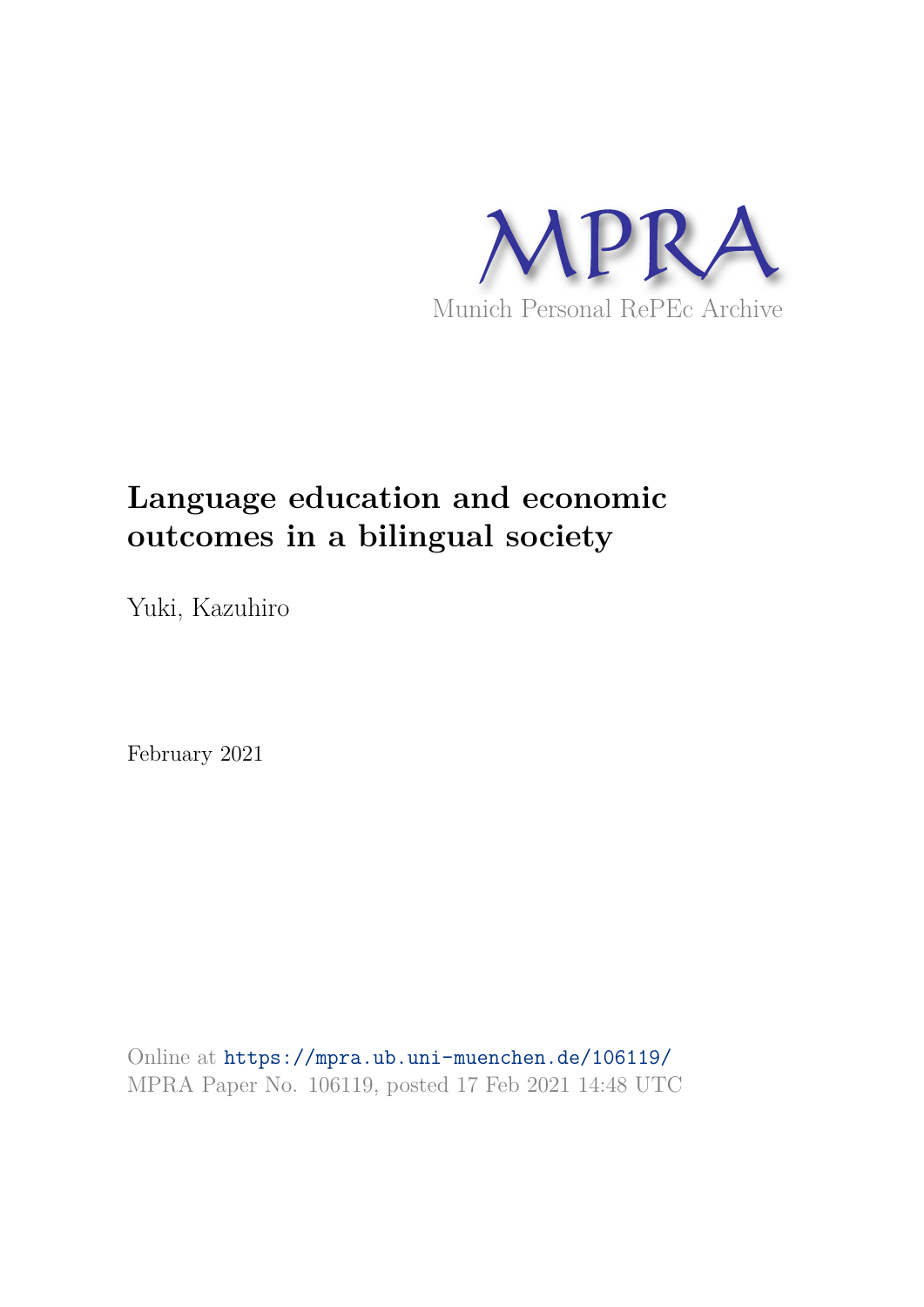

# **Language education and economic outcomes in a bilingual society**

Yuki, Kazuhiro

February 2021

Online at https://mpra.ub.uni-muenchen.de/106119/ MPRA Paper No. 106119, posted 17 Feb 2021 14:48 UTC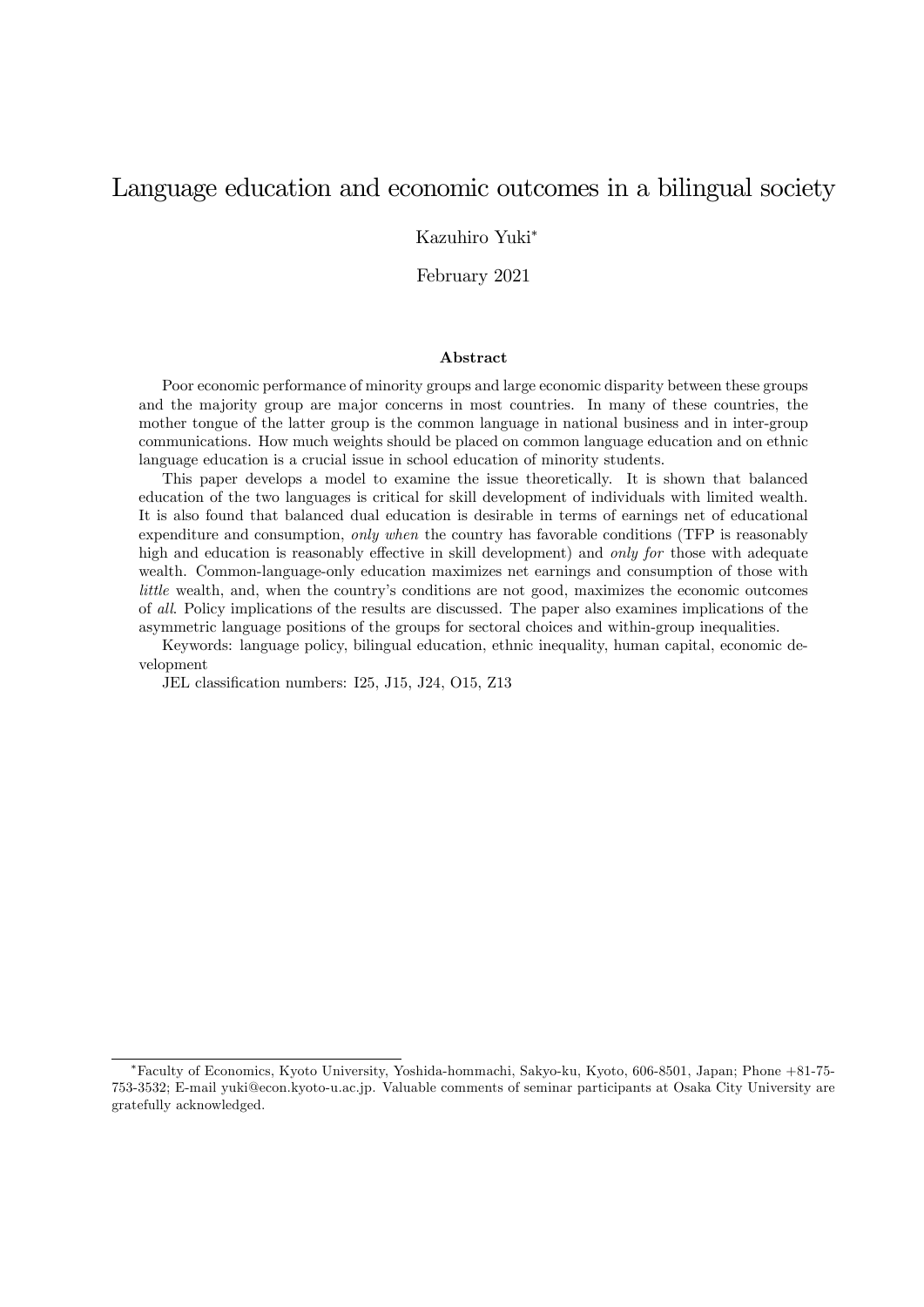# Language education and economic outcomes in a bilingual society

Kazuhiro Yuki

February 2021

#### Abstract

Poor economic performance of minority groups and large economic disparity between these groups and the majority group are major concerns in most countries. In many of these countries, the mother tongue of the latter group is the common language in national business and in inter-group communications. How much weights should be placed on common language education and on ethnic language education is a crucial issue in school education of minority students.

This paper develops a model to examine the issue theoretically. It is shown that balanced education of the two languages is critical for skill development of individuals with limited wealth. It is also found that balanced dual education is desirable in terms of earnings net of educational expenditure and consumption, only when the country has favorable conditions (TFP is reasonably high and education is reasonably effective in skill development) and only for those with adequate wealth. Common-language-only education maximizes net earnings and consumption of those with little wealth, and, when the country's conditions are not good, maximizes the economic outcomes of all. Policy implications of the results are discussed. The paper also examines implications of the asymmetric language positions of the groups for sectoral choices and within-group inequalities.

Keywords: language policy, bilingual education, ethnic inequality, human capital, economic development

JEL classification numbers: I25, J15, J24, O15, Z13

Faculty of Economics, Kyoto University, Yoshida-hommachi, Sakyo-ku, Kyoto, 606-8501, Japan; Phone +81-75- 753-3532; E-mail yuki@econ.kyoto-u.ac.jp. Valuable comments of seminar participants at Osaka City University are gratefully acknowledged.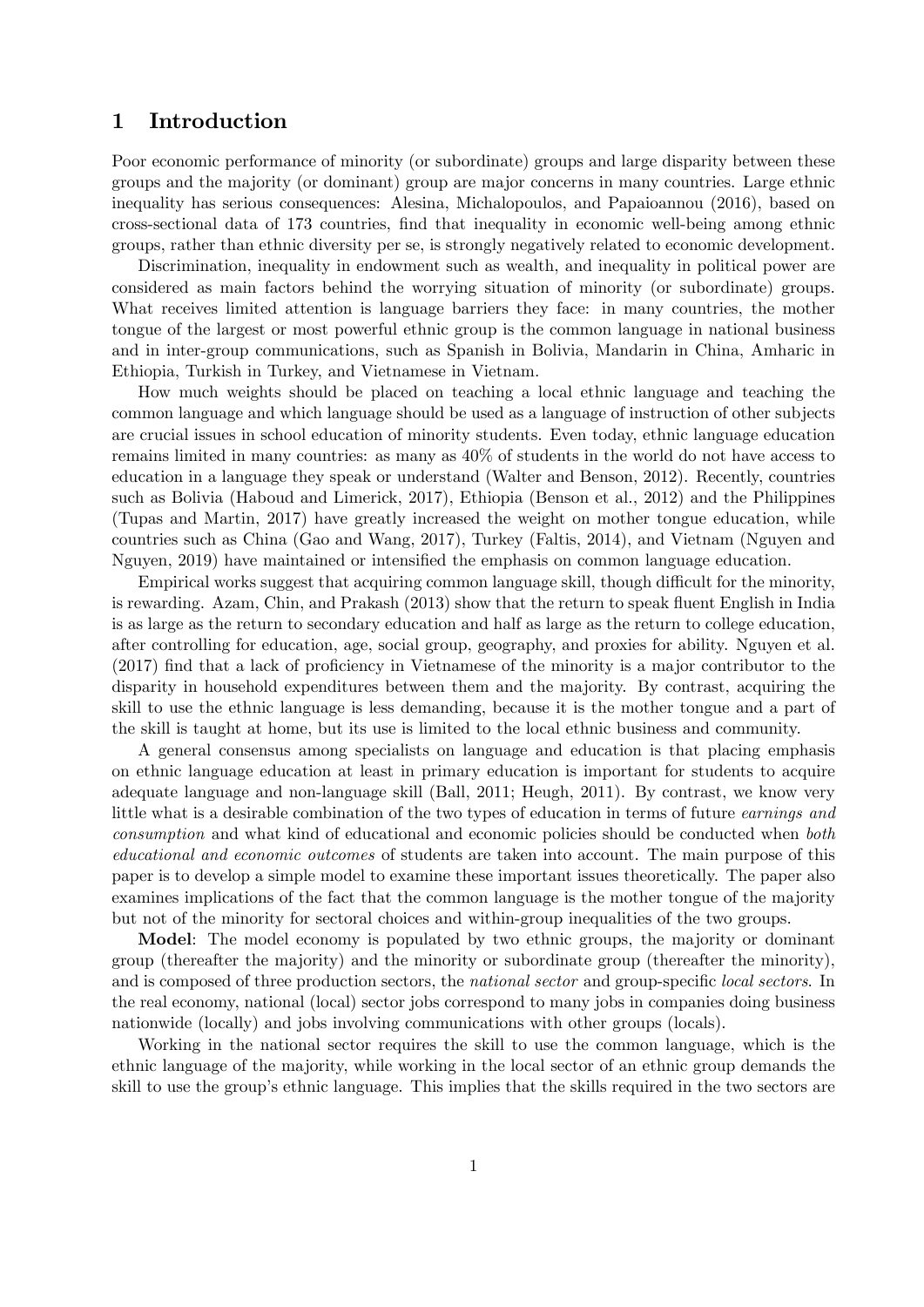# 1 Introduction

Poor economic performance of minority (or subordinate) groups and large disparity between these groups and the majority (or dominant) group are major concerns in many countries. Large ethnic inequality has serious consequences: Alesina, Michalopoulos, and Papaioannou (2016), based on cross-sectional data of 173 countries, Önd that inequality in economic well-being among ethnic groups, rather than ethnic diversity per se, is strongly negatively related to economic development.

Discrimination, inequality in endowment such as wealth, and inequality in political power are considered as main factors behind the worrying situation of minority (or subordinate) groups. What receives limited attention is language barriers they face: in many countries, the mother tongue of the largest or most powerful ethnic group is the common language in national business and in inter-group communications, such as Spanish in Bolivia, Mandarin in China, Amharic in Ethiopia, Turkish in Turkey, and Vietnamese in Vietnam.

How much weights should be placed on teaching a local ethnic language and teaching the common language and which language should be used as a language of instruction of other subjects are crucial issues in school education of minority students. Even today, ethnic language education remains limited in many countries: as many as 40% of students in the world do not have access to education in a language they speak or understand (Walter and Benson, 2012). Recently, countries such as Bolivia (Haboud and Limerick, 2017), Ethiopia (Benson et al., 2012) and the Philippines (Tupas and Martin, 2017) have greatly increased the weight on mother tongue education, while countries such as China (Gao and Wang, 2017), Turkey (Faltis, 2014), and Vietnam (Nguyen and Nguyen, 2019) have maintained or intensified the emphasis on common language education.

Empirical works suggest that acquiring common language skill, though difficult for the minority, is rewarding. Azam, Chin, and Prakash (2013) show that the return to speak fluent English in India is as large as the return to secondary education and half as large as the return to college education, after controlling for education, age, social group, geography, and proxies for ability. Nguyen et al.  $(2017)$  find that a lack of proficiency in Vietnamese of the minority is a major contributor to the disparity in household expenditures between them and the majority. By contrast, acquiring the skill to use the ethnic language is less demanding, because it is the mother tongue and a part of the skill is taught at home, but its use is limited to the local ethnic business and community.

A general consensus among specialists on language and education is that placing emphasis on ethnic language education at least in primary education is important for students to acquire adequate language and non-language skill (Ball, 2011; Heugh, 2011). By contrast, we know very little what is a desirable combination of the two types of education in terms of future earnings and consumption and what kind of educational and economic policies should be conducted when both educational and economic outcomes of students are taken into account. The main purpose of this paper is to develop a simple model to examine these important issues theoretically. The paper also examines implications of the fact that the common language is the mother tongue of the majority but not of the minority for sectoral choices and within-group inequalities of the two groups.

Model: The model economy is populated by two ethnic groups, the majority or dominant group (thereafter the majority) and the minority or subordinate group (thereafter the minority), and is composed of three production sectors, the *national sector* and group-specific *local sectors*. In the real economy, national (local) sector jobs correspond to many jobs in companies doing business nationwide (locally) and jobs involving communications with other groups (locals).

Working in the national sector requires the skill to use the common language, which is the ethnic language of the majority, while working in the local sector of an ethnic group demands the skill to use the group's ethnic language. This implies that the skills required in the two sectors are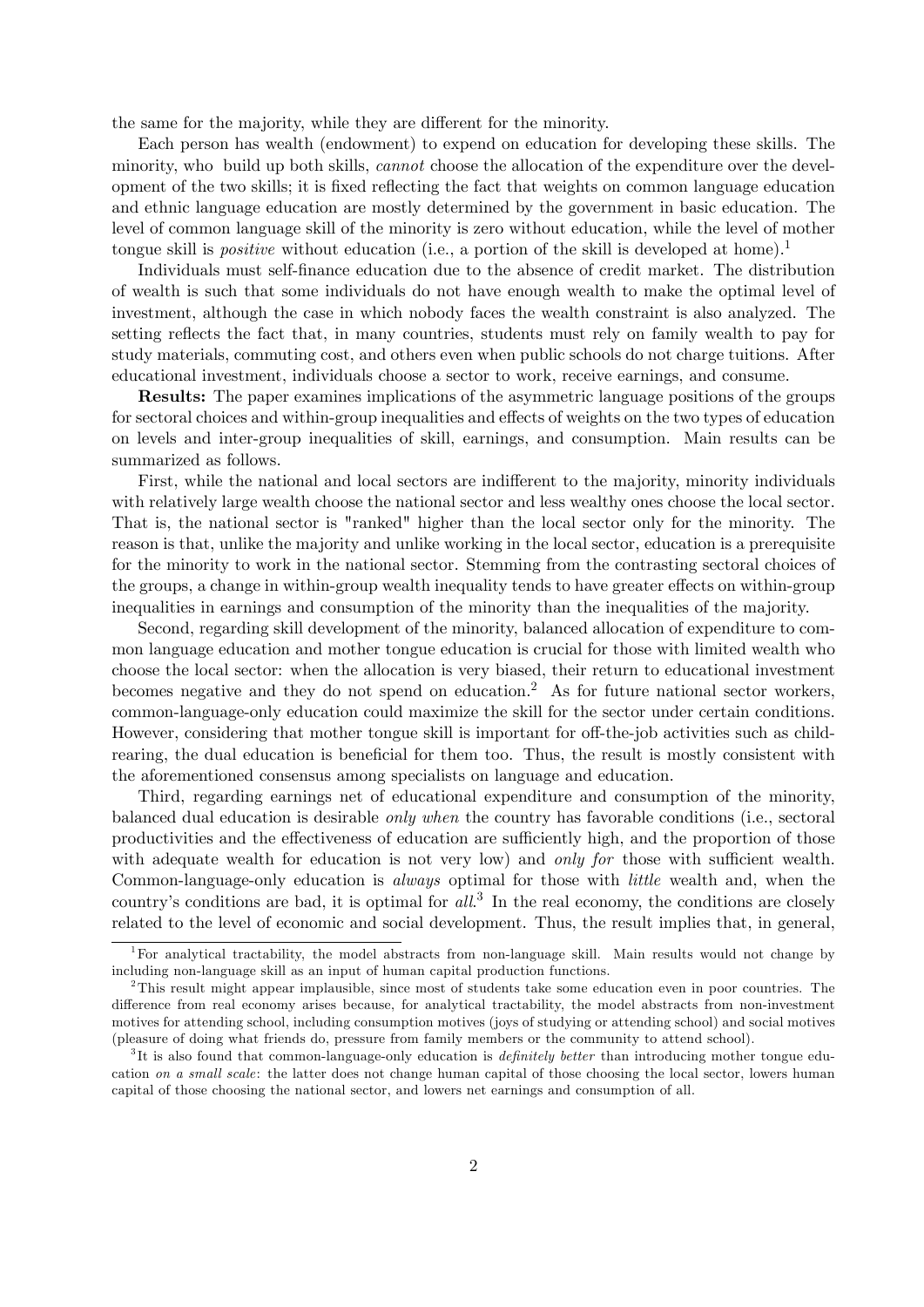the same for the majority, while they are different for the minority.

Each person has wealth (endowment) to expend on education for developing these skills. The minority, who build up both skills, *cannot* choose the allocation of the expenditure over the development of the two skills; it is fixed reflecting the fact that weights on common language education and ethnic language education are mostly determined by the government in basic education. The level of common language skill of the minority is zero without education, while the level of mother tongue skill is *positive* without education (i.e., a portion of the skill is developed at home).<sup>1</sup>

Individuals must self-Önance education due to the absence of credit market. The distribution of wealth is such that some individuals do not have enough wealth to make the optimal level of investment, although the case in which nobody faces the wealth constraint is also analyzed. The setting reflects the fact that, in many countries, students must rely on family wealth to pay for study materials, commuting cost, and others even when public schools do not charge tuitions. After educational investment, individuals choose a sector to work, receive earnings, and consume.

Results: The paper examines implications of the asymmetric language positions of the groups for sectoral choices and within-group inequalities and effects of weights on the two types of education on levels and inter-group inequalities of skill, earnings, and consumption. Main results can be summarized as follows.

First, while the national and local sectors are indifferent to the majority, minority individuals with relatively large wealth choose the national sector and less wealthy ones choose the local sector. That is, the national sector is "ranked" higher than the local sector only for the minority. The reason is that, unlike the majority and unlike working in the local sector, education is a prerequisite for the minority to work in the national sector. Stemming from the contrasting sectoral choices of the groups, a change in within-group wealth inequality tends to have greater effects on within-group inequalities in earnings and consumption of the minority than the inequalities of the majority.

Second, regarding skill development of the minority, balanced allocation of expenditure to common language education and mother tongue education is crucial for those with limited wealth who choose the local sector: when the allocation is very biased, their return to educational investment becomes negative and they do not spend on education.<sup>2</sup> As for future national sector workers, common-language-only education could maximize the skill for the sector under certain conditions. However, considering that mother tongue skill is important for off-the-job activities such as childrearing, the dual education is beneficial for them too. Thus, the result is mostly consistent with the aforementioned consensus among specialists on language and education.

Third, regarding earnings net of educational expenditure and consumption of the minority, balanced dual education is desirable only when the country has favorable conditions (i.e., sectoral productivities and the effectiveness of education are sufficiently high, and the proportion of those with adequate wealth for education is not very low) and only for those with sufficient wealth. Common-language-only education is always optimal for those with little wealth and, when the country's conditions are bad, it is optimal for  $all$ <sup>3</sup>. In the real economy, the conditions are closely related to the level of economic and social development. Thus, the result implies that, in general,

<sup>&</sup>lt;sup>1</sup>For analytical tractability, the model abstracts from non-language skill. Main results would not change by including non-language skill as an input of human capital production functions.

<sup>2</sup>This result might appear implausible, since most of students take some education even in poor countries. The difference from real economy arises because, for analytical tractability, the model abstracts from non-investment motives for attending school, including consumption motives (joys of studying or attending school) and social motives (pleasure of doing what friends do, pressure from family members or the community to attend school).

 ${}^{3}$ It is also found that common-language-only education is *definitely better* than introducing mother tongue education on a small scale: the latter does not change human capital of those choosing the local sector, lowers human capital of those choosing the national sector, and lowers net earnings and consumption of all.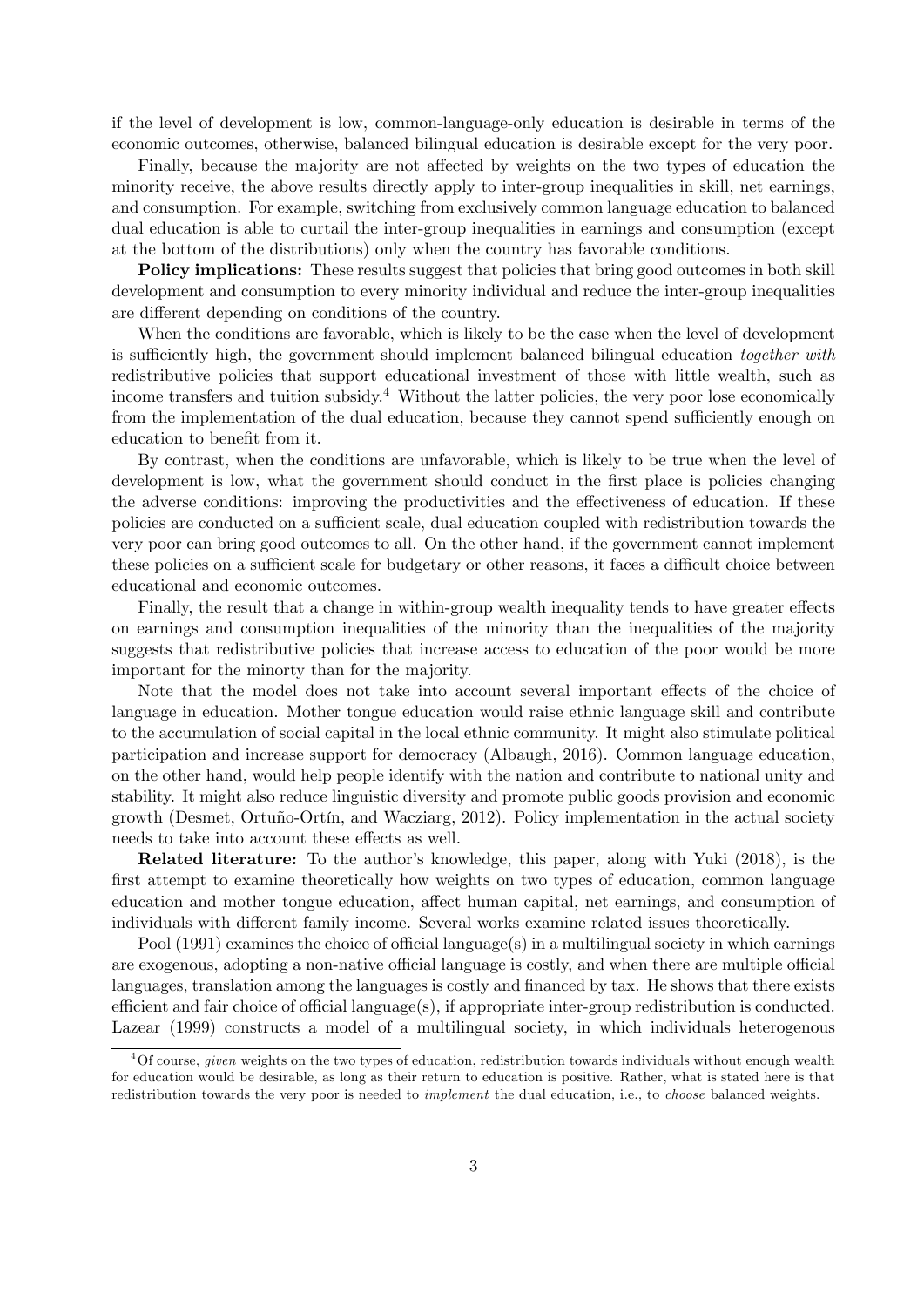if the level of development is low, common-language-only education is desirable in terms of the economic outcomes, otherwise, balanced bilingual education is desirable except for the very poor.

Finally, because the majority are not affected by weights on the two types of education the minority receive, the above results directly apply to inter-group inequalities in skill, net earnings, and consumption. For example, switching from exclusively common language education to balanced dual education is able to curtail the inter-group inequalities in earnings and consumption (except at the bottom of the distributions) only when the country has favorable conditions.

**Policy implications:** These results suggest that policies that bring good outcomes in both skill development and consumption to every minority individual and reduce the inter-group inequalities are different depending on conditions of the country.

When the conditions are favorable, which is likely to be the case when the level of development is sufficiently high, the government should implement balanced bilingual education together with redistributive policies that support educational investment of those with little wealth, such as income transfers and tuition subsidy.<sup>4</sup> Without the latter policies, the very poor lose economically from the implementation of the dual education, because they cannot spend sufficiently enough on education to benefit from it.

By contrast, when the conditions are unfavorable, which is likely to be true when the level of development is low, what the government should conduct in the first place is policies changing the adverse conditions: improving the productivities and the effectiveness of education. If these policies are conducted on a sufficient scale, dual education coupled with redistribution towards the very poor can bring good outcomes to all. On the other hand, if the government cannot implement these policies on a sufficient scale for budgetary or other reasons, it faces a difficult choice between educational and economic outcomes.

Finally, the result that a change in within-group wealth inequality tends to have greater effects on earnings and consumption inequalities of the minority than the inequalities of the majority suggests that redistributive policies that increase access to education of the poor would be more important for the minorty than for the majority.

Note that the model does not take into account several important effects of the choice of language in education. Mother tongue education would raise ethnic language skill and contribute to the accumulation of social capital in the local ethnic community. It might also stimulate political participation and increase support for democracy (Albaugh, 2016). Common language education, on the other hand, would help people identify with the nation and contribute to national unity and stability. It might also reduce linguistic diversity and promote public goods provision and economic growth (Desmet, Ortuño-Ortín, and Wacziarg, 2012). Policy implementation in the actual society needs to take into account these effects as well.

Related literature: To the author's knowledge, this paper, along with Yuki (2018), is the first attempt to examine theoretically how weights on two types of education, common language education and mother tongue education, affect human capital, net earnings, and consumption of individuals with different family income. Several works examine related issues theoretically.

Pool  $(1991)$  examines the choice of official language(s) in a multilingual society in which earnings are exogenous, adopting a non-native official language is costly, and when there are multiple official languages, translation among the languages is costly and financed by tax. He shows that there exists efficient and fair choice of official language $(s)$ , if appropriate inter-group redistribution is conducted. Lazear (1999) constructs a model of a multilingual society, in which individuals heterogenous

 ${}^{4}$ Of course, *given* weights on the two types of education, redistribution towards individuals without enough wealth for education would be desirable, as long as their return to education is positive. Rather, what is stated here is that redistribution towards the very poor is needed to *implement* the dual education, i.e., to *choose* balanced weights.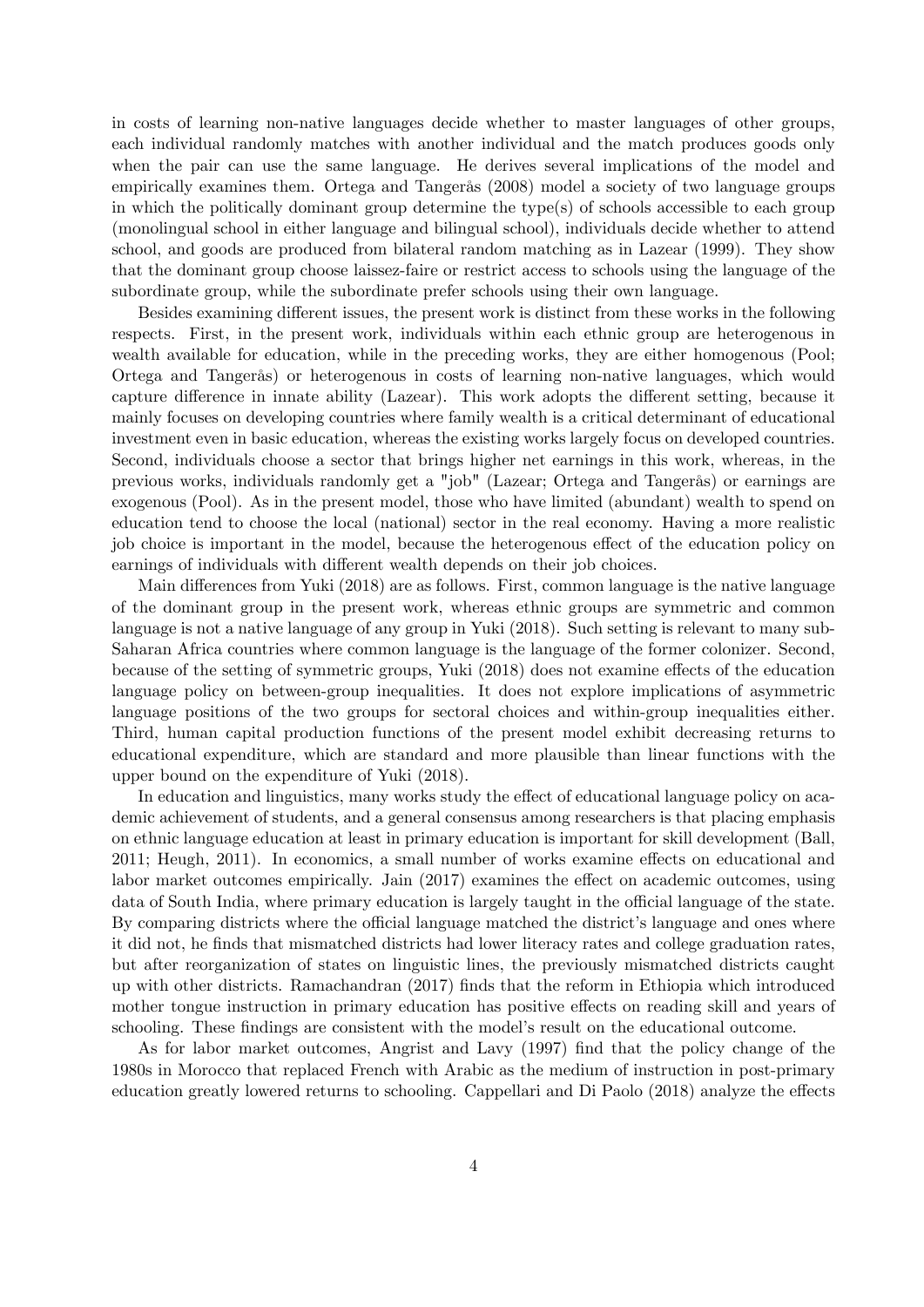in costs of learning non-native languages decide whether to master languages of other groups, each individual randomly matches with another individual and the match produces goods only when the pair can use the same language. He derives several implications of the model and empirically examines them. Ortega and Tangerås (2008) model a society of two language groups in which the politically dominant group determine the type(s) of schools accessible to each group (monolingual school in either language and bilingual school), individuals decide whether to attend school, and goods are produced from bilateral random matching as in Lazear (1999). They show that the dominant group choose laissez-faire or restrict access to schools using the language of the subordinate group, while the subordinate prefer schools using their own language.

Besides examining different issues, the present work is distinct from these works in the following respects. First, in the present work, individuals within each ethnic group are heterogenous in wealth available for education, while in the preceding works, they are either homogenous (Pool; Ortega and TangerÂs) or heterogenous in costs of learning non-native languages, which would capture difference in innate ability (Lazear). This work adopts the different setting, because it mainly focuses on developing countries where family wealth is a critical determinant of educational investment even in basic education, whereas the existing works largely focus on developed countries. Second, individuals choose a sector that brings higher net earnings in this work, whereas, in the previous works, individuals randomly get a "job" (Lazear; Ortega and TangerÂs) or earnings are exogenous (Pool). As in the present model, those who have limited (abundant) wealth to spend on education tend to choose the local (national) sector in the real economy. Having a more realistic job choice is important in the model, because the heterogenous effect of the education policy on earnings of individuals with different wealth depends on their job choices.

Main differences from Yuki (2018) are as follows. First, common language is the native language of the dominant group in the present work, whereas ethnic groups are symmetric and common language is not a native language of any group in Yuki (2018). Such setting is relevant to many sub-Saharan Africa countries where common language is the language of the former colonizer. Second, because of the setting of symmetric groups, Yuki (2018) does not examine effects of the education language policy on between-group inequalities. It does not explore implications of asymmetric language positions of the two groups for sectoral choices and within-group inequalities either. Third, human capital production functions of the present model exhibit decreasing returns to educational expenditure, which are standard and more plausible than linear functions with the upper bound on the expenditure of Yuki (2018).

In education and linguistics, many works study the effect of educational language policy on academic achievement of students, and a general consensus among researchers is that placing emphasis on ethnic language education at least in primary education is important for skill development (Ball,  $2011$ ; Heugh,  $2011$ ). In economics, a small number of works examine effects on educational and labor market outcomes empirically. Jain  $(2017)$  examines the effect on academic outcomes, using data of South India, where primary education is largely taught in the official language of the state. By comparing districts where the official language matched the district's language and ones where it did not, he finds that mismatched districts had lower literacy rates and college graduation rates, but after reorganization of states on linguistic lines, the previously mismatched districts caught up with other districts. Ramachandran (2017) Önds that the reform in Ethiopia which introduced mother tongue instruction in primary education has positive effects on reading skill and years of schooling. These findings are consistent with the model's result on the educational outcome.

As for labor market outcomes, Angrist and Lavy (1997) Önd that the policy change of the 1980s in Morocco that replaced French with Arabic as the medium of instruction in post-primary education greatly lowered returns to schooling. Cappellari and Di Paolo (2018) analyze the effects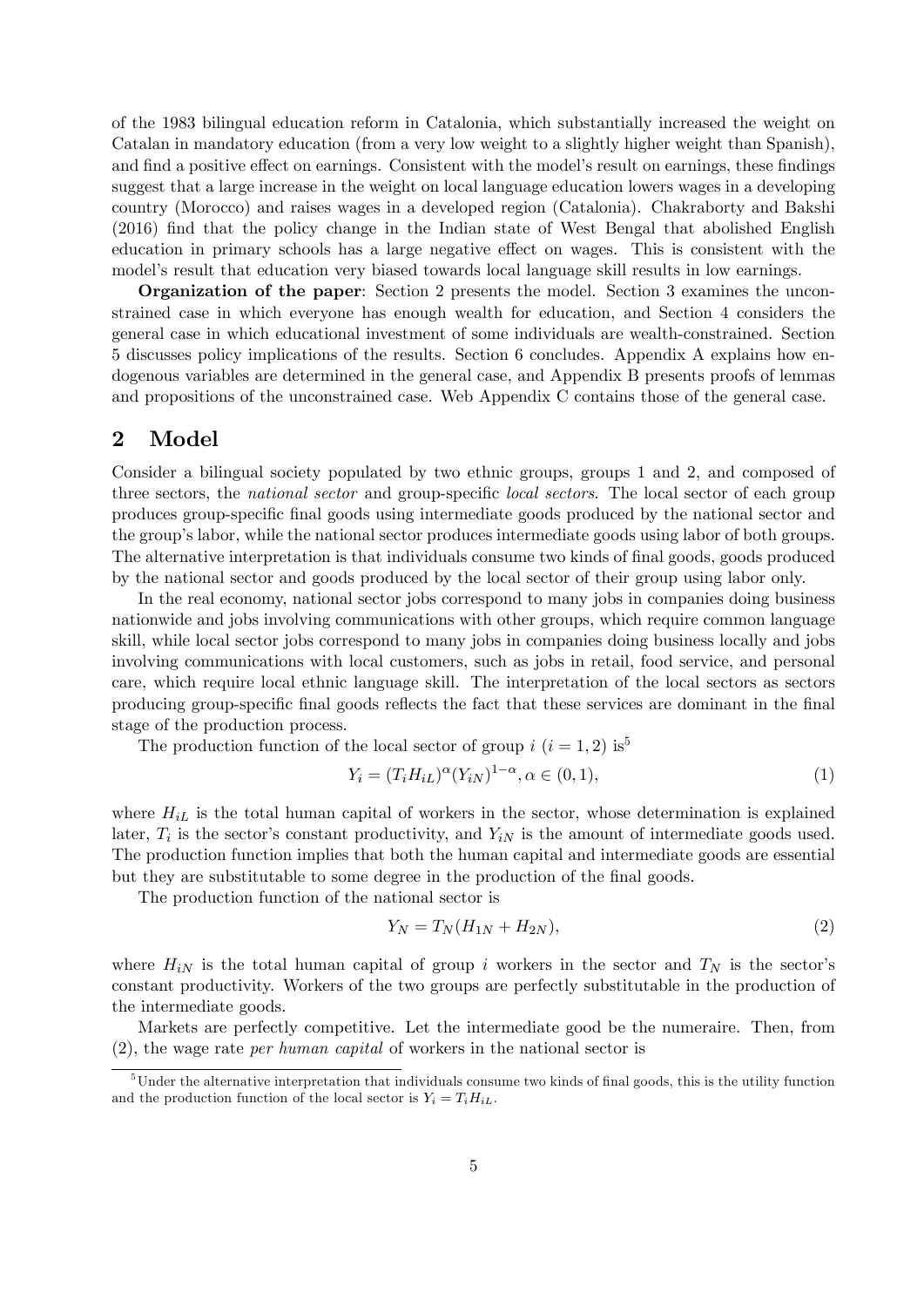of the 1983 bilingual education reform in Catalonia, which substantially increased the weight on Catalan in mandatory education (from a very low weight to a slightly higher weight than Spanish), and find a positive effect on earnings. Consistent with the model's result on earnings, these findings suggest that a large increase in the weight on local language education lowers wages in a developing country (Morocco) and raises wages in a developed region (Catalonia). Chakraborty and Bakshi (2016) Önd that the policy change in the Indian state of West Bengal that abolished English education in primary schools has a large negative effect on wages. This is consistent with the model's result that education very biased towards local language skill results in low earnings.

Organization of the paper: Section 2 presents the model. Section 3 examines the unconstrained case in which everyone has enough wealth for education, and Section 4 considers the general case in which educational investment of some individuals are wealth-constrained. Section 5 discusses policy implications of the results. Section 6 concludes. Appendix A explains how endogenous variables are determined in the general case, and Appendix B presents proofs of lemmas and propositions of the unconstrained case. Web Appendix C contains those of the general case.

# 2 Model

Consider a bilingual society populated by two ethnic groups, groups 1 and 2, and composed of three sectors, the *national sector* and group-specific *local sectors*. The local sector of each group produces group-specific final goods using intermediate goods produced by the national sector and the groupís labor, while the national sector produces intermediate goods using labor of both groups. The alternative interpretation is that individuals consume two kinds of final goods, goods produced by the national sector and goods produced by the local sector of their group using labor only.

In the real economy, national sector jobs correspond to many jobs in companies doing business nationwide and jobs involving communications with other groups, which require common language skill, while local sector jobs correspond to many jobs in companies doing business locally and jobs involving communications with local customers, such as jobs in retail, food service, and personal care, which require local ethnic language skill. The interpretation of the local sectors as sectors producing group-specific final goods reflects the fact that these services are dominant in the final stage of the production process.

The production function of the local sector of group  $i$   $(i = 1, 2)$  is<sup>5</sup>

$$
Y_i = (T_i H_{iL})^{\alpha} (Y_{iN})^{1-\alpha}, \alpha \in (0,1), \tag{1}
$$

where  $H_{iL}$  is the total human capital of workers in the sector, whose determination is explained later,  $T_i$  is the sector's constant productivity, and  $Y_{iN}$  is the amount of intermediate goods used. The production function implies that both the human capital and intermediate goods are essential but they are substitutable to some degree in the production of the final goods.

The production function of the national sector is

$$
Y_N = T_N(H_{1N} + H_{2N}),
$$
\n(2)

where  $H_{iN}$  is the total human capital of group i workers in the sector and  $T_N$  is the sector's constant productivity. Workers of the two groups are perfectly substitutable in the production of the intermediate goods.

Markets are perfectly competitive. Let the intermediate good be the numeraire. Then, from (2), the wage rate per human capital of workers in the national sector is

 $5$ Under the alternative interpretation that individuals consume two kinds of final goods, this is the utility function and the production function of the local sector is  $Y_i = T_i H_{iL}$ .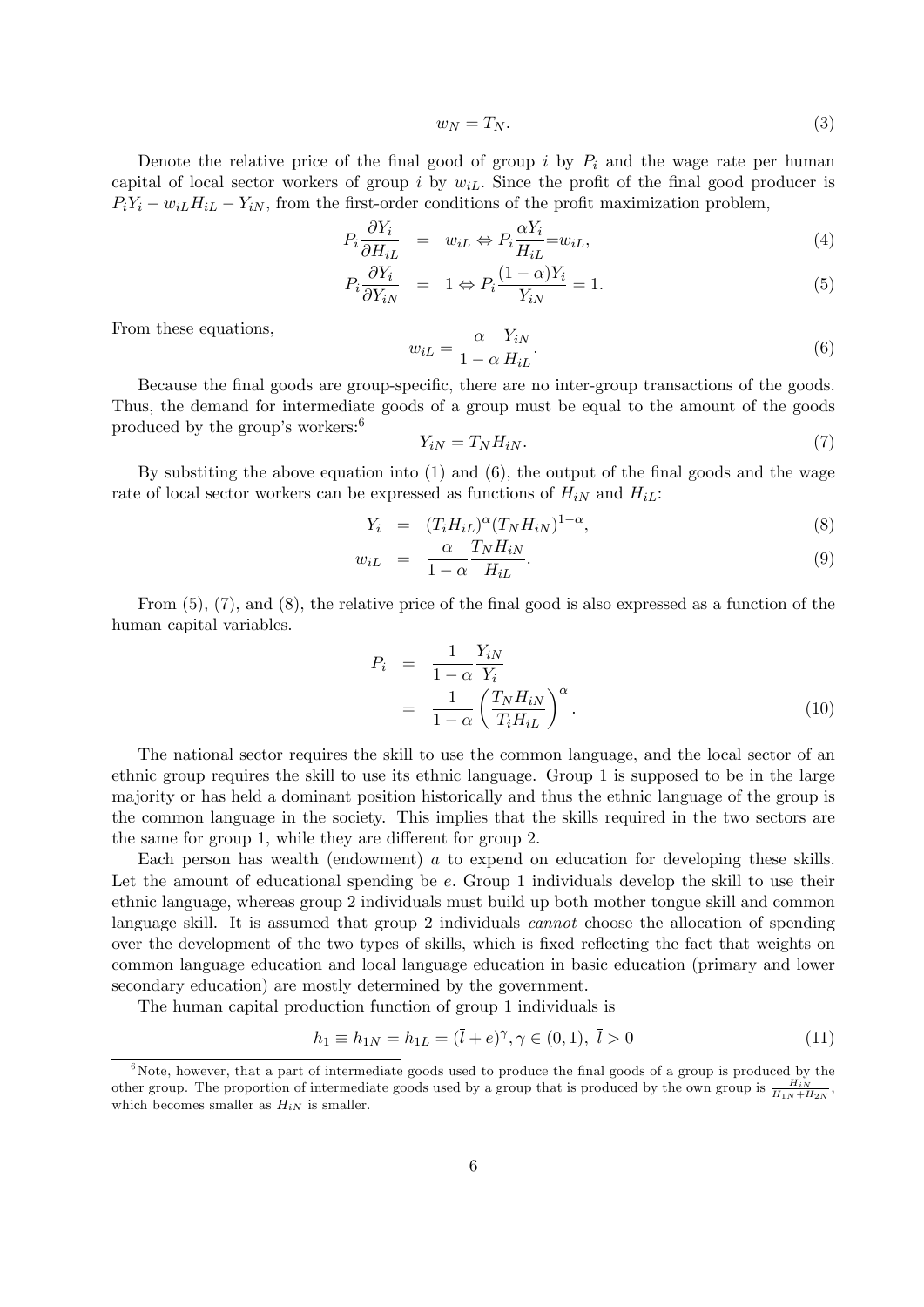$$
w_N = T_N. \tag{3}
$$

Denote the relative price of the final good of group i by  $P_i$  and the wage rate per human capital of local sector workers of group i by  $w_{iL}$ . Since the profit of the final good producer is  $P_iY_i - w_{iL}H_{iL} - Y_{iN}$ , from the first-order conditions of the profit maximization problem,

$$
P_i \frac{\partial Y_i}{\partial H_{iL}} = w_{iL} \Leftrightarrow P_i \frac{\alpha Y_i}{H_{iL}} = w_{iL},\tag{4}
$$

$$
P_i \frac{\partial Y_i}{\partial Y_{iN}} = 1 \Leftrightarrow P_i \frac{(1 - \alpha)Y_i}{Y_{iN}} = 1.
$$
\n<sup>(5)</sup>

From these equations,

$$
w_{iL} = \frac{\alpha}{1 - \alpha} \frac{Y_{iN}}{H_{iL}}.\tag{6}
$$

Because the final goods are group-specific, there are no inter-group transactions of the goods. Thus, the demand for intermediate goods of a group must be equal to the amount of the goods produced by the group's workers:  $6$ 

$$
Y_{iN} = T_N H_{iN}.\tag{7}
$$

By substiting the above equation into  $(1)$  and  $(6)$ , the output of the final goods and the wage rate of local sector workers can be expressed as functions of  $H_{iN}$  and  $H_{iL}$ :

$$
Y_i = (T_i H_{iL})^{\alpha} (T_N H_{iN})^{1-\alpha}, \qquad (8)
$$

$$
w_{iL} = \frac{\alpha}{1 - \alpha} \frac{T_N H_{iN}}{H_{iL}}.
$$
\n(9)

From  $(5)$ ,  $(7)$ , and  $(8)$ , the relative price of the final good is also expressed as a function of the human capital variables.

$$
P_i = \frac{1}{1 - \alpha} \frac{Y_{iN}}{Y_i}
$$
  
= 
$$
\frac{1}{1 - \alpha} \left( \frac{T_N H_{iN}}{T_i H_{iL}} \right)^{\alpha}.
$$
 (10)

The national sector requires the skill to use the common language, and the local sector of an ethnic group requires the skill to use its ethnic language. Group 1 is supposed to be in the large majority or has held a dominant position historically and thus the ethnic language of the group is the common language in the society. This implies that the skills required in the two sectors are the same for group 1, while they are different for group 2.

Each person has wealth (endowment) a to expend on education for developing these skills. Let the amount of educational spending be e. Group 1 individuals develop the skill to use their ethnic language, whereas group 2 individuals must build up both mother tongue skill and common language skill. It is assumed that group 2 individuals *cannot* choose the allocation of spending over the development of the two types of skills, which is fixed reflecting the fact that weights on common language education and local language education in basic education (primary and lower secondary education) are mostly determined by the government.

The human capital production function of group 1 individuals is

$$
h_1 \equiv h_{1N} = h_{1L} = (\bar{l} + e)^\gamma, \gamma \in (0, 1), \ \bar{l} > 0 \tag{11}
$$

 $6$ Note, however, that a part of intermediate goods used to produce the final goods of a group is produced by the other group. The proportion of intermediate goods used by a group that is produced by the own group is  $\frac{H_{iN}}{H_{1N}+H_{2N}}$ . which becomes smaller as  $H_{iN}$  is smaller.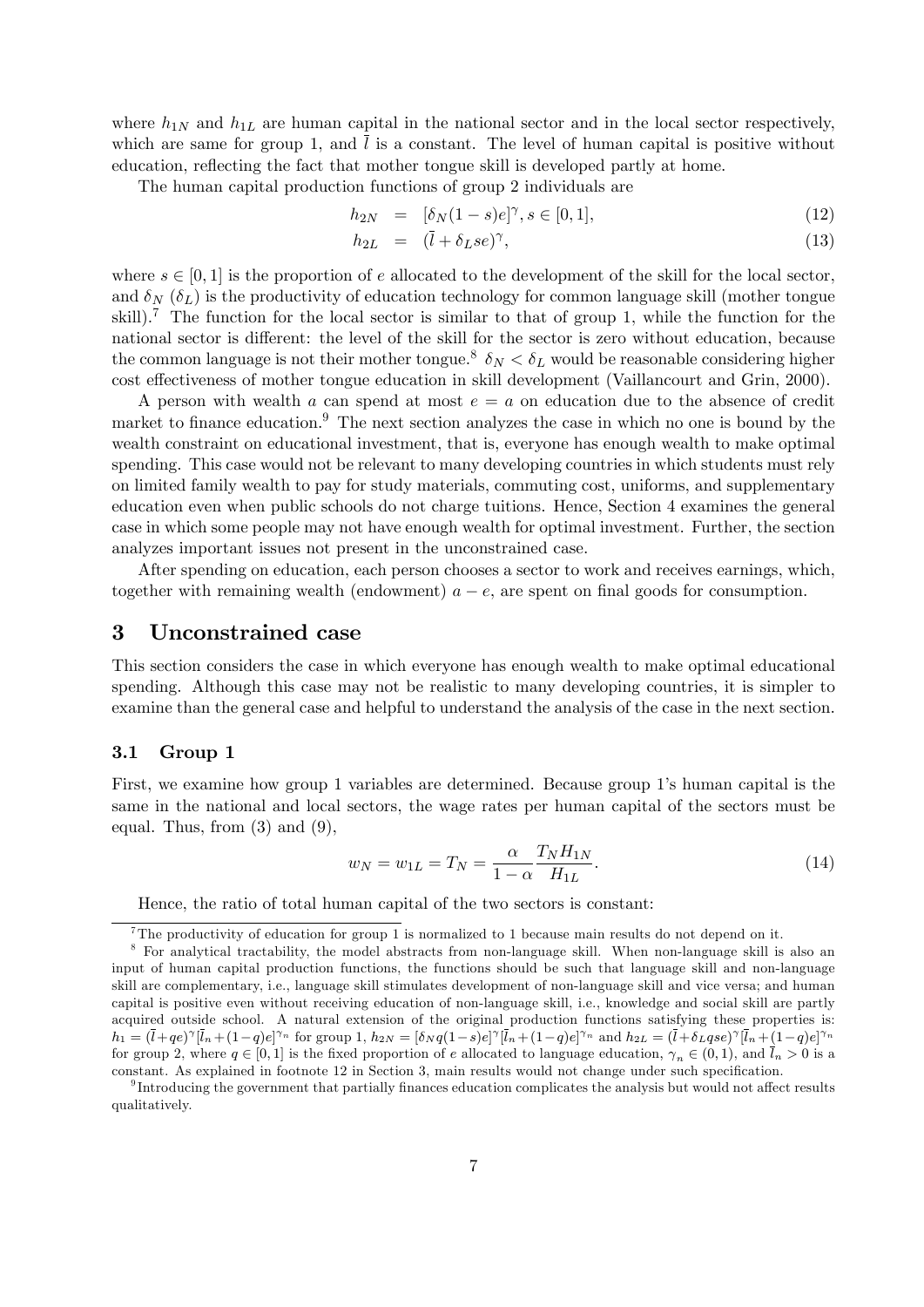where  $h_{1N}$  and  $h_{1L}$  are human capital in the national sector and in the local sector respectively, which are same for group 1, and  $\overline{l}$  is a constant. The level of human capital is positive without education, reflecting the fact that mother tongue skill is developed partly at home.

The human capital production functions of group 2 individuals are

$$
h_{2N} = [\delta_N(1-s)e]^\gamma, s \in [0,1], \tag{12}
$$

$$
h_{2L} = (\bar{l} + \delta_L s e)^{\gamma}, \tag{13}
$$

where  $s \in [0, 1]$  is the proportion of e allocated to the development of the skill for the local sector, and  $\delta_N$  ( $\delta_L$ ) is the productivity of education technology for common language skill (mother tongue skill).<sup>7</sup> The function for the local sector is similar to that of group 1, while the function for the national sector is different: the level of the skill for the sector is zero without education, because the common language is not their mother tongue.<sup>8</sup>  $\delta_N < \delta_L$  would be reasonable considering higher cost effectiveness of mother tongue education in skill development (Vaillancourt and Grin, 2000).

A person with wealth a can spend at most  $e = a$  on education due to the absence of credit market to finance education.<sup>9</sup> The next section analyzes the case in which no one is bound by the wealth constraint on educational investment, that is, everyone has enough wealth to make optimal spending. This case would not be relevant to many developing countries in which students must rely on limited family wealth to pay for study materials, commuting cost, uniforms, and supplementary education even when public schools do not charge tuitions. Hence, Section 4 examines the general case in which some people may not have enough wealth for optimal investment. Further, the section analyzes important issues not present in the unconstrained case.

After spending on education, each person chooses a sector to work and receives earnings, which, together with remaining wealth (endowment)  $a - e$ , are spent on final goods for consumption.

#### 3 Unconstrained case

This section considers the case in which everyone has enough wealth to make optimal educational spending. Although this case may not be realistic to many developing countries, it is simpler to examine than the general case and helpful to understand the analysis of the case in the next section.

#### 3.1 Group 1

First, we examine how group 1 variables are determined. Because group 1's human capital is the same in the national and local sectors, the wage rates per human capital of the sectors must be equal. Thus, from  $(3)$  and  $(9)$ ,

$$
w_N = w_{1L} = T_N = \frac{\alpha}{1 - \alpha} \frac{T_N H_{1N}}{H_{1L}}.
$$
\n(14)

Hence, the ratio of total human capital of the two sectors is constant:

<sup>7</sup>The productivity of education for group 1 is normalized to 1 because main results do not depend on it.

<sup>8</sup> For analytical tractability, the model abstracts from non-language skill. When non-language skill is also an input of human capital production functions, the functions should be such that language skill and non-language skill are complementary, i.e., language skill stimulates development of non-language skill and vice versa; and human capital is positive even without receiving education of non-language skill, i.e., knowledge and social skill are partly acquired outside school. A natural extension of the original production functions satisfying these properties is:  $h_1 = (\bar{l} + qe)^{\gamma}[\bar{l}_n + (1-q)e]^{\gamma_n}$  for group 1,  $h_{2N} = [\delta_N q(1-s)e]^{\gamma}[\bar{l}_n + (1-q)e]^{\gamma_n}$  and  $h_{2L} = (\bar{l} + \delta_L qse)^{\gamma}[\bar{l}_n + (1-q)e]^{\gamma_n}$ for group 2, where  $q \in [0,1]$  is the fixed proportion of e allocated to language education,  $\gamma_n \in (0,1)$ , and  $\bar{l}_n > 0$  is a constant. As explained in footnote 12 in Section 3, main results would not change under such specification.

 $^{9}$ Introducing the government that partially finances education complicates the analysis but would not affect results qualitatively.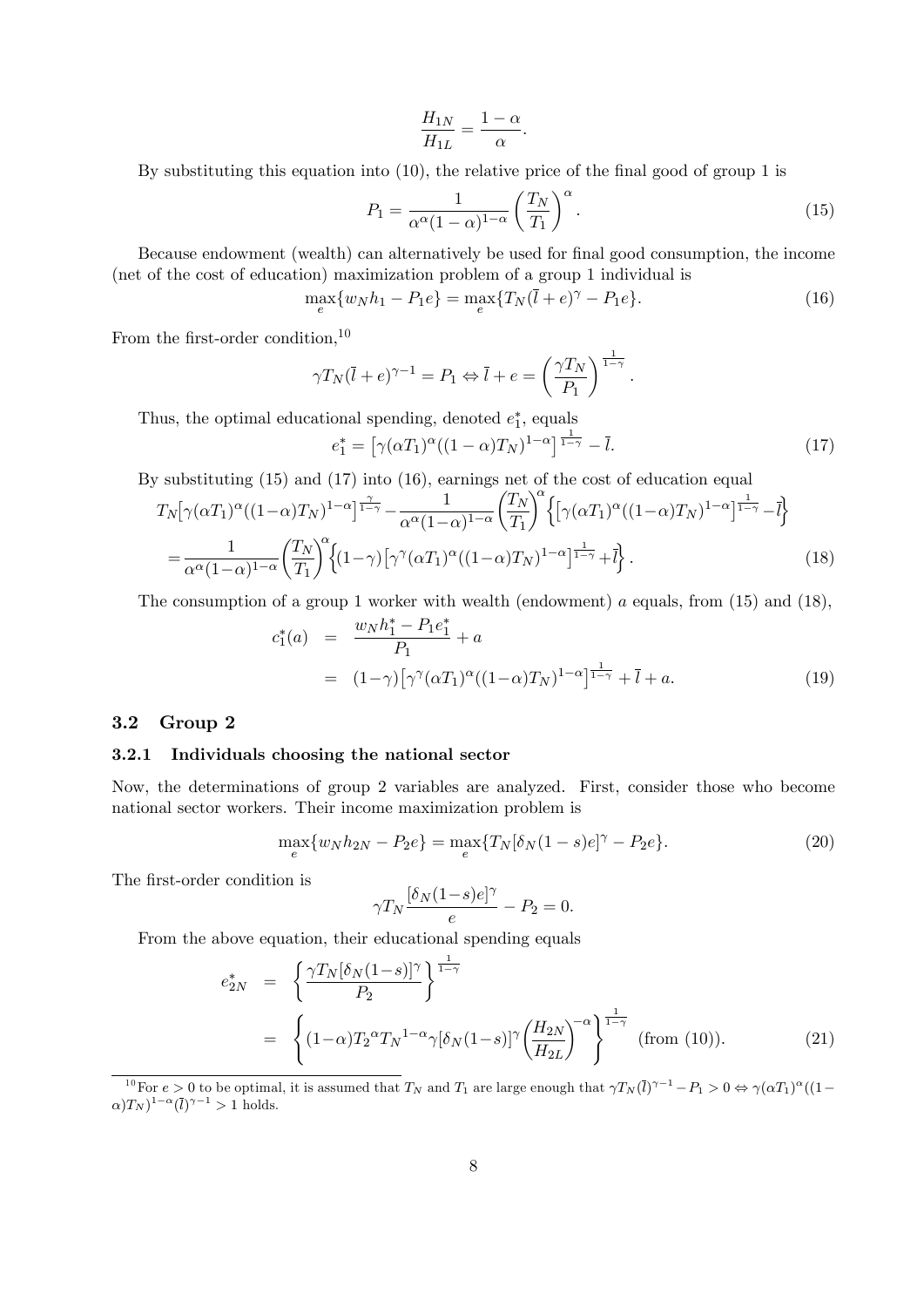$$
\frac{H_{1N}}{H_{1L}} = \frac{1 - \alpha}{\alpha}.
$$

By substituting this equation into  $(10)$ , the relative price of the final good of group 1 is

$$
P_1 = \frac{1}{\alpha^{\alpha} (1 - \alpha)^{1 - \alpha}} \left(\frac{T_N}{T_1}\right)^{\alpha}.
$$
\n(15)

Because endowment (wealth) can alternatively be used for final good consumption, the income (net of the cost of education) maximization problem of a group 1 individual is

$$
\max_{e} \{ w_N h_1 - P_1 e \} = \max_{e} \{ T_N (\bar{l} + e)^\gamma - P_1 e \}. \tag{16}
$$

From the first-order condition,  $10$ 

$$
\gamma T_N(\bar{l} + e)^{\gamma - 1} = P_1 \Leftrightarrow \bar{l} + e = \left(\frac{\gamma T_N}{P_1}\right)^{\frac{1}{1 - \gamma}}.
$$

Thus, the optimal educational spending, denoted  $e_1^*$ , equals

$$
e_1^* = \left[ \gamma(\alpha T_1)^{\alpha} ((1 - \alpha) T_N)^{1 - \alpha} \right]^{\frac{1}{1 - \gamma}} - \bar{l}.
$$
 (17)

By substituting (15) and (17) into (16), earnings net of the cost of education equal

$$
T_N[\gamma(\alpha T_1)^{\alpha}((1-\alpha)T_N)^{1-\alpha}]^{\frac{\gamma}{1-\gamma}} - \frac{1}{\alpha^{\alpha}(1-\alpha)^{1-\alpha}} \left(\frac{T_N}{T_1}\right)^{\alpha} \left\{ \left[\gamma(\alpha T_1)^{\alpha}((1-\alpha)T_N)^{1-\alpha}\right]^{\frac{1}{1-\gamma}} - \bar{l} \right\}
$$
  
= 
$$
\frac{1}{\alpha^{\alpha}(1-\alpha)^{1-\alpha}} \left(\frac{T_N}{T_1}\right)^{\alpha} \left\{ (1-\gamma) \left[\gamma^{\gamma}(\alpha T_1)^{\alpha}((1-\alpha)T_N)^{1-\alpha}\right]^{\frac{1}{1-\gamma}} + \bar{l} \right\}. \tag{18}
$$

The consumption of a group 1 worker with wealth (endowment) a equals, from  $(15)$  and  $(18)$ ,

$$
c_1^*(a) = \frac{w_N h_1^* - P_1 e_1^*}{P_1} + a
$$
  
=  $(1-\gamma) [\gamma^\gamma (\alpha T_1)^\alpha ((1-\alpha)T_N)^{1-\alpha}]^{\frac{1}{1-\gamma}} + \bar{l} + a.$  (19)

#### 3.2 Group 2

#### 3.2.1 Individuals choosing the national sector

Now, the determinations of group 2 variables are analyzed. First, consider those who become national sector workers. Their income maximization problem is

$$
\max_{e} \{ w_N h_{2N} - P_2 e \} = \max_{e} \{ T_N [\delta_N (1 - s) e]^\gamma - P_2 e \}.
$$
\n(20)

The first-order condition is

$$
\gamma T_N \frac{[\delta_N(1-s)e]^\gamma}{e} - P_2 = 0.
$$

From the above equation, their educational spending equals

$$
e_{2N}^* = \left\{ \frac{\gamma T_N[\delta_N(1-s)]^{\gamma}}{P_2} \right\}^{\frac{1}{1-\gamma}}
$$
  
= 
$$
\left\{ (1-\alpha)T_2^{\alpha}T_N^{1-\alpha} \gamma[\delta_N(1-s)]^{\gamma} \left( \frac{H_{2N}}{H_{2L}} \right)^{-\alpha} \right\}^{\frac{1}{1-\gamma}}
$$
 (from (10)). (21)

<sup>&</sup>lt;sup>10</sup>For  $e > 0$  to be optimal, it is assumed that  $T_N$  and  $T_1$  are large enough that  $\gamma T_N(\overline{l})^{\gamma-1} - P_1 > 0 \Leftrightarrow \gamma(\alpha T_1)^{\alpha}((1-\alpha)T_N)$  $(\alpha) T_N$ <sup>1- $\alpha$ </sup>( $\overline{l}$ )<sup> $\gamma-1$ </sup> > 1 holds.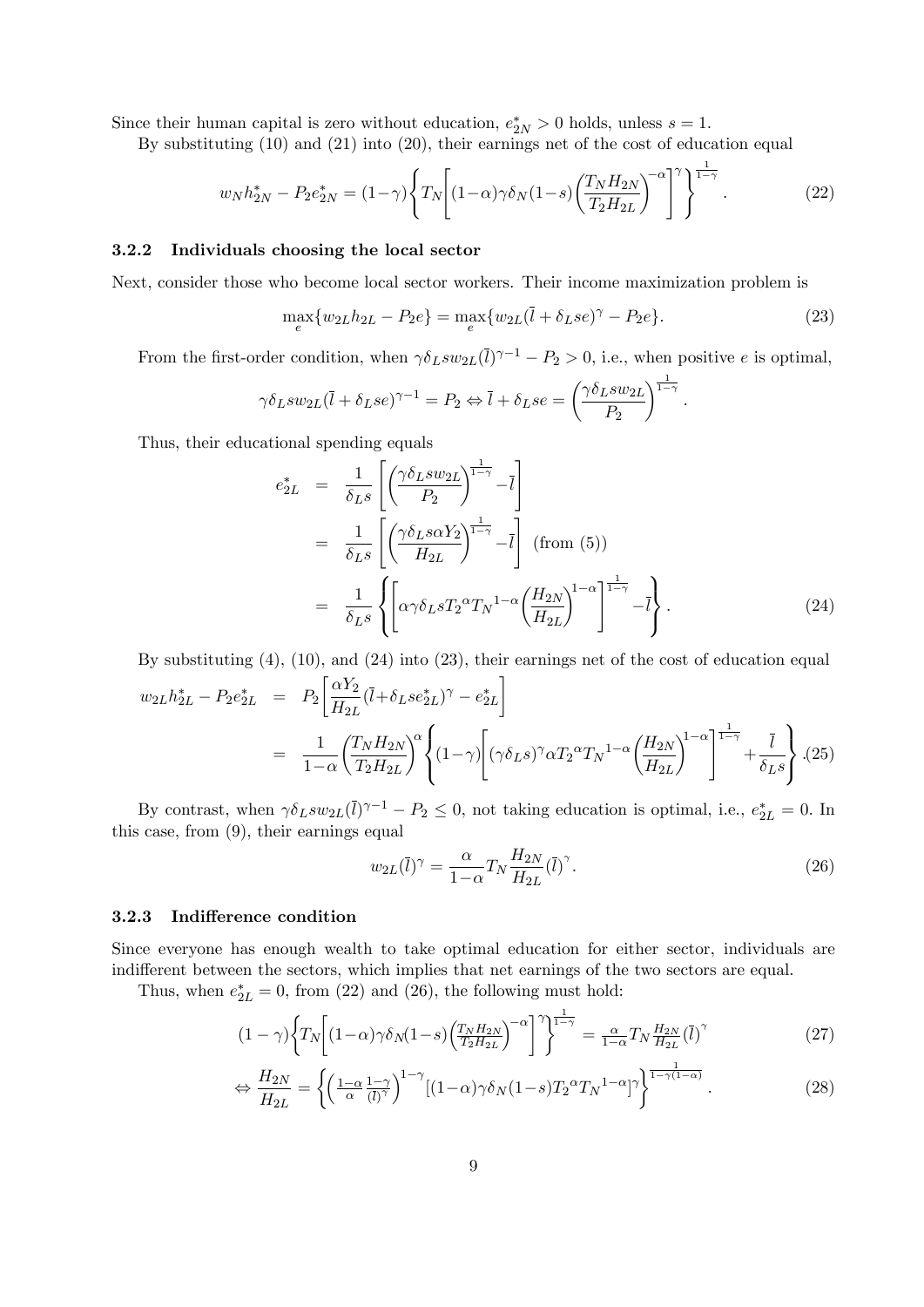Since their human capital is zero without education,  $e_{2N}^* > 0$  holds, unless  $s = 1$ .

By substituting (10) and (21) into (20), their earnings net of the cost of education equal

$$
w_N h_{2N}^* - P_2 e_{2N}^* = (1 - \gamma) \left\{ T_N \left[ (1 - \alpha) \gamma \delta_N (1 - s) \left( \frac{T_N H_{2N}}{T_2 H_{2L}} \right)^{-\alpha} \right]^\gamma \right\}^{\frac{1}{1 - \gamma}}.
$$
 (22)

#### 3.2.2 Individuals choosing the local sector

Next, consider those who become local sector workers. Their income maximization problem is

$$
\max_{e} \{ w_{2L} h_{2L} - P_2 e \} = \max_{e} \{ w_{2L} (\bar{l} + \delta_L s e)^{\gamma} - P_2 e \}.
$$
\n(23)

From the first-order condition, when  $\gamma \delta_L s w_{2L}(\bar{l})^{\gamma-1} - P_2 > 0$ , i.e., when positive e is optimal,

$$
\gamma \delta_L s w_{2L} (\bar{l} + \delta_L s e)^{\gamma - 1} = P_2 \Leftrightarrow \bar{l} + \delta_L s e = \left(\frac{\gamma \delta_L s w_{2L}}{P_2}\right)^{\frac{1}{1 - \gamma}}.
$$

Thus, their educational spending equals

 $1-\alpha$ 

$$
e_{2L}^{*} = \frac{1}{\delta_{LS}} \left[ \left( \frac{\gamma \delta_{LS} w_{2L}}{P_2} \right)^{\frac{1}{1-\gamma}} - \bar{l} \right]
$$
  
\n
$$
= \frac{1}{\delta_{LS}} \left[ \left( \frac{\gamma \delta_{LS} \alpha Y_2}{H_{2L}} \right)^{\frac{1}{1-\gamma}} - \bar{l} \right] \text{ (from (5))}
$$
  
\n
$$
= \frac{1}{\delta_{LS}} \left\{ \left[ \alpha \gamma \delta_{LS} T_2^{\alpha} T_N^{1-\alpha} \left( \frac{H_{2N}}{H_{2L}} \right)^{1-\alpha} - \bar{l} \right\} . \tag{24}
$$

By substituting (4), (10), and (24) into (23), their earnings net of the cost of education equal  $w_{2L}h_{2L}^* - P_2e_{2L}^* = P_2$  $\lceil \alpha Y_2 \rceil$  $\frac{\alpha_{12}}{H_{2L}}(\overline{l}+\delta_{L}se_{2L}^*)^{\gamma}-e_{2L}^*$ 1  $= \frac{1}{1}$  $(T_N H_{2N})$  $\alpha$  $\mathsf{J}$ .  $(1-\gamma)$  $\sqrt{ }$  $(\gamma \delta_L s)^\gamma \alpha T_2^{\alpha} T_N^{-1-\alpha} \bigg(\frac{H_{2N}}{H}\bigg)$  $\lambda^{1-\alpha}$   $\frac{1}{1-\gamma}$  $+\frac{l}{s}$  $\mathcal{L}$  $\mathbf{I}$ :(25)

By contrast, when  $\gamma \delta_L s w_{2L}(\bar{l})^{\gamma-1} - P_2 \leq 0$ , not taking education is optimal, i.e.,  $e_{2L}^* = 0$ . In this case, from (9), their earnings equal

 $\mathbf{I}$ 

$$
w_{2L}(\bar{l})^{\gamma} = \frac{\alpha}{1-\alpha} T_N \frac{H_{2N}}{H_{2L}} (\bar{l})^{\gamma}.
$$
\n(26)

 $H_{2L}$ 

 $\delta_Ls$ 

 $\int$ 

#### 3.2.3 Indifference condition

Since everyone has enough wealth to take optimal education for either sector, individuals are indifferent between the sectors, which implies that net earnings of the two sectors are equal.

Thus, when  $e_{2L}^* = 0$ , from (22) and (26), the following must hold:

 $T_2H_{2L}$ 

$$
(1 - \gamma) \left\{ T_N \left[ (1 - \alpha) \gamma \delta_N (1 - s) \left( \frac{T_N H_{2N}}{T_2 H_{2L}} \right)^{-\alpha} \right] \right\}^{\frac{1}{1 - \gamma}} = \frac{\alpha}{1 - \alpha} T_N \frac{H_{2N}}{H_{2L}} (\overline{l})^{\gamma} \tag{27}
$$

$$
\Leftrightarrow \frac{H_{2N}}{H_{2L}} = \left\{ \left( \frac{1-\alpha}{\alpha} \frac{1-\gamma}{(\overline{l})^{\gamma}} \right)^{1-\gamma} \left[ (1-\alpha)\gamma \delta_N (1-s) T_2^{\alpha} T_N^{1-\alpha} \right]^{\gamma} \right\}^{\frac{1}{1-\gamma(1-\alpha)}}.
$$
\n(28)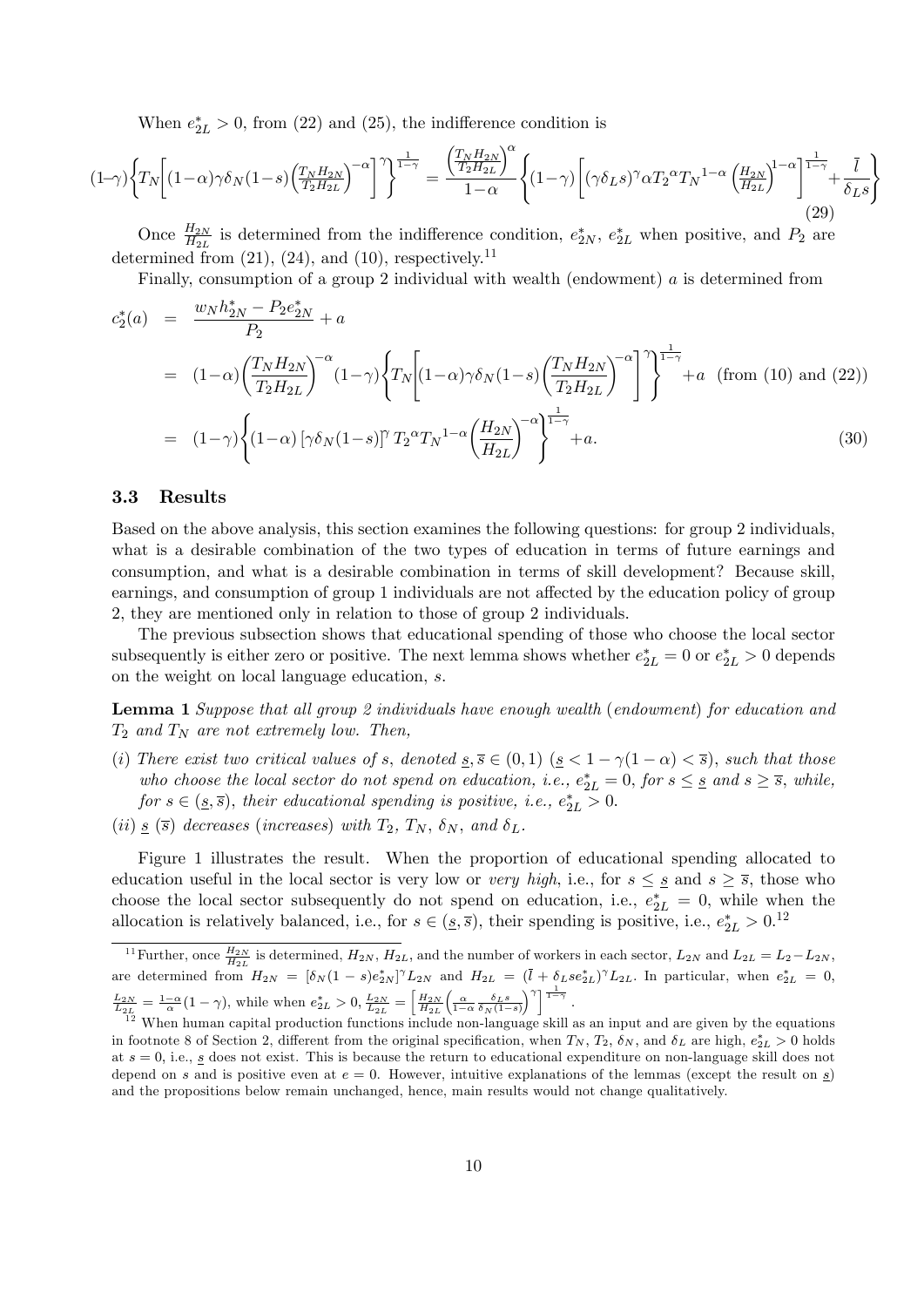When  $e_{2L}^*>0$ , from (22) and (25), the indifference condition is

$$
(1-\gamma)\left\{T_N\left[(1-\alpha)\gamma\delta_N(1-s)\left(\frac{T_NH_{2N}}{T_2H_{2L}}\right)^{-\alpha}\right]\right\}^{\frac{1}{1-\gamma}} = \frac{\left(\frac{T_NH_{2N}}{T_2H_{2L}}\right)^{\alpha}}{1-\alpha}\left\{(1-\gamma)\left[(\gamma\delta_Ls)^{\gamma}\alpha T_2^{\alpha}T_N^{1-\alpha}\left(\frac{H_{2N}}{H_{2L}}\right)^{1-\alpha}\right]^{\frac{1}{1-\gamma}}+\frac{\bar{l}}{\delta_Ls}\right\}
$$
(29)

Once  $\frac{H_{2N}}{H_{2L}}$  is determined from the indifference condition,  $e_{2N}^*$ ,  $e_{2L}^*$  when positive, and  $P_2$  are determined from  $(21)$ ,  $(24)$ , and  $(10)$ , respectively.<sup>11</sup>

Finally, consumption of a group 2 individual with wealth (endowment) a is determined from

$$
c_2^*(a) = \frac{w_N h_{2N}^* - P_2 e_{2N}^*}{P_2} + a
$$
  
=  $(1-\alpha) \left(\frac{T_N H_{2N}}{T_2 H_{2L}}\right)^{-\alpha} (1-\gamma) \left\{T_N \left[(1-\alpha)\gamma \delta_N (1-s) \left(\frac{T_N H_{2N}}{T_2 H_{2L}}\right)^{-\alpha}\right]\right\}^{\frac{1}{1-\gamma}} + a$  (from (10) and (22))  
=  $(1-\gamma) \left\{(1-\alpha) \left[\gamma \delta_N (1-s)\right]^{\gamma} T_2^{\alpha} T_N^{1-\alpha} \left(\frac{H_{2N}}{H_{2L}}\right)^{-\alpha}\right\}^{\frac{1}{1-\gamma}} + a.$  (30)

#### 3.3 Results

Based on the above analysis, this section examines the following questions: for group 2 individuals, what is a desirable combination of the two types of education in terms of future earnings and consumption, and what is a desirable combination in terms of skill development? Because skill, earnings, and consumption of group 1 individuals are not affected by the education policy of group 2, they are mentioned only in relation to those of group 2 individuals.

The previous subsection shows that educational spending of those who choose the local sector subsequently is either zero or positive. The next lemma shows whether  $e_{2L}^* = 0$  or  $e_{2L}^* > 0$  depends on the weight on local language education, s:

Lemma 1 Suppose that all group 2 individuals have enough wealth (endowment) for education and  $T_2$  and  $T_N$  are not extremely low. Then,

- (i) There exist two critical values of s, denoted  $s, \overline{s} \in (0,1)$   $(s < 1 \gamma(1-\alpha) < \overline{s})$ , such that those who choose the local sector do not spend on education, i.e.,  $e_{2L}^* = 0$ , for  $s \leq s$  and  $s \geq \overline{s}$ , while, for  $s \in (\underline{s}, \overline{s})$ , their educational spending is positive, i.e.,  $e_{2L}^* > 0$ .
- (ii) s (5) decreases (increases) with  $T_2$ ,  $T_N$ ,  $\delta_N$ , and  $\delta_L$ .

Figure 1 illustrates the result. When the proportion of educational spending allocated to education useful in the local sector is very low or very high, i.e., for  $s \leq s$  and  $s \geq \overline{s}$ , those who choose the local sector subsequently do not spend on education, i.e.,  $e_{2L}^* = 0$ , while when the allocation is relatively balanced, i.e., for  $s \in (\underline{s}, \overline{s})$ , their spending is positive, i.e.,  $e_{2L}^* > 0$ .<sup>12</sup>

<sup>&</sup>lt;sup>11</sup> Further, once  $\frac{H_{2N}}{H_{2L}}$  is determined,  $H_{2N}$ ,  $H_{2L}$ , and the number of workers in each sector,  $L_{2N}$  and  $L_{2L} = L_2 - L_{2N}$ , are determined from  $H_{2N} = [\delta_N(1-s)e_{2N}^*]^{\gamma}L_{2N}$  and  $H_{2L} = (\overline{l} + \delta_L s e_{2L}^*)^{\gamma}L_{2L}$ . In particular, when  $e_{2L}^* = 0$ ,  $\frac{L_{2N}}{L_{2L}} = \frac{1-\alpha}{\alpha}(1-\gamma)$ , while when  $e_{2L}^{*} > 0$ ,  $\frac{L_{2N}}{L_{2L}} = \left[\frac{H_{2N}}{H_{2L}}\right]$  $\left(\frac{\alpha}{1-\alpha}\, \frac{\delta_L \,s}{\delta_N\,(1-s)}\right.$  $\left[\gamma\right]$   $\frac{1}{1-\gamma}$ .

 $12$  When human capital production functions include non-language skill as an input and are given by the equations in footnote 8 of Section 2, different from the original specification, when  $T_N$ ,  $T_2$ ,  $\delta_N$ , and  $\delta_L$  are high,  $e_{2L}^* > 0$  holds at  $s = 0$ , i.e.,  $s$  does not exist. This is because the return to educational expenditure on non-language skill does not depend on s and is positive even at  $e = 0$ . However, intuitive explanations of the lemmas (except the result on s) and the propositions below remain unchanged, hence, main results would not change qualitatively.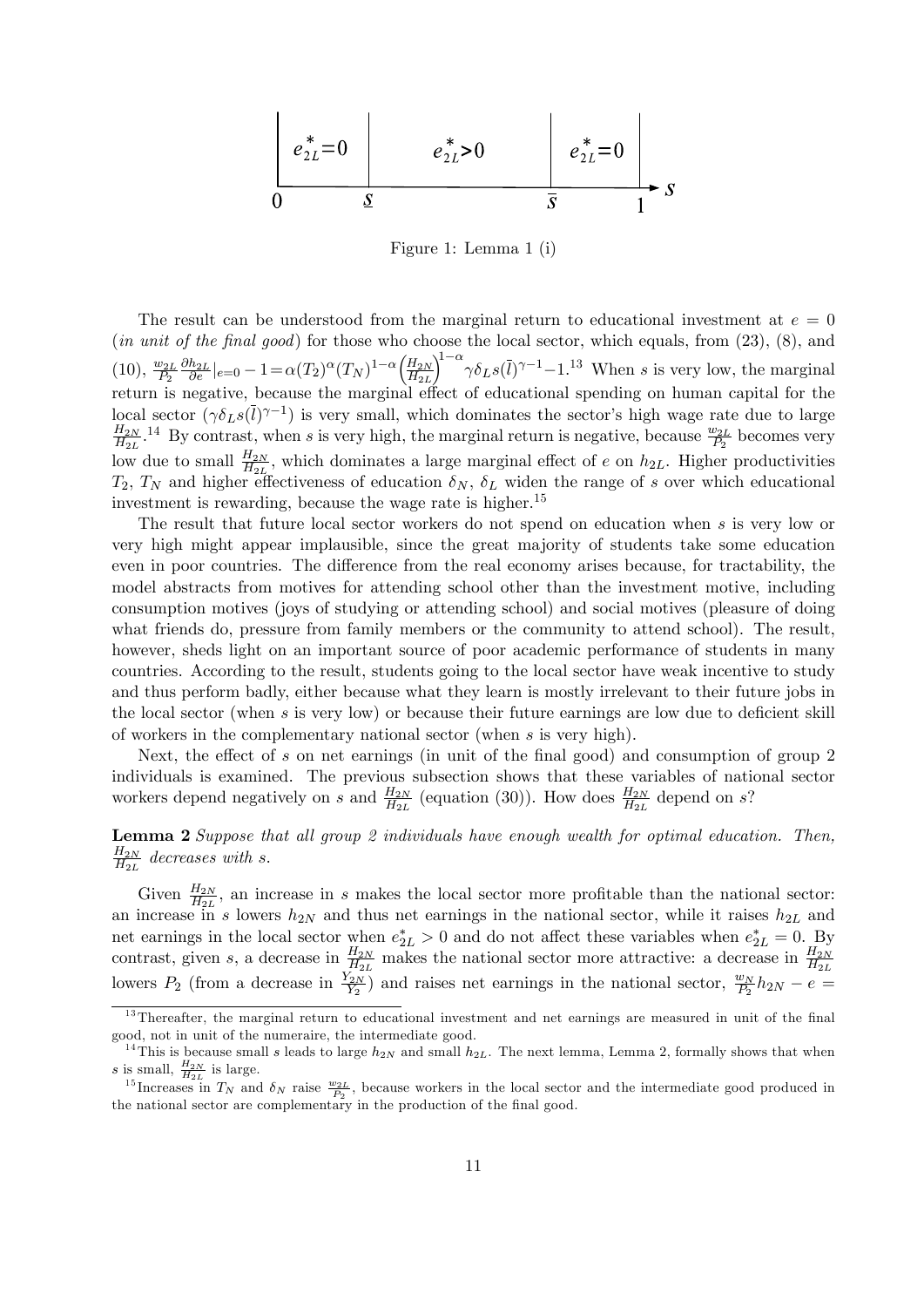$$
\begin{array}{|c|c|c|c|}\n\hline\ne_{2L}^* = 0 & e_{2L}^* > 0 & e_{2L}^* = 0 \\
\hline\n0 & \mathcal{S} & \overline{S} & 1\n\end{array}
$$

Figure 1: Lemma 1 (i)

The result can be understood from the marginal return to educational investment at  $e = 0$ (in unit of the final good) for those who choose the local sector, which equals, from  $(23)$ ,  $(8)$ , and  $(10), \frac{w_{2L}}{P_2}$  $\frac{\partial h_{2L}}{\partial e}|_{e=0} - 1 = \alpha(T_2)^{\alpha} (T_N)^{1-\alpha} \left(\frac{H_{2N}}{H_{2L}}\right)$  $H_{2L}$  $\left(\sum_{i=1}^{n} \gamma \delta_{LS}(\bar{l})^{\gamma-1} - 1\right)^{13}$  When s is very low, the marginal return is negative, because the marginal effect of educational spending on human capital for the local sector  $(\gamma \delta_L s(\bar{l})^{\gamma-1})$  is very small, which dominates the sector's high wage rate due to large  $_{H_{2N}}$  $\frac{H_{2N}}{H_{2L}}$ .<sup>14</sup> By contrast, when s is very high, the marginal return is negative, because  $\frac{w_{2L}}{P_2}$  becomes very low due to small  $\frac{H_{2N}}{H_{2L}}$ , which dominates a large marginal effect of e on  $h_{2L}$ . Higher productivities  $T_2, T_N$  and higher effectiveness of education  $\delta_N, \delta_L$  widen the range of s over which educational investment is rewarding, because the wage rate is higher.<sup>15</sup>

The result that future local sector workers do not spend on education when s is very low or very high might appear implausible, since the great majority of students take some education even in poor countries. The difference from the real economy arises because, for tractability, the model abstracts from motives for attending school other than the investment motive, including consumption motives (joys of studying or attending school) and social motives (pleasure of doing what friends do, pressure from family members or the community to attend school). The result, however, sheds light on an important source of poor academic performance of students in many countries. According to the result, students going to the local sector have weak incentive to study and thus perform badly, either because what they learn is mostly irrelevant to their future jobs in the local sector (when s is very low) or because their future earnings are low due to deficient skill of workers in the complementary national sector (when s is very high).

Next, the effect of  $s$  on net earnings (in unit of the final good) and consumption of group 2 individuals is examined. The previous subsection shows that these variables of national sector workers depend negatively on s and  $\frac{H_{2N}}{H_{2L}}$  (equation (30)). How does  $\frac{H_{2N}}{H_{2L}}$  depend on s?

Lemma 2 Suppose that all group 2 individuals have enough wealth for optimal education. Then,  $H_{2N}$  $\frac{H_{2N}}{H_{2L}}$  decreases with s.

Given  $\frac{H_{2N}}{H_{2L}}$ , an increase in s makes the local sector more profitable than the national sector: an increase in s lowers  $h_{2N}$  and thus net earnings in the national sector, while it raises  $h_{2L}$  and net earnings in the local sector when  $e_{2L}^* > 0$  and do not affect these variables when  $e_{2L}^* = 0$ . By contrast, given s, a decrease in  $\frac{H_{2N}}{H_{2L}}$  makes the national sector more attractive: a decrease in  $\frac{H_{2N}}{H_{2L}}$ lowers  $P_2$  (from a decrease in  $\frac{Y_{2N}}{Y_2}$ ) and raises net earnings in the national sector,  $\frac{w_N}{P_2}h_{2N} - e =$ 

<sup>&</sup>lt;sup>13</sup>Thereafter, the marginal return to educational investment and net earnings are measured in unit of the final good, not in unit of the numeraire, the intermediate good.

<sup>&</sup>lt;sup>14</sup>This is because small s leads to large  $h_{2N}$  and small  $h_{2L}$ . The next lemma, Lemma 2, formally shows that when s is small,  $\frac{H_{2N}}{H_{2L}}$  is large.

<sup>&</sup>lt;sup>15</sup>Increases in  $T_N$  and  $\delta_N$  raise  $\frac{w_{2L}}{P_2}$ , because workers in the local sector and the intermediate good produced in the national sector are complementary in the production of the final good.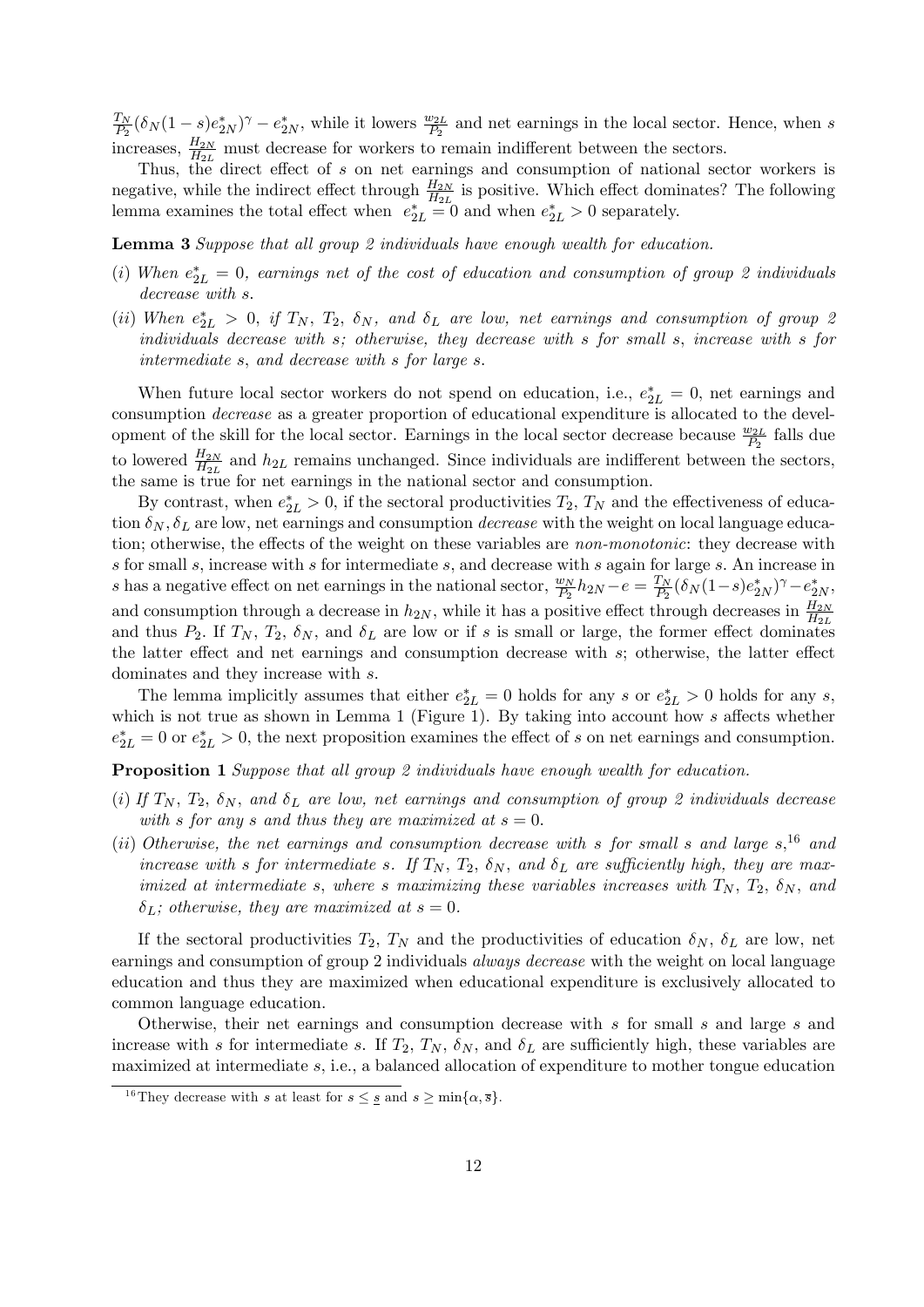$T_N$  $\frac{T_N}{P_2}(\delta_N(1-s)e_{2N}^*)^{\gamma} - e_{2N}^*$ , while it lowers  $\frac{w_{2L}}{P_2}$  and net earnings in the local sector. Hence, when s increases,  $\frac{H_{2N}}{H_{2L}}$  must decrease for workers to remain indifferent between the sectors.

Thus, the direct effect of  $s$  on net earnings and consumption of national sector workers is negative, while the indirect effect through  $\frac{H_{2N}}{H_{2L}}$  is positive. Which effect dominates? The following lemma examines the total effect when  $e_{2L}^* = 0$  and when  $e_{2L}^* > 0$  separately.

Lemma 3 Suppose that all group 2 individuals have enough wealth for education.

- (i) When  $e_{2L}^* = 0$ , earnings net of the cost of education and consumption of group 2 individuals decrease with s.
- (ii) When  $e_{2L}^* > 0$ , if  $T_N$ ,  $T_2$ ,  $\delta_N$ , and  $\delta_L$  are low, net earnings and consumption of group 2 individuals decrease with s; otherwise, they decrease with s for small s; increase with s for intermediate  $s$ , and decrease with  $s$  for large  $s$ .

When future local sector workers do not spend on education, i.e.,  $e_{2L}^* = 0$ , net earnings and consumption decrease as a greater proportion of educational expenditure is allocated to the development of the skill for the local sector. Earnings in the local sector decrease because  $\frac{w_{2L}}{P_2}$  falls due to lowered  $\frac{H_{2N}}{H_{2L}}$  and  $h_{2L}$  remains unchanged. Since individuals are indifferent between the sectors, the same is true for net earnings in the national sector and consumption.

By contrast, when  $e_{2L}^* > 0$ , if the sectoral productivities  $T_2$ ,  $T_N$  and the effectiveness of education  $\delta_N$ ,  $\delta_L$  are low, net earnings and consumption *decrease* with the weight on local language education; otherwise, the effects of the weight on these variables are *non-monotonic*: they decrease with s for small s; increase with s for intermediate s; and decrease with s again for large s: An increase in s has a negative effect on net earnings in the national sector,  $\frac{w_N}{P_2}h_{2N} - e = \frac{T_N}{P_2}$  $\frac{T_N}{P_2}(\delta_N(1-s)e_{2N}^*)^{\gamma} - e_{2N}^*,$ and consumption through a decrease in  $h_{2N}$ , while it has a positive effect through decreases in  $\frac{H_{2N}}{H_{2L}}$ and thus  $P_2$ . If  $T_N$ ,  $T_2$ ,  $\delta_N$ , and  $\delta_L$  are low or if s is small or large, the former effect dominates the latter effect and net earnings and consumption decrease with  $s$ ; otherwise, the latter effect dominates and they increase with s.

The lemma implicitly assumes that either  $e_{2L}^* = 0$  holds for any s or  $e_{2L}^* > 0$  holds for any s, which is not true as shown in Lemma 1 (Figure 1). By taking into account how s affects whether  $e_{2L}^* = 0$  or  $e_{2L}^* > 0$ , the next proposition examines the effect of s on net earnings and consumption.

Proposition 1 Suppose that all group 2 individuals have enough wealth for education.

- (i) If  $T_N$ ,  $T_2$ ,  $\delta_N$ , and  $\delta_L$  are low, net earnings and consumption of group 2 individuals decrease with s for any s and thus they are maximized at  $s = 0$ .
- (ii) Otherwise, the net earnings and consumption decrease with s for small s and large  $s$ , <sup>16</sup> and increase with s for intermediate s. If  $T_N$ ,  $T_2$ ,  $\delta_N$ , and  $\delta_L$  are sufficiently high, they are maximized at intermediate s, where s maximizing these variables increases with  $T_N$ ,  $T_2$ ,  $\delta_N$ , and  $\delta_L$ ; otherwise, they are maximized at  $s = 0$ .

If the sectoral productivities  $T_2$ ,  $T_N$  and the productivities of education  $\delta_N$ ,  $\delta_L$  are low, net earnings and consumption of group 2 individuals *always decrease* with the weight on local language education and thus they are maximized when educational expenditure is exclusively allocated to common language education.

Otherwise, their net earnings and consumption decrease with s for small s and large s and increase with s for intermediate s. If  $T_2$ ,  $T_N$ ,  $\delta_N$ , and  $\delta_L$  are sufficiently high, these variables are maximized at intermediate s; i.e., a balanced allocation of expenditure to mother tongue education

<sup>&</sup>lt;sup>16</sup>They decrease with s at least for  $s \leq s$  and  $s \geq \min\{\alpha, \overline{s}\}.$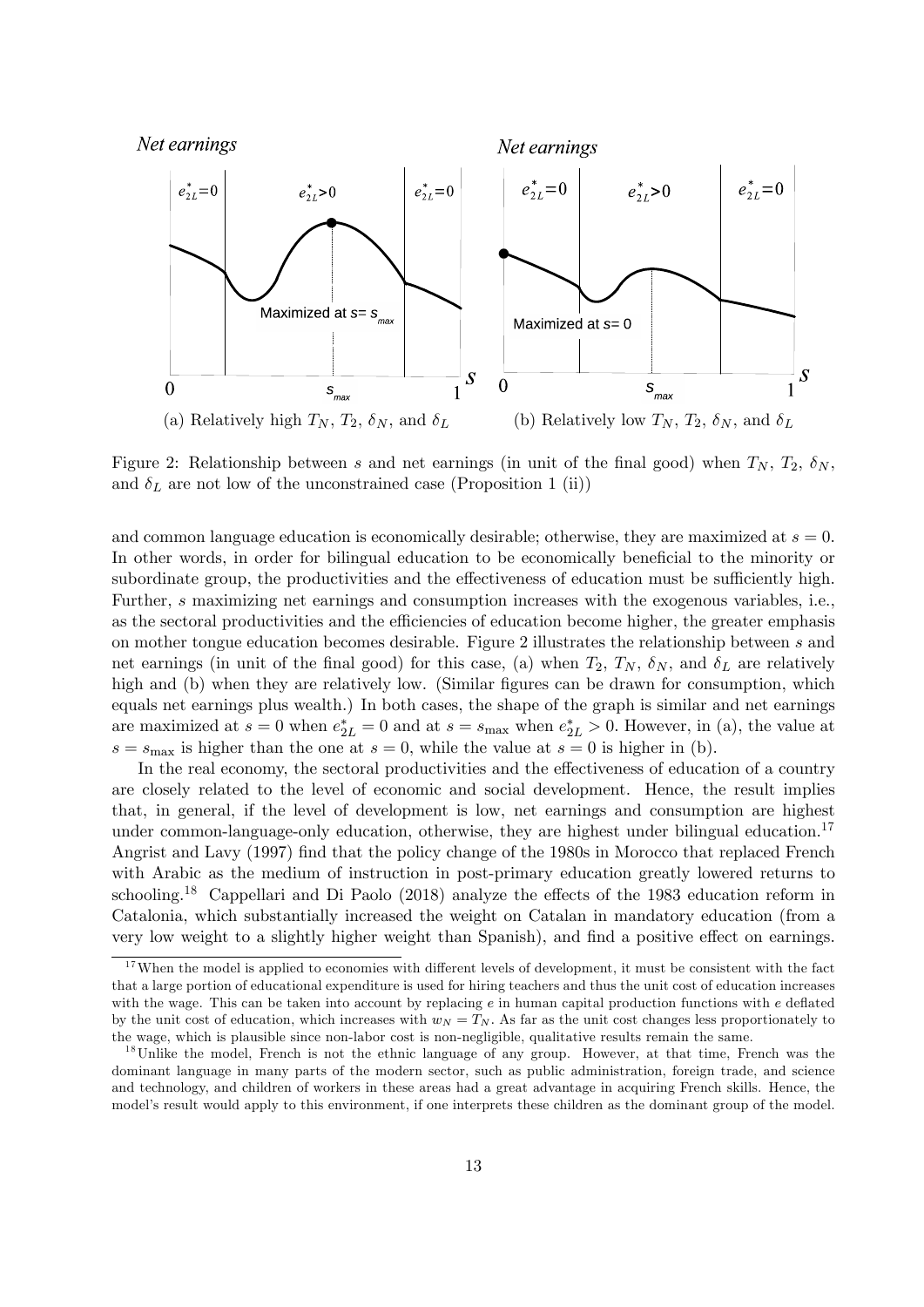

Figure 2: Relationship between s and net earnings (in unit of the final good) when  $T_N$ ,  $T_2$ ,  $\delta_N$ , and  $\delta_L$  are not low of the unconstrained case (Proposition 1 (ii))

and common language education is economically desirable; otherwise, they are maximized at  $s = 0$ . In other words, in order for bilingual education to be economically beneficial to the minority or subordinate group, the productivities and the effectiveness of education must be sufficiently high. Further, s maximizing net earnings and consumption increases with the exogenous variables, i.e., as the sectoral productivities and the efficiencies of education become higher, the greater emphasis on mother tongue education becomes desirable. Figure 2 illustrates the relationship between s and net earnings (in unit of the final good) for this case, (a) when  $T_2$ ,  $T_N$ ,  $\delta_N$ , and  $\delta_L$  are relatively high and (b) when they are relatively low. (Similar figures can be drawn for consumption, which equals net earnings plus wealth.) In both cases, the shape of the graph is similar and net earnings are maximized at  $s = 0$  when  $e_{2L}^* = 0$  and at  $s = s_{\text{max}}$  when  $e_{2L}^* > 0$ . However, in (a), the value at  $s = s_{\text{max}}$  is higher than the one at  $s = 0$ , while the value at  $s = 0$  is higher in (b).

In the real economy, the sectoral productivities and the effectiveness of education of a country are closely related to the level of economic and social development. Hence, the result implies that, in general, if the level of development is low, net earnings and consumption are highest under common-language-only education, otherwise, they are highest under bilingual education.<sup>17</sup> Angrist and Lavy (1997) find that the policy change of the 1980s in Morocco that replaced French with Arabic as the medium of instruction in post-primary education greatly lowered returns to schooling.<sup>18</sup> Cappellari and Di Paolo (2018) analyze the effects of the 1983 education reform in Catalonia, which substantially increased the weight on Catalan in mandatory education (from a very low weight to a slightly higher weight than Spanish), and find a positive effect on earnings.

 $17$  When the model is applied to economies with different levels of development, it must be consistent with the fact that a large portion of educational expenditure is used for hiring teachers and thus the unit cost of education increases with the wage. This can be taken into account by replacing  $e$  in human capital production functions with  $e$  deflated by the unit cost of education, which increases with  $w_N = T_N$ . As far as the unit cost changes less proportionately to the wage, which is plausible since non-labor cost is non-negligible, qualitative results remain the same.

<sup>&</sup>lt;sup>18</sup>Unlike the model, French is not the ethnic language of any group. However, at that time, French was the dominant language in many parts of the modern sector, such as public administration, foreign trade, and science and technology, and children of workers in these areas had a great advantage in acquiring French skills. Hence, the model's result would apply to this environment, if one interprets these children as the dominant group of the model.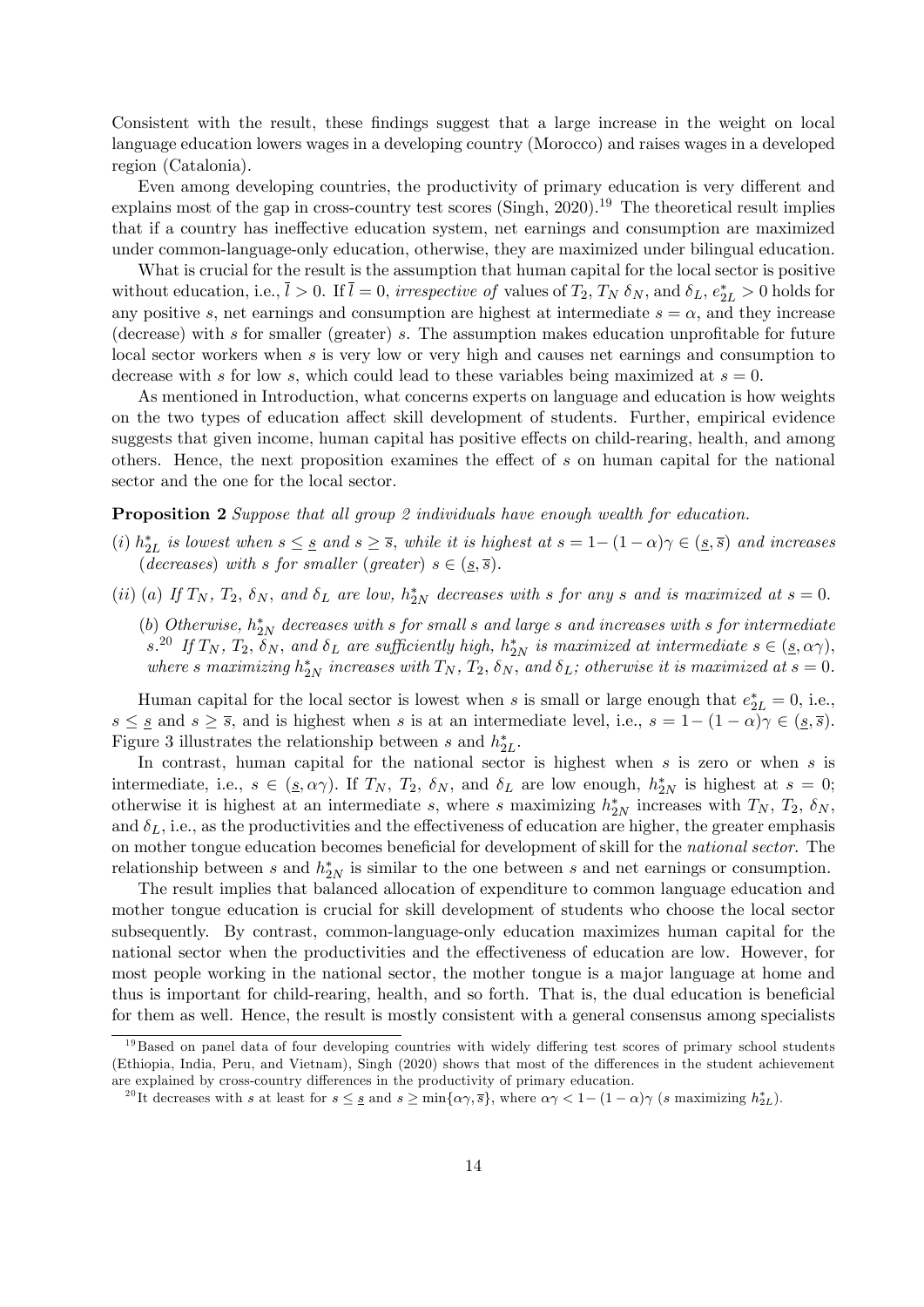Consistent with the result, these findings suggest that a large increase in the weight on local language education lowers wages in a developing country (Morocco) and raises wages in a developed region (Catalonia).

Even among developing countries, the productivity of primary education is very different and explains most of the gap in cross-country test scores (Singh, 2020).<sup>19</sup> The theoretical result implies that if a country has ineffective education system, net earnings and consumption are maximized under common-language-only education, otherwise, they are maximized under bilingual education.

What is crucial for the result is the assumption that human capital for the local sector is positive without education, i.e.,  $\bar{l} > 0$ . If  $\bar{l} = 0$ , irrespective of values of  $T_2$ ,  $T_N$   $\delta_N$ , and  $\delta_L$ ,  $e_{2L}^* > 0$  holds for any positive s, net earnings and consumption are highest at intermediate  $s = \alpha$ , and they increase (decrease) with s for smaller (greater) s. The assumption makes education unprofitable for future local sector workers when s is very low or very high and causes net earnings and consumption to decrease with s for low s, which could lead to these variables being maximized at  $s = 0$ .

As mentioned in Introduction, what concerns experts on language and education is how weights on the two types of education affect skill development of students. Further, empirical evidence suggests that given income, human capital has positive effects on child-rearing, health, and among others. Hence, the next proposition examines the effect of  $s$  on human capital for the national sector and the one for the local sector.

#### Proposition 2 Suppose that all group 2 individuals have enough wealth for education.

- (i)  $h_{2L}^*$  is lowest when  $s \leq s$  and  $s \geq \overline{s}$ , while it is highest at  $s = 1 (1 \alpha)\gamma \in (s, \overline{s})$  and increases (decreases) with s for smaller (greater)  $s \in (\underline{s}, \overline{s})$ .
- (ii) (a) If  $T_N$ ,  $T_2$ ,  $\delta_N$ , and  $\delta_L$  are low,  $h_{2N}^*$  decreases with s for any s and is maximized at  $s = 0$ .

(b) Otherwise,  $h_{2N}^*$  decreases with s for small s and large s and increases with s for intermediate  $s^{20}$  If  $T_N$ ,  $T_2$ ,  $\delta_N$ , and  $\delta_L$  are sufficiently high,  $h_{2N}^*$  is maximized at intermediate  $s \in (\underline{s}, \alpha \gamma)$ , where s maximizing  $h_{2N}^*$  increases with  $T_N$ ,  $T_2$ ,  $\delta_N$ , and  $\delta_L$ ; otherwise it is maximized at  $s = 0$ .

Human capital for the local sector is lowest when s is small or large enough that  $e_{2L}^* = 0$ , i.e.,  $s \leq s$  and  $s \geq \overline{s}$ , and is highest when s is at an intermediate level, i.e.,  $s = 1 - (1 - \alpha)\gamma \in (\underline{s}, \overline{s})$ . Figure 3 illustrates the relationship between  $s$  and  $h_{2L}^*$ .

In contrast, human capital for the national sector is highest when  $s$  is zero or when  $s$  is intermediate, i.e.,  $s \in (s, \alpha\gamma)$ . If  $T_N$ ,  $T_2$ ,  $\delta_N$ , and  $\delta_L$  are low enough,  $h_{2N}^*$  is highest at  $s = 0$ ; otherwise it is highest at an intermediate s, where s maximizing  $h_{2N}^*$  increases with  $T_N$ ,  $T_2$ ,  $\delta_N$ , and  $\delta_L$ , i.e., as the productivities and the effectiveness of education are higher, the greater emphasis on mother tongue education becomes beneficial for development of skill for the *national sector*. The relationship between s and  $h_{2N}^*$  is similar to the one between s and net earnings or consumption.

The result implies that balanced allocation of expenditure to common language education and mother tongue education is crucial for skill development of students who choose the local sector subsequently. By contrast, common-language-only education maximizes human capital for the national sector when the productivities and the effectiveness of education are low. However, for most people working in the national sector, the mother tongue is a major language at home and thus is important for child-rearing, health, and so forth. That is, the dual education is beneficial for them as well. Hence, the result is mostly consistent with a general consensus among specialists

 $19B$ ased on panel data of four developing countries with widely differing test scores of primary school students (Ethiopia, India, Peru, and Vietnam), Singh (2020) shows that most of the differences in the student achievement are explained by cross-country differences in the productivity of primary education.

<sup>&</sup>lt;sup>20</sup>It decreases with s at least for  $s \leq \underline{s}$  and  $s \geq \min\{\alpha\gamma, \overline{s}\}\)$ , where  $\alpha\gamma < 1 - (1 - \alpha)\gamma$  (s maximizing  $h_{2L}^*\$ ).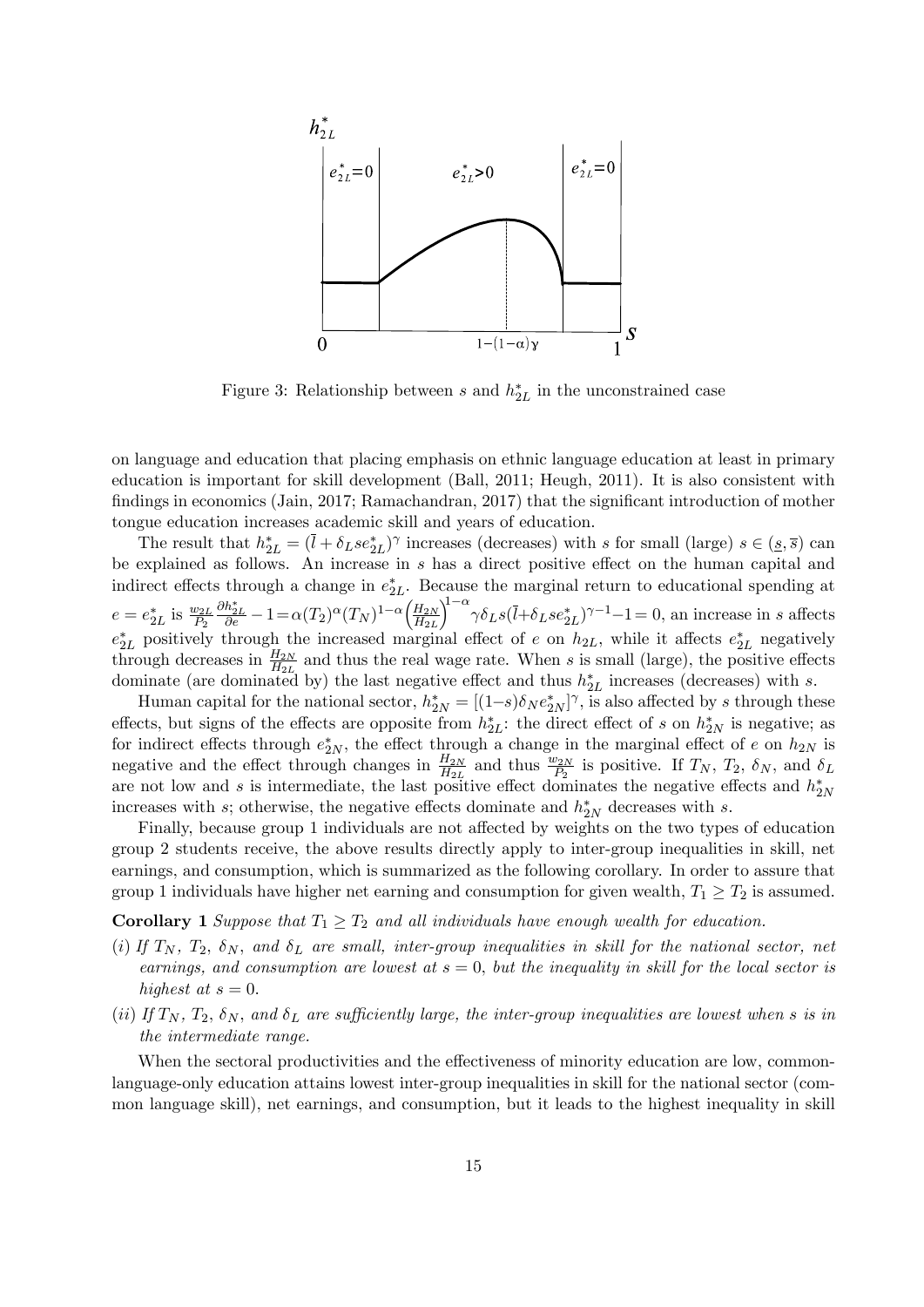

Figure 3: Relationship between s and  $h_{2L}^*$  in the unconstrained case

on language and education that placing emphasis on ethnic language education at least in primary education is important for skill development (Ball, 2011; Heugh, 2011). It is also consistent with findings in economics (Jain, 2017; Ramachandran, 2017) that the significant introduction of mother tongue education increases academic skill and years of education.

The result that  $h_{2L}^* = (\bar{l} + \delta_L s e_{2L}^*)^{\gamma}$  increases (decreases) with s for small (large)  $s \in (s, \bar{s})$  can be explained as follows. An increase in  $s$  has a direct positive effect on the human capital and indirect effects through a change in  $e_{2L}^*$ . Because the marginal return to educational spending at  $e = e_{2L}^*$  is  $\frac{w_{2L}}{P_2}$  $\frac{\partial h_{2L}^*}{\partial e} - 1 = \alpha(T_2)^{\alpha} (T_N)^{1-\alpha} \left( \frac{H_{2N}}{H_{2L}} \right)$  $H_{2L}$  $\left(\frac{1}{2}\right)^{1-\alpha} \gamma \delta_L s (\overline{l} + \delta_L s e_{2L}^*)^{\gamma-1} - 1 = 0$ , an increase in s affects  $e_{2L}^*$  positively through the increased marginal effect of e on  $h_{2L}$ , while it affects  $e_{2L}^*$  negatively through decreases in  $\frac{H_{2N}}{H_{2L}}$  and thus the real wage rate. When s is small (large), the positive effects dominate (are dominated by) the last negative effect and thus  $h_{2L}^*$  increases (decreases) with s.

Human capital for the national sector,  $h_{2N}^* = [(1-s)\delta_N e_{2N}^*]^\gamma$ , is also affected by s through these effects, but signs of the effects are opposite from  $h_{2L}^*$ : the direct effect of s on  $h_{2N}^*$  is negative; as for indirect effects through  $e_{2N}^*$ , the effect through a change in the marginal effect of e on  $h_{2N}$  is negative and the effect through changes in  $\frac{H_{2N}}{H_{2L}}$  and thus  $\frac{w_{2N}}{P_2}$  is positive. If  $T_N$ ,  $T_2$ ,  $\delta_N$ , and  $\delta_L$ are not low and s is intermediate, the last positive effect dominates the negative effects and  $h_{2N}^*$ increases with s; otherwise, the negative effects dominate and  $h_{2N}^*$  decreases with s.

Finally, because group 1 individuals are not affected by weights on the two types of education group 2 students receive, the above results directly apply to inter-group inequalities in skill, net earnings, and consumption, which is summarized as the following corollary. In order to assure that group 1 individuals have higher net earning and consumption for given wealth,  $T_1 \geq T_2$  is assumed.

**Corollary 1** Suppose that  $T_1 \geq T_2$  and all individuals have enough wealth for education.

- (i) If  $T_N$ ,  $T_2$ ,  $\delta_N$ , and  $\delta_L$  are small, inter-group inequalities in skill for the national sector, net earnings, and consumption are lowest at  $s = 0$ , but the inequality in skill for the local sector is highest at  $s = 0$ .
- (ii) If  $T_N$ ,  $T_2$ ,  $\delta_N$ , and  $\delta_L$  are sufficiently large, the inter-group inequalities are lowest when s is in the intermediate range.

When the sectoral productivities and the effectiveness of minority education are low, commonlanguage-only education attains lowest inter-group inequalities in skill for the national sector (common language skill), net earnings, and consumption, but it leads to the highest inequality in skill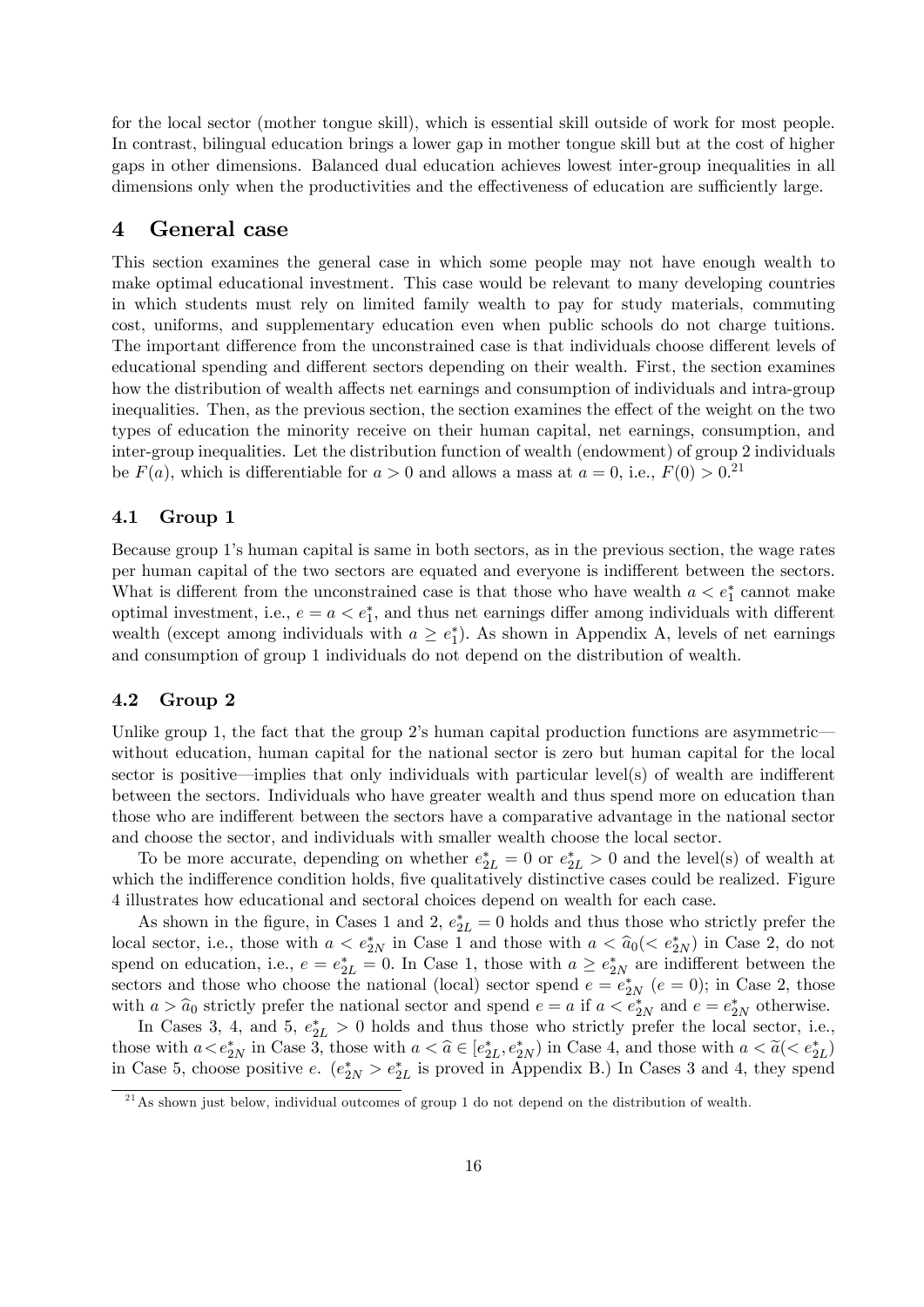for the local sector (mother tongue skill), which is essential skill outside of work for most people. In contrast, bilingual education brings a lower gap in mother tongue skill but at the cost of higher gaps in other dimensions. Balanced dual education achieves lowest inter-group inequalities in all dimensions only when the productivities and the effectiveness of education are sufficiently large.

### 4 General case

This section examines the general case in which some people may not have enough wealth to make optimal educational investment. This case would be relevant to many developing countries in which students must rely on limited family wealth to pay for study materials, commuting cost, uniforms, and supplementary education even when public schools do not charge tuitions. The important difference from the unconstrained case is that individuals choose different levels of educational spending and different sectors depending on their wealth. First, the section examines how the distribution of wealth affects net earnings and consumption of individuals and intra-group inequalities. Then, as the previous section, the section examines the effect of the weight on the two types of education the minority receive on their human capital, net earnings, consumption, and inter-group inequalities. Let the distribution function of wealth (endowment) of group 2 individuals be  $F(a)$ , which is differentiable for  $a > 0$  and allows a mass at  $a = 0$ , i.e.,  $F(0) > 0$ .<sup>21</sup>

#### 4.1 Group 1

Because group 1ís human capital is same in both sectors, as in the previous section, the wage rates per human capital of the two sectors are equated and everyone is indifferent between the sectors. What is different from the unconstrained case is that those who have wealth  $a < e_1^*$  cannot make optimal investment, i.e.,  $e = a < e_1^*$ , and thus net earnings differ among individuals with different wealth (except among individuals with  $a \geq e_1^*$ ). As shown in Appendix A, levels of net earnings and consumption of group 1 individuals do not depend on the distribution of wealth.

#### 4.2 Group 2

Unlike group 1, the fact that the group 2's human capital production functions are asymmetricwithout education, human capital for the national sector is zero but human capital for the local sector is positive—implies that only individuals with particular level(s) of wealth are indifferent between the sectors. Individuals who have greater wealth and thus spend more on education than those who are indifferent between the sectors have a comparative advantage in the national sector and choose the sector, and individuals with smaller wealth choose the local sector.

To be more accurate, depending on whether  $e_{2L}^* = 0$  or  $e_{2L}^* > 0$  and the level(s) of wealth at which the indifference condition holds, five qualitatively distinctive cases could be realized. Figure 4 illustrates how educational and sectoral choices depend on wealth for each case.

As shown in the figure, in Cases 1 and 2,  $e_{2L}^* = 0$  holds and thus those who strictly prefer the local sector, i.e., those with  $a < e_{2N}^*$  in Case 1 and those with  $a < \hat{a}_0 < e_{2N}^*$  in Case 2, do not spend on education, i.e.,  $e = e_{2L}^* = 0$ . In Case 1, those with  $a \ge e_{2N}^*$  are indifferent between the sectors and those who choose the national (local) sector spend  $e = e_{2N}^*$  ( $e = 0$ ); in Case 2, those with  $a > \hat{a}_0$  strictly prefer the national sector and spend  $e = a$  if  $a < e^*_{2N}$  and  $e = e^*_{2N}$  otherwise.

In Cases 3, 4, and 5,  $e_{2L}^* > 0$  holds and thus those who strictly prefer the local sector, i.e., those with  $a < e_{2N}^*$  in Case 3, those with  $a < \hat{a} \in [e_{2L}^*, e_{2N}^*]$  in Case 4, and those with  $a < \tilde{a} (< e_{2L}^* )$ . in Case 5, choose positive e.  $(e_{2N}^* > e_{2L}^*$  is proved in Appendix B.) In Cases 3 and 4, they spend

 $^{21}$ As shown just below, individual outcomes of group 1 do not depend on the distribution of wealth.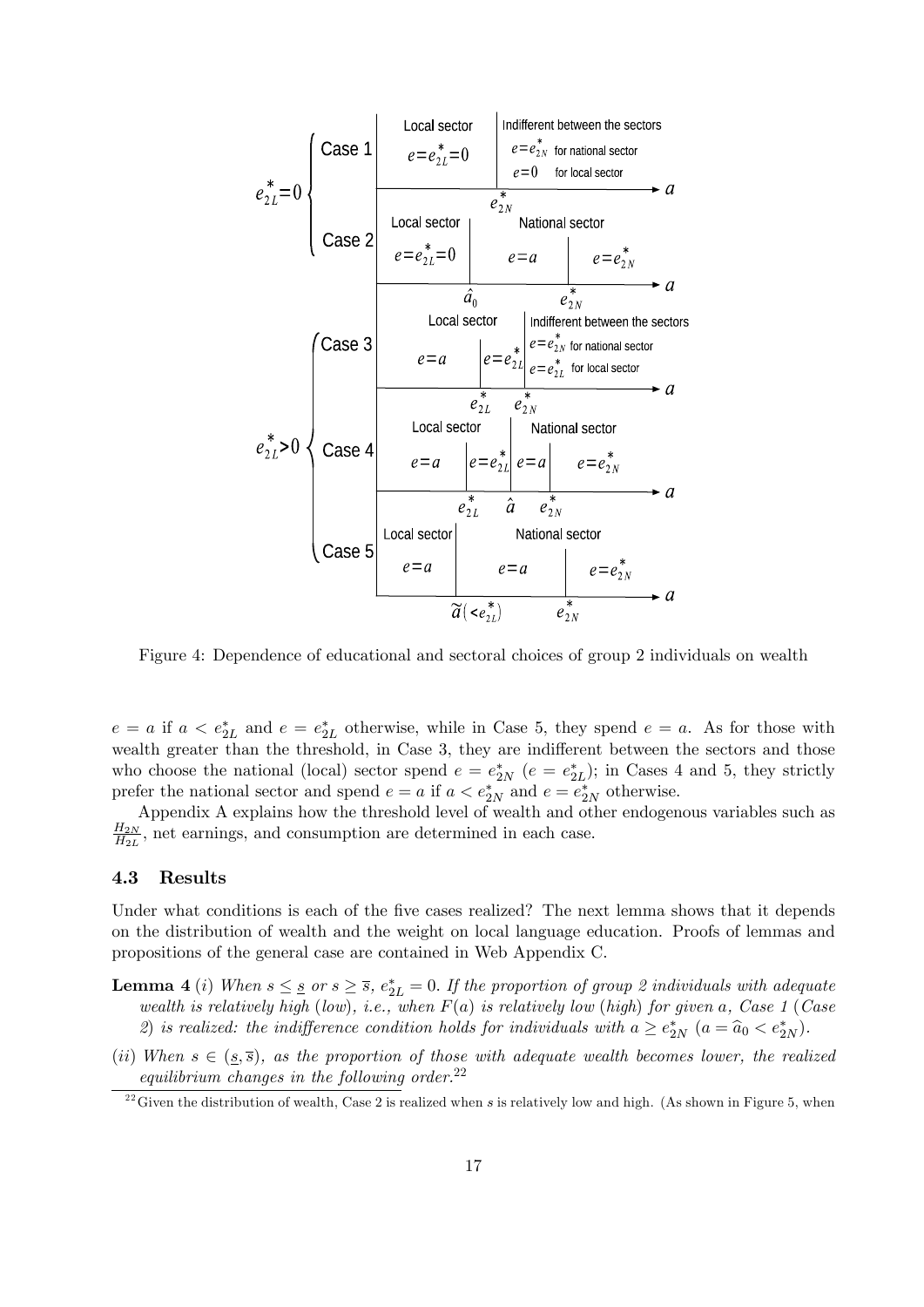

 $e = a$  if  $a < e_{2L}^*$  and  $e = e_{2L}^*$  otherwise, while in Case 5, they spend  $e = a$ . As for those with wealth greater than the threshold, in Case 3, they are indifferent between the sectors and those who choose the national (local) sector spend  $e = e_{2N}^*$  ( $e = e_{2L}^*$ ); in Cases 4 and 5, they strictly prefer the national sector and spend  $e = a$  if  $a < e^*_{2N}$  and  $e = e^*_{2N}$  otherwise.

Appendix A explains how the threshold level of wealth and other endogenous variables such as  $H_{2N}$  $\frac{H_{2N}}{H_{2L}}$ , net earnings, and consumption are determined in each case.

#### 4.3 Results

Under what conditions is each of the five cases realized? The next lemma shows that it depends on the distribution of wealth and the weight on local language education. Proofs of lemmas and propositions of the general case are contained in Web Appendix C.

- **Lemma 4** (i) When  $s \leq s$  or  $s \geq \overline{s}$ ,  $e_{2L}^* = 0$ . If the proportion of group 2 individuals with adequate wealth is relatively high (low), i.e., when  $F(a)$  is relatively low (high) for given a, Case 1 (Case 2) is realized: the indifference condition holds for individuals with  $a \ge e_{2N}^*$   $(a = \hat{a}_0 < e_{2N}^*$ .
- (ii) When  $s \in (\underline{s}, \overline{s})$ , as the proportion of those with adequate wealth becomes lower, the realized equilibrium changes in the following order. $22$

 $^{22}$ Given the distribution of wealth, Case 2 is realized when s is relatively low and high. (As shown in Figure 5, when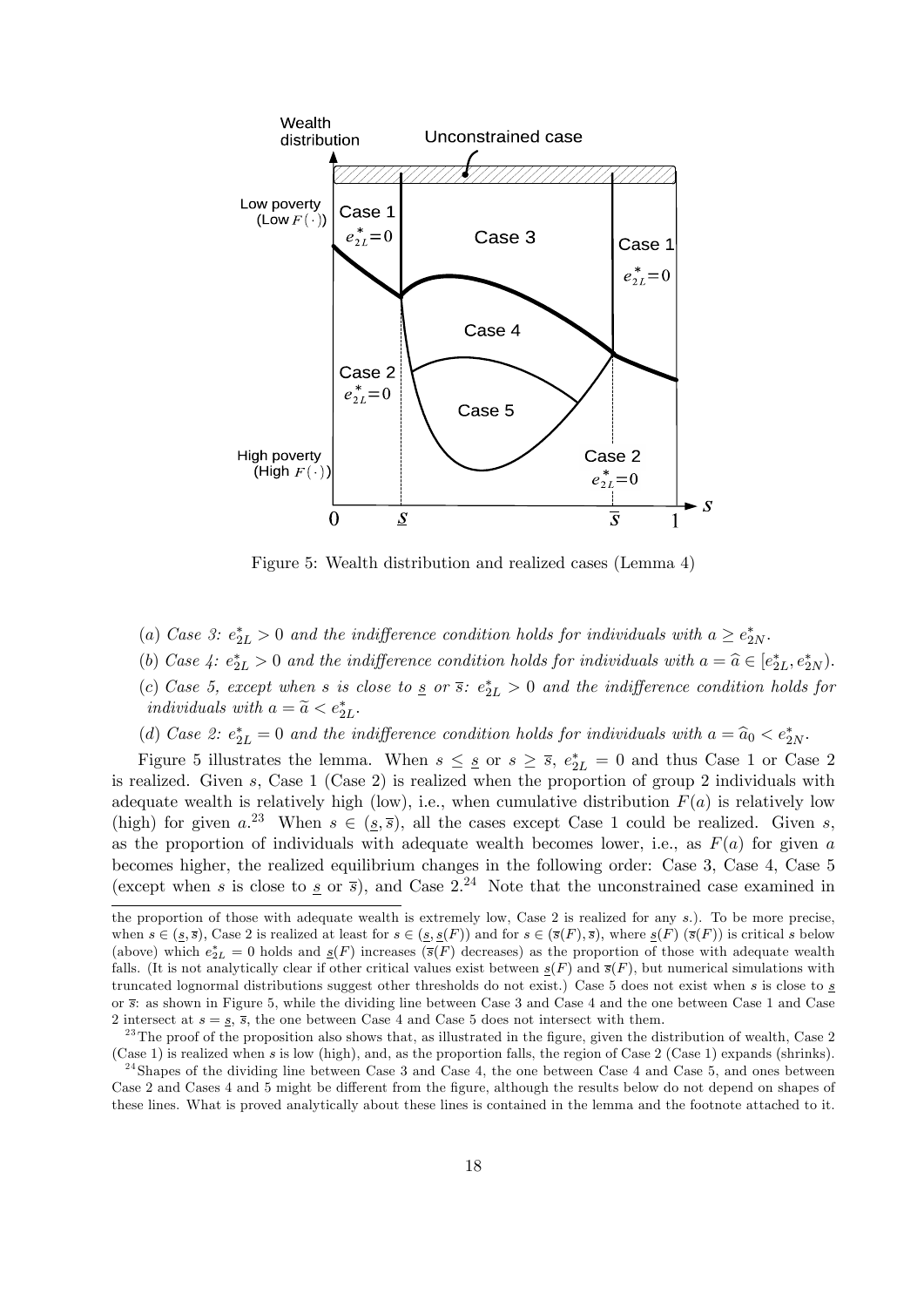

Figure 5: Wealth distribution and realized cases (Lemma 4)

- (a) Case 3:  $e_{2L}^* > 0$  and the indifference condition holds for individuals with  $a \geq e_{2N}^*$ .
- (b) Case 4:  $e_{2L}^* > 0$  and the indifference condition holds for individuals with  $a = \hat{a} \in [e_{2L}^*, e_{2N}^*].$
- (c) Case 5, except when s is close to  $\frac{s}{2}$  or  $\frac{s}{2}$ :  $e_{2L}^* > 0$  and the indifference condition holds for individuals with  $a = \tilde{a} < e^*_{2L}$ .
- (d) Case 2:  $e_{2L}^* = 0$  and the indifference condition holds for individuals with  $a = \hat{a}_0 < e_{2N}^*$ .

Figure 5 illustrates the lemma. When  $s \leq s$  or  $s \geq \overline{s}$ ,  $e_{2L}^* = 0$  and thus Case 1 or Case 2 is realized. Given s, Case 1 (Case 2) is realized when the proportion of group 2 individuals with adequate wealth is relatively high (low), i.e., when cumulative distribution  $F(a)$  is relatively low (high) for given  $a^{23}$  When  $s \in (s, \overline{s})$ , all the cases except Case 1 could be realized. Given s, as the proportion of individuals with adequate wealth becomes lower, i.e., as  $F(a)$  for given a becomes higher, the realized equilibrium changes in the following order: Case 3, Case 4, Case 5 (except when s is close to s or  $\bar{s}$ ), and Case 2.<sup>24</sup> Note that the unconstrained case examined in

the proportion of those with adequate wealth is extremely low, Case 2 is realized for any s.). To be more precise, when  $s \in (s, \overline{s})$ , Case 2 is realized at least for  $s \in (s, s(F))$  and for  $s \in (\overline{s}(F), \overline{s})$ , where  $s(F) (\overline{s}(F))$  is critical s below (above) which  $e_{2L}^* = 0$  holds and  $\underline{s}(F)$  increases ( $\overline{s}(F)$  decreases) as the proportion of those with adequate wealth falls. (It is not analytically clear if other critical values exist between  $g(F)$  and  $\bar{s}(F)$ , but numerical simulations with truncated lognormal distributions suggest other thresholds do not exist.) Case 5 does not exist when s is close to s or s: as shown in Figure 5, while the dividing line between Case 3 and Case 4 and the one between Case 1 and Case 2 intersect at  $s = s$ ,  $\overline{s}$ , the one between Case 4 and Case 5 does not intersect with them.

 $^{23}$ The proof of the proposition also shows that, as illustrated in the figure, given the distribution of wealth, Case 2 (Case 1) is realized when s is low (high), and, as the proportion falls, the region of Case 2 (Case 1) expands (shrinks).

 $24$ Shapes of the dividing line between Case 3 and Case 4, the one between Case 4 and Case 5, and ones between Case 2 and Cases 4 and 5 might be different from the figure, although the results below do not depend on shapes of these lines. What is proved analytically about these lines is contained in the lemma and the footnote attached to it.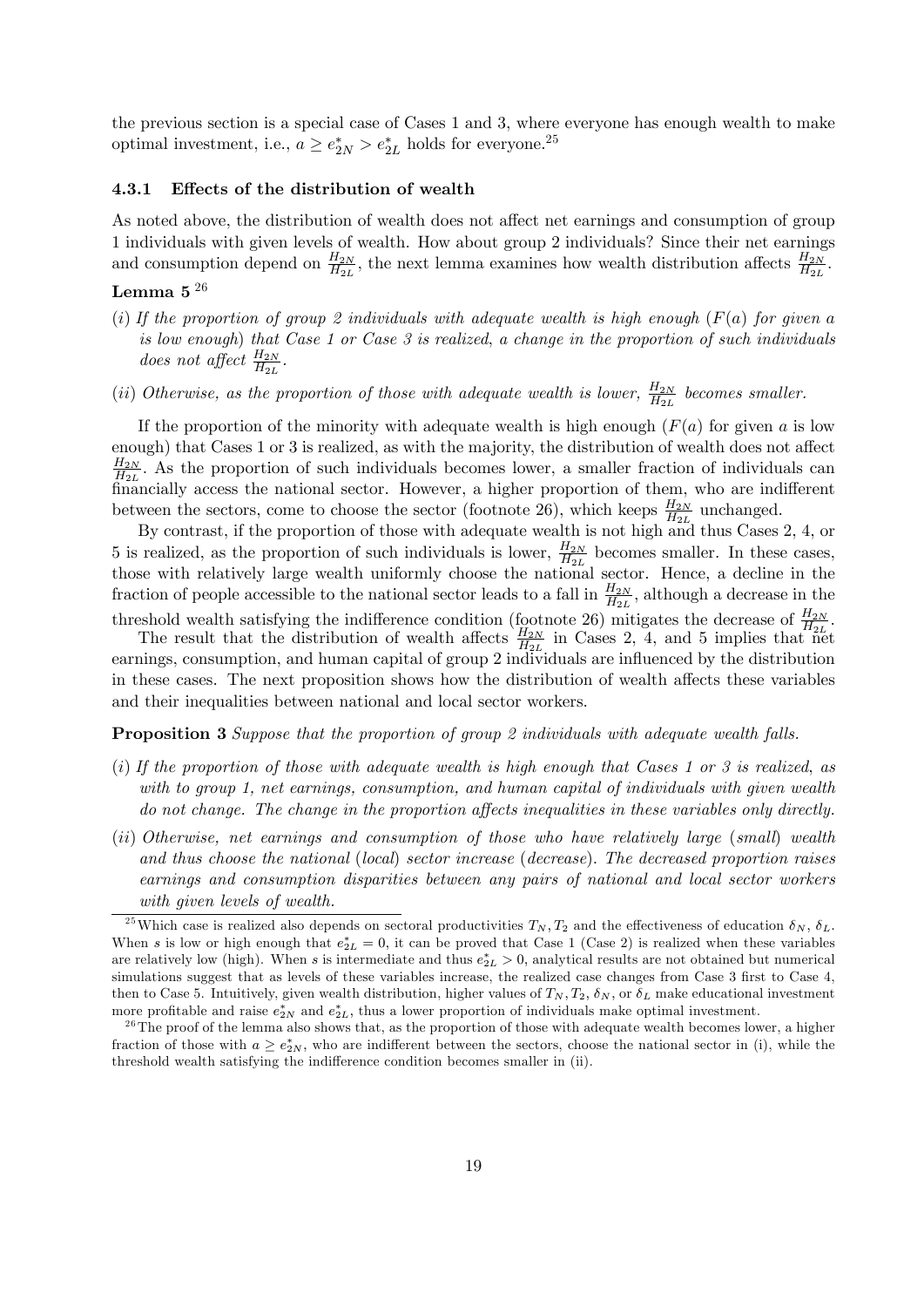the previous section is a special case of Cases 1 and 3, where everyone has enough wealth to make optimal investment, i.e.,  $a \ge e_{2N}^* > e_{2L}^*$  holds for everyone.<sup>25</sup>

#### 4.3.1 Effects of the distribution of wealth

As noted above, the distribution of wealth does not affect net earnings and consumption of group 1 individuals with given levels of wealth. How about group 2 individuals? Since their net earnings and consumption depend on  $\frac{H_{2N}}{H_{2L}}$ , the next lemma examines how wealth distribution affects  $\frac{H_{2N}}{H_{2L}}$ .

## Lemma 5 $^{\rm 26}$

- (i) If the proportion of group 2 individuals with adequate wealth is high enough  $(F(a))$  for given a is low enough) that Case 1 or Case  $3$  is realized, a change in the proportion of such individuals does not affect  $\frac{H_{2N}}{H_{2L}}$ .
- (ii) Otherwise, as the proportion of those with adequate wealth is lower,  $\frac{H_{2N}}{H_{2L}}$  becomes smaller.

If the proportion of the minority with adequate wealth is high enough  $(F(a)$  for given a is low enough) that Cases 1 or 3 is realized, as with the majority, the distribution of wealth does not affect  $_{H_{2N}}$  $\frac{H_{2N}}{H_{2L}}$ . As the proportion of such individuals becomes lower, a smaller fraction of individuals can financially access the national sector. However, a higher proportion of them, who are indifferent between the sectors, come to choose the sector (footnote 26), which keeps  $\frac{H_{2N}}{H_{2L}}$  unchanged.

By contrast, if the proportion of those with adequate wealth is not high and thus Cases 2, 4, or 5 is realized, as the proportion of such individuals is lower,  $\frac{H_{2N}}{H_{2L}}$  becomes smaller. In these cases, those with relatively large wealth uniformly choose the national sector. Hence, a decline in the fraction of people accessible to the national sector leads to a fall in  $\frac{H_{2N}}{H_{2L}}$ , although a decrease in the

threshold wealth satisfying the indifference condition (footnote 26) mitigates the decrease of  $\frac{H_{2N}}{H_{2L}}$ .

The result that the distribution of wealth affects  $\frac{H_{2N}}{H_{2L}}$  in Cases 2, 4, and 5 implies that net earnings, consumption, and human capital of group 2 individuals are influenced by the distribution in these cases. The next proposition shows how the distribution of wealth affects these variables and their inequalities between national and local sector workers.

Proposition 3 Suppose that the proportion of group 2 individuals with adequate wealth falls.

- (i) If the proportion of those with adequate wealth is high enough that Cases 1 or 3 is realized, as with to group 1, net earnings, consumption, and human capital of individuals with given wealth do not change. The change in the proportion affects inequalities in these variables only directly.
- (ii) Otherwise, net earnings and consumption of those who have relatively large (small) wealth and thus choose the national (local) sector increase (decrease): The decreased proportion raises earnings and consumption disparities between any pairs of national and local sector workers with given levels of wealth.

<sup>&</sup>lt;sup>25</sup>Which case is realized also depends on sectoral productivities  $T_N$ ,  $T_2$  and the effectiveness of education  $\delta_N$ ,  $\delta_L$ . When s is low or high enough that  $e_{2L}^* = 0$ , it can be proved that Case 1 (Case 2) is realized when these variables are relatively low (high). When s is intermediate and thus  $e_{2L}^*>0$ , analytical results are not obtained but numerical simulations suggest that as levels of these variables increase, the realized case changes from Case 3 first to Case 4, then to Case 5. Intuitively, given wealth distribution, higher values of  $T_N$ ,  $T_2$ ,  $\delta_N$ , or  $\delta_L$  make educational investment more profitable and raise  $e_{2N}^*$  and  $e_{2L}^*$ , thus a lower proportion of individuals make optimal investment.

 $2<sup>6</sup>$  The proof of the lemma also shows that, as the proportion of those with adequate wealth becomes lower, a higher fraction of those with  $a \ge e_{2N}^*$ , who are indifferent between the sectors, choose the national sector in (i), while the threshold wealth satisfying the indifference condition becomes smaller in (ii).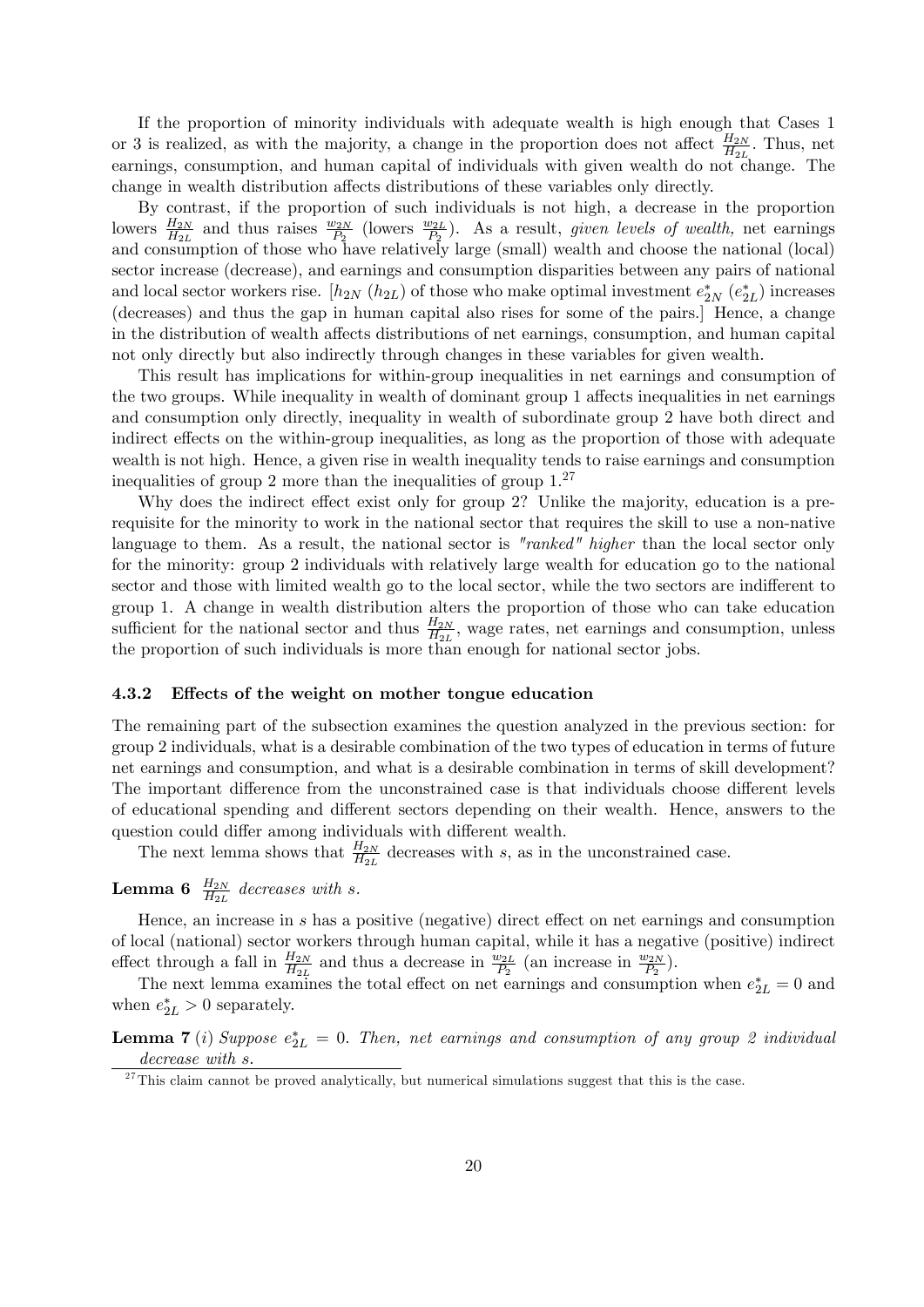If the proportion of minority individuals with adequate wealth is high enough that Cases 1 or 3 is realized, as with the majority, a change in the proportion does not affect  $\frac{H_{2N}}{H_{2L}}$ . Thus, net earnings, consumption, and human capital of individuals with given wealth do not change. The change in wealth distribution affects distributions of these variables only directly.

By contrast, if the proportion of such individuals is not high, a decrease in the proportion lowers  $\frac{H_{2N}}{H_{2L}}$  and thus raises  $\frac{w_{2N}}{P_2}$  (lowers  $\frac{w_{2L}}{P_2}$ ). As a result, given levels of wealth, net earnings and consumption of those who have relatively large (small) wealth and choose the national (local) sector increase (decrease), and earnings and consumption disparities between any pairs of national and local sector workers rise.  $[h_{2N} (h_{2L})$  of those who make optimal investment  $e_{2N}^* (e_{2L}^*)$  increases (decreases) and thus the gap in human capital also rises for some of the pairs.] Hence, a change in the distribution of wealth affects distributions of net earnings, consumption, and human capital not only directly but also indirectly through changes in these variables for given wealth.

This result has implications for within-group inequalities in net earnings and consumption of the two groups. While inequality in wealth of dominant group 1 affects inequalities in net earnings and consumption only directly, inequality in wealth of subordinate group 2 have both direct and indirect effects on the within-group inequalities, as long as the proportion of those with adequate wealth is not high. Hence, a given rise in wealth inequality tends to raise earnings and consumption inequalities of group 2 more than the inequalities of group  $1<sup>27</sup>$ 

Why does the indirect effect exist only for group 2? Unlike the majority, education is a prerequisite for the minority to work in the national sector that requires the skill to use a non-native language to them. As a result, the national sector is "ranked" higher than the local sector only for the minority: group 2 individuals with relatively large wealth for education go to the national sector and those with limited wealth go to the local sector, while the two sectors are indifferent to group 1. A change in wealth distribution alters the proportion of those who can take education sufficient for the national sector and thus  $\frac{H_{2N}}{H_{2L}}$ , wage rates, net earnings and consumption, unless the proportion of such individuals is more than enough for national sector jobs.

#### 4.3.2 Effects of the weight on mother tongue education

The remaining part of the subsection examines the question analyzed in the previous section: for group 2 individuals, what is a desirable combination of the two types of education in terms of future net earnings and consumption, and what is a desirable combination in terms of skill development? The important difference from the unconstrained case is that individuals choose different levels of educational spending and different sectors depending on their wealth. Hence, answers to the question could differ among individuals with different wealth.

The next lemma shows that  $\frac{H_{2N}}{H_{2L}}$  decreases with s, as in the unconstrained case.

# **Lemma 6**  $\frac{H_{2N}}{H_{2L}}$  decreases with s.

Hence, an increase in  $s$  has a positive (negative) direct effect on net earnings and consumption of local (national) sector workers through human capital, while it has a negative (positive) indirect effect through a fall in  $\frac{H_{2N}}{H_{2L}}$  and thus a decrease in  $\frac{w_{2L}}{P_2}$  (an increase in  $\frac{w_{2N}}{P_2}$ ).

The next lemma examines the total effect on net earnings and consumption when  $e_{2L}^* = 0$  and when  $e_{2L}^* > 0$  separately.

**Lemma 7** (i) Suppose  $e_{2L}^* = 0$ . Then, net earnings and consumption of any group 2 individual decrease with s.

 $\frac{27}{27}$ This claim cannot be proved analytically, but numerical simulations suggest that this is the case.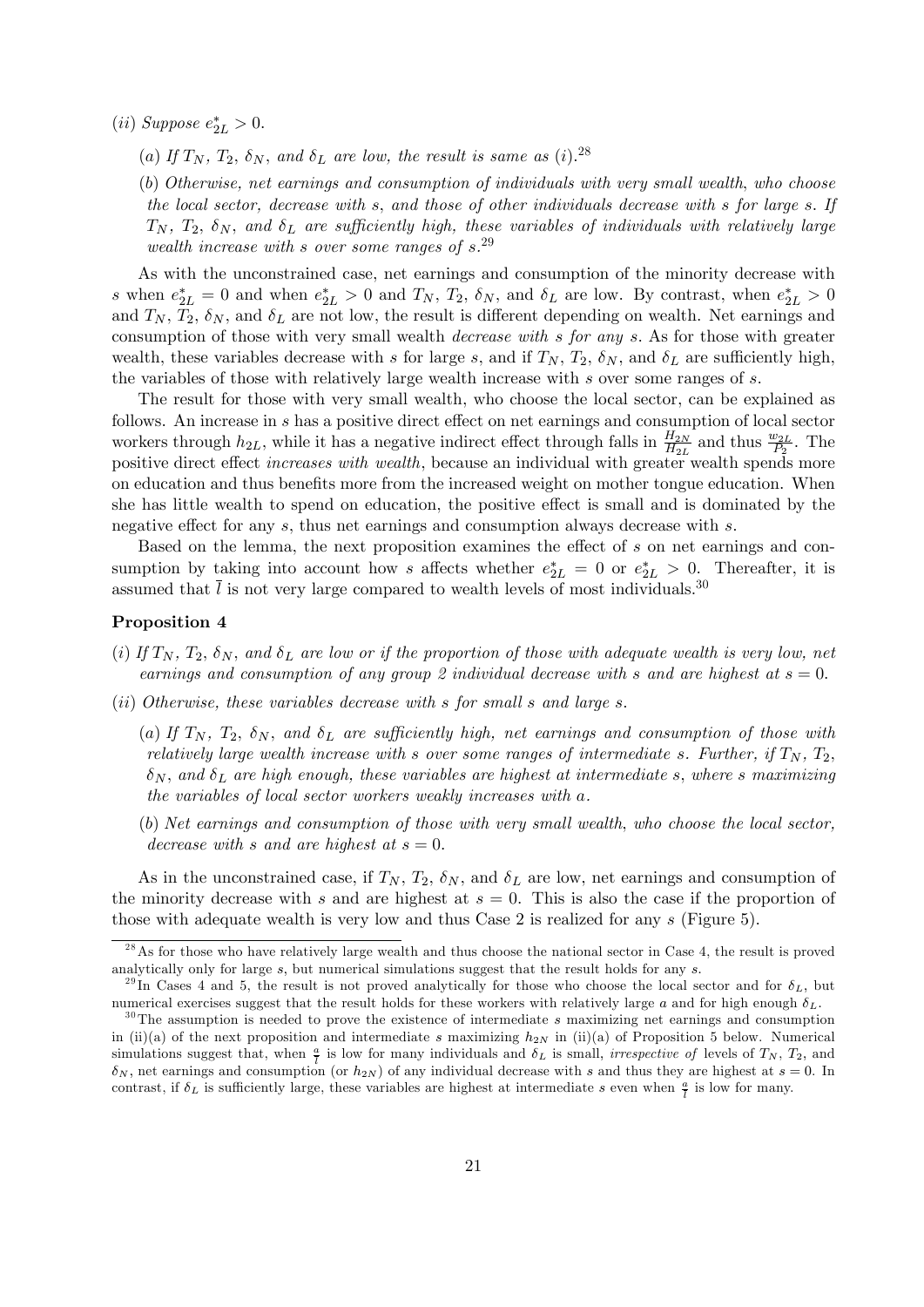(*ii*) Suppose  $e_{2L}^* > 0$ .

(a) If  $T_N$ ,  $T_2$ ,  $\delta_N$ , and  $\delta_L$  are low, the result is same as (i).<sup>28</sup>

(b) Otherwise, net earnings and consumption of individuals with very small wealth; who choose the local sector, decrease with s; and those of other individuals decrease with s for large s: If  $T_N$ ,  $T_2$ ,  $\delta_N$ , and  $\delta_L$  are sufficiently high, these variables of individuals with relatively large wealth increase with s over some ranges of  $s^{29}$ .

As with the unconstrained case, net earnings and consumption of the minority decrease with s when  $e_{2L}^* = 0$  and when  $e_{2L}^* > 0$  and  $T_N$ ,  $T_2$ ,  $\delta_N$ , and  $\delta_L$  are low. By contrast, when  $e_{2L}^* > 0$ and  $T_N$ ,  $T_2$ ,  $\delta_N$ , and  $\delta_L$  are not low, the result is different depending on wealth. Net earnings and consumption of those with very small wealth decrease with s for any s: As for those with greater wealth, these variables decrease with s for large s, and if  $T_N$ ,  $T_2$ ,  $\delta_N$ , and  $\delta_L$  are sufficiently high, the variables of those with relatively large wealth increase with  $s$  over some ranges of  $s$ .

The result for those with very small wealth, who choose the local sector, can be explained as follows. An increase in s has a positive direct effect on net earnings and consumption of local sector workers through  $h_{2L}$ , while it has a negative indirect effect through falls in  $\frac{H_{2N}}{H_{2L}}$  and thus  $\frac{w_{2L}}{P_2}$ . The positive direct effect *increases with wealth*, because an individual with greater wealth spends more on education and thus benefits more from the increased weight on mother tongue education. When she has little wealth to spend on education, the positive effect is small and is dominated by the negative effect for any  $s$ , thus net earnings and consumption always decrease with  $s$ .

Based on the lemma, the next proposition examines the effect of  $s$  on net earnings and consumption by taking into account how s affects whether  $e_{2L}^* = 0$  or  $e_{2L}^* > 0$ . Thereafter, it is assumed that  $\overline{l}$  is not very large compared to wealth levels of most individuals.<sup>30</sup>

#### Proposition 4

- (i) If  $T_N$ ,  $T_2$ ,  $\delta_N$ , and  $\delta_L$  are low or if the proportion of those with adequate wealth is very low, net earnings and consumption of any group 2 individual decrease with s and are highest at  $s = 0$ .
- $(ii)$  Otherwise, these variables decrease with s for small s and large s.
	- (a) If  $T_N$ ,  $T_2$ ,  $\delta_N$ , and  $\delta_L$  are sufficiently high, net earnings and consumption of those with relatively large wealth increase with s over some ranges of intermediate s. Further, if  $T_N$ ,  $T_2$ ,  $\delta_N$ , and  $\delta_L$  are high enough, these variables are highest at intermediate s, where s maximizing the variables of local sector workers weakly increases with a.
	- (b) Net earnings and consumption of those with very small wealth; who choose the local sector, decrease with s and are highest at  $s = 0$ .

As in the unconstrained case, if  $T_N$ ,  $T_2$ ,  $\delta_N$ , and  $\delta_L$  are low, net earnings and consumption of the minority decrease with s and are highest at  $s = 0$ . This is also the case if the proportion of those with adequate wealth is very low and thus Case 2 is realized for any s (Figure 5).

 $^{28}$ As for those who have relatively large wealth and thus choose the national sector in Case 4, the result is proved analytically only for large  $s$ , but numerical simulations suggest that the result holds for any  $s$ .

<sup>&</sup>lt;sup>29</sup>In Cases 4 and 5, the result is not proved analytically for those who choose the local sector and for  $\delta_L$ , but numerical exercises suggest that the result holds for these workers with relatively large a and for high enough  $\delta_L$ .

 $30$ The assumption is needed to prove the existence of intermediate s maximizing net earnings and consumption in (ii)(a) of the next proposition and intermediate s maximizing  $h_{2N}$  in (ii)(a) of Proposition 5 below. Numerical simulations suggest that, when  $\frac{a}{l}$  is low for many individuals and  $\delta_L$  is small, *irrespective of* levels of  $T_N$ ,  $T_2$ , and  $\delta_N$ , net earnings and consumption (or  $h_{2N}$ ) of any individual decrease with s and thus they are highest at  $s = 0$ . In contrast, if  $\delta_L$  is sufficiently large, these variables are highest at intermediate s even when  $\frac{a}{l}$  is low for many.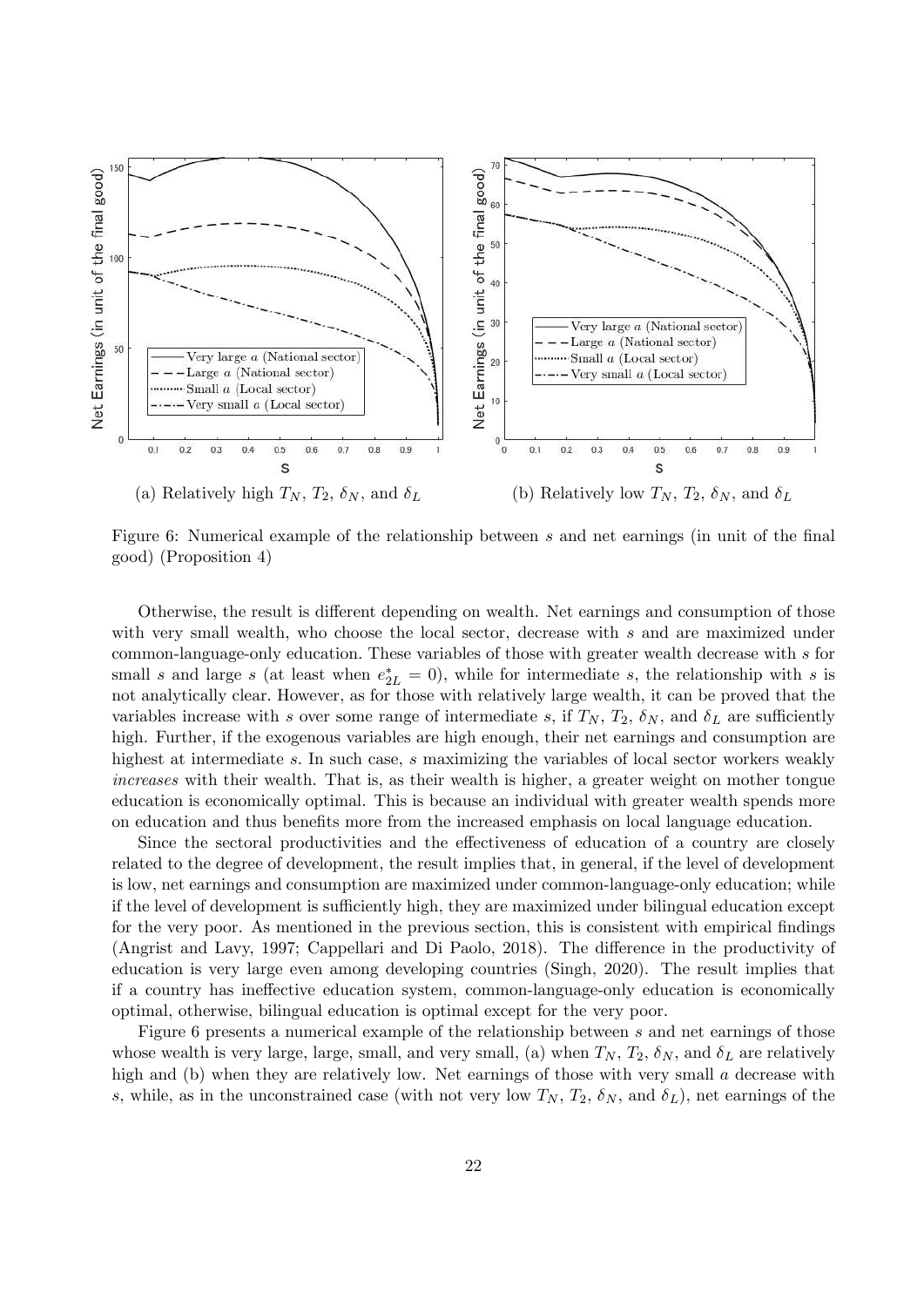

Figure 6: Numerical example of the relationship between s and net earnings (in unit of the final good) (Proposition 4)

Otherwise, the result is different depending on wealth. Net earnings and consumption of those with very small wealth, who choose the local sector, decrease with  $s$  and are maximized under common-language-only education: These variables of those with greater wealth decrease with s for small s and large s (at least when  $e_{2L}^* = 0$ ), while for intermediate s, the relationship with s is not analytically clear: However, as for those with relatively large wealth, it can be proved that the variables increase with s over some range of intermediate s, if  $T_N$ ,  $T_2$ ,  $\delta_N$ , and  $\delta_L$  are sufficiently high. Further, if the exogenous variables are high enough, their net earnings and consumption are highest at intermediate s. In such case, s maximizing the variables of local sector workers weakly increases with their wealth. That is, as their wealth is higher, a greater weight on mother tongue education is economically optimal. This is because an individual with greater wealth spends more on education and thus benefits more from the increased emphasis on local language education.

Since the sectoral productivities and the effectiveness of education of a country are closely related to the degree of development, the result implies that, in general, if the level of development is low, net earnings and consumption are maximized under common-language-only education; while if the level of development is sufficiently high, they are maximized under bilingual education except for the very poor. As mentioned in the previous section, this is consistent with empirical findings (Angrist and Lavy, 1997; Cappellari and Di Paolo, 2018). The difference in the productivity of education is very large even among developing countries (Singh, 2020). The result implies that if a country has ineffective education system, common-language-only education is economically optimal, otherwise, bilingual education is optimal except for the very poor.

Figure 6 presents a numerical example of the relationship between s and net earnings of those whose wealth is very large, large, small, and very small, (a) when  $T_N$ ,  $T_2$ ,  $\delta_N$ , and  $\delta_L$  are relatively high and (b) when they are relatively low. Net earnings of those with very small  $\alpha$  decrease with s, while, as in the unconstrained case (with not very low  $T_N$ ,  $T_2$ ,  $\delta_N$ , and  $\delta_L$ ), net earnings of the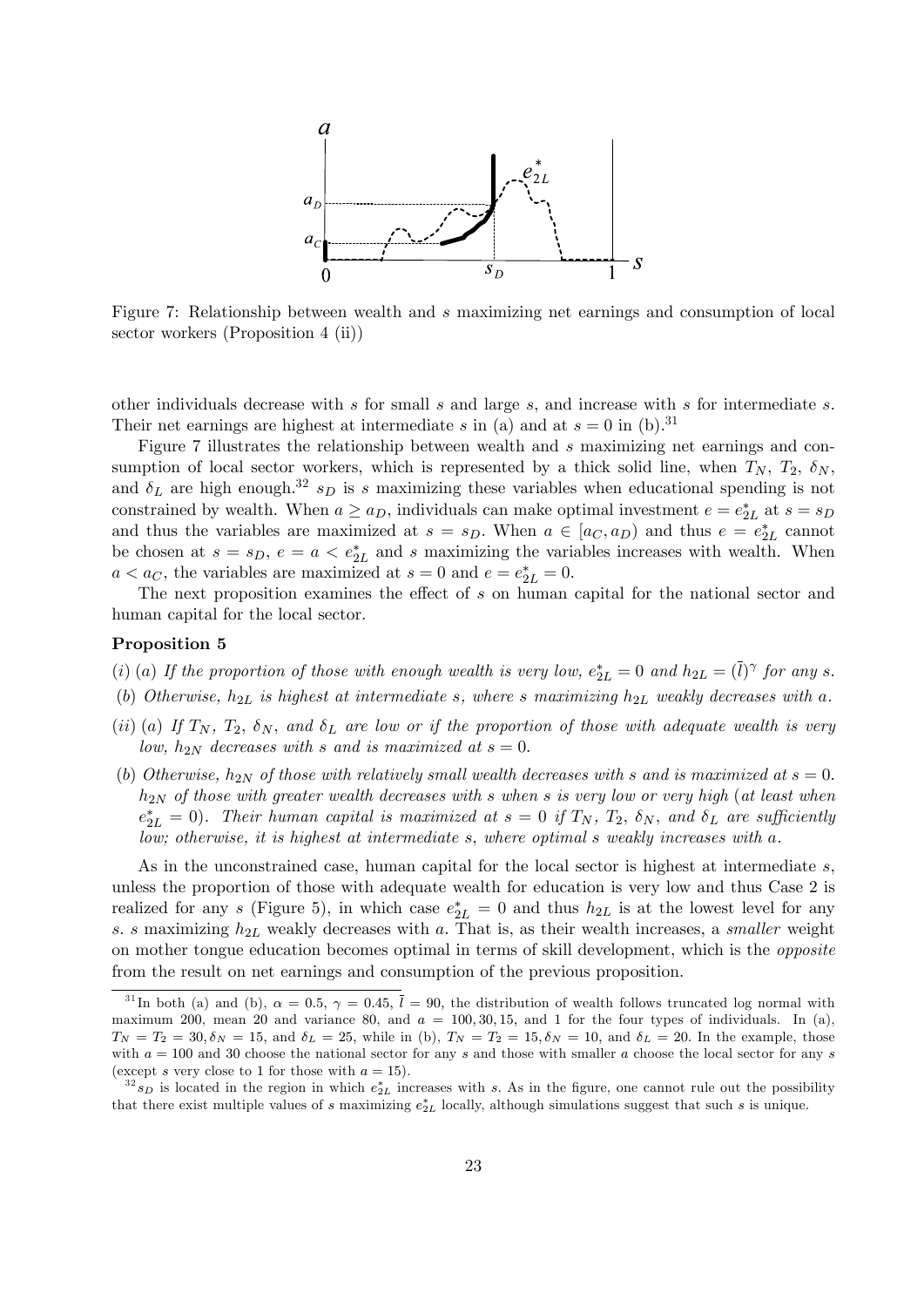

Figure 7: Relationship between wealth and s maximizing net earnings and consumption of local sector workers (Proposition 4 (ii))

other individuals decrease with s for small s and large s; and increase with s for intermediate s. Their net earnings are highest at intermediate s in (a) and at  $s = 0$  in (b).<sup>31</sup>

Figure 7 illustrates the relationship between wealth and s maximizing net earnings and consumption of local sector workers, which is represented by a thick solid line, when  $T_N$ ,  $T_2$ ,  $\delta_N$ . and  $\delta_L$  are high enough.<sup>32</sup> s<sub>D</sub> is s maximizing these variables when educational spending is not constrained by wealth. When  $a \ge a_D$ , individuals can make optimal investment  $e = e_{2L}^*$  at  $s = s_D$ and thus the variables are maximized at  $s = s_D$ . When  $a \in [a_C, a_D)$  and thus  $e = e_{2L}^*$  cannot be chosen at  $s = s_D$ ,  $e = a < e_{2L}^*$  and s maximizing the variables increases with wealth. When  $a < a_C$ , the variables are maximized at  $s = 0$  and  $e = e_{2L}^* = 0$ .

The next proposition examines the effect of  $s$  on human capital for the national sector and human capital for the local sector.

#### Proposition 5

- (i) (a) If the proportion of those with enough wealth is very low,  $e_{2L}^* = 0$  and  $h_{2L} = (\overline{l})^{\gamma}$  for any s.
- (b) Otherwise,  $h_{2L}$  is highest at intermediate s, where s maximizing  $h_{2L}$  weakly decreases with a.
- (ii) (a) If  $T_N$ ,  $T_2$ ,  $\delta_N$ , and  $\delta_L$  are low or if the proportion of those with adequate wealth is very low,  $h_{2N}$  decreases with s and is maximized at  $s = 0$ .
- (b) Otherwise,  $h_{2N}$  of those with relatively small wealth decreases with s and is maximized at  $s = 0$ .  $h_{2N}$  of those with greater wealth decreases with s when s is very low or very high (at least when  $e_{2L}^* = 0$ ). Their human capital is maximized at  $s = 0$  if  $T_N$ ,  $T_2$ ,  $\delta_N$ , and  $\delta_L$  are sufficiently low; otherwise, it is highest at intermediate s, where optimal s weakly increases with a.

As in the unconstrained case, human capital for the local sector is highest at intermediate s. unless the proportion of those with adequate wealth for education is very low and thus Case 2 is realized for any s (Figure 5), in which case  $e_{2L}^* = 0$  and thus  $h_{2L}$  is at the lowest level for any s. s maximizing  $h_{2L}$  weakly decreases with a. That is, as their wealth increases, a smaller weight on mother tongue education becomes optimal in terms of skill development, which is the opposite from the result on net earnings and consumption of the previous proposition.

<sup>&</sup>lt;sup>31</sup>In both (a) and (b),  $\alpha = 0.5$ ,  $\gamma = 0.45$ ,  $\overline{l} = 90$ , the distribution of wealth follows truncated log normal with maximum 200, mean 20 and variance 80, and  $a = 100, 30, 15$ , and 1 for the four types of individuals. In (a),  $T_N = T_2 = 30, \delta_N = 15$ , and  $\delta_L = 25$ , while in (b),  $T_N = T_2 = 15, \delta_N = 10$ , and  $\delta_L = 20$ . In the example, those with  $a = 100$  and 30 choose the national sector for any s and those with smaller a choose the local sector for any s (except s very close to 1 for those with  $a = 15$ ).

 $^{32}s_D$  is located in the region in which  $e_{2L}^*$  increases with s. As in the figure, one cannot rule out the possibility that there exist multiple values of s maximizing  $e_{2L}^*$  locally, although simulations suggest that such s is unique.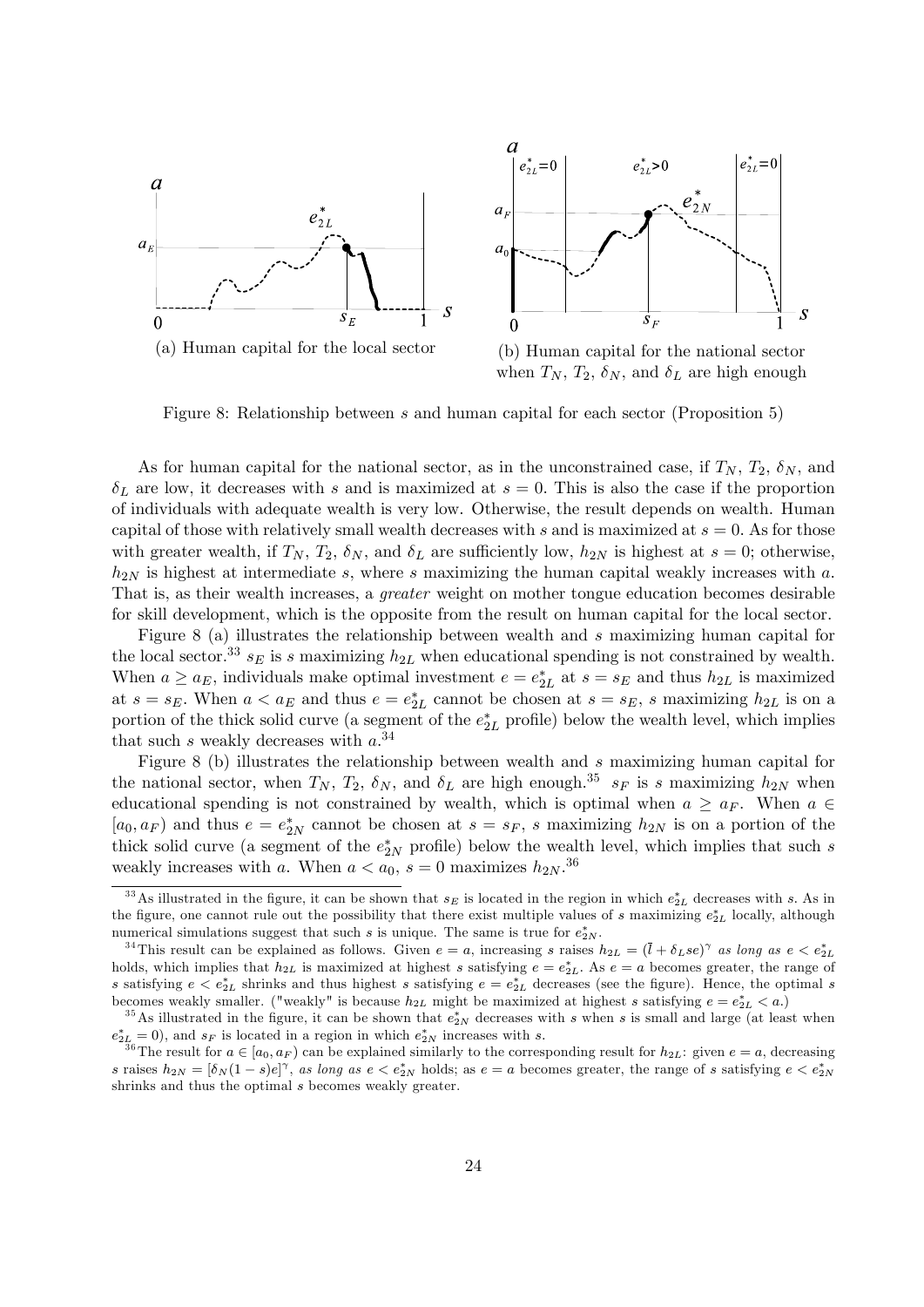



when  $T_N$ ,  $T_2$ ,  $\delta_N$ , and  $\delta_L$  are high enough

Figure 8: Relationship between s and human capital for each sector (Proposition 5)

As for human capital for the national sector, as in the unconstrained case, if  $T_N$ ,  $T_2$ ,  $\delta_N$ , and  $\delta_L$  are low, it decreases with s and is maximized at  $s = 0$ . This is also the case if the proportion of individuals with adequate wealth is very low. Otherwise, the result depends on wealth. Human capital of those with relatively small wealth decreases with s and is maximized at  $s = 0$ . As for those with greater wealth, if  $T_N$ ,  $T_2$ ,  $\delta_N$ , and  $\delta_L$  are sufficiently low,  $h_{2N}$  is highest at  $s = 0$ ; otherwise,  $h_{2N}$  is highest at intermediate s, where s maximizing the human capital weakly increases with a. That is, as their wealth increases, a greater weight on mother tongue education becomes desirable for skill development, which is the opposite from the result on human capital for the local sector.

Figure 8 (a) illustrates the relationship between wealth and s maximizing human capital for the local sector.<sup>33</sup>  $s_E$  is s maximizing  $h_{2L}$  when educational spending is not constrained by wealth. When  $a \ge a_E$ , individuals make optimal investment  $e = e_{2L}^*$  at  $s = s_E$  and thus  $h_{2L}$  is maximized at  $s = s_E$ . When  $a < a_E$  and thus  $e = e_{2L}^*$  cannot be chosen at  $s = s_E$ , s maximizing  $h_{2L}$  is on a portion of the thick solid curve (a segment of the  $e_{2L}^*$  profile) below the wealth level, which implies that such s weakly decreases with  $a^{34}$ 

Figure 8 (b) illustrates the relationship between wealth and s maximizing human capital for the national sector, when  $T_N$ ,  $T_2$ ,  $\delta_N$ , and  $\delta_L$  are high enough.<sup>35</sup>  $s_F$  is s maximizing  $h_{2N}$  when educational spending is not constrained by wealth, which is optimal when  $a \ge a_F$ . When  $a \in$  $[a_0, a_F]$  and thus  $e = e_{2N}^*$  cannot be chosen at  $s = s_F$ , s maximizing  $h_{2N}$  is on a portion of the thick solid curve (a segment of the  $e_{2N}^*$  profile) below the wealth level, which implies that such s weakly increases with a. When  $a < a_0$ ,  $s = 0$  maximizes  $h_{2N}$ <sup>36</sup>

<sup>&</sup>lt;sup>33</sup>As illustrated in the figure, it can be shown that  $s_E$  is located in the region in which  $e_{2L}^*$  decreases with s. As in the figure, one cannot rule out the possibility that there exist multiple values of s maximizing  $e_{2L}^*$  locally, although numerical simulations suggest that such s is unique. The same is true for  $e_{2N}^*$ .

<sup>&</sup>lt;sup>34</sup>This result can be explained as follows. Given  $e = a$ , increasing s raises  $h_{2L} = (\bar{l} + \delta_L s e)^{\gamma}$  as long as  $e < e_{2L}^*$ holds, which implies that  $h_{2L}$  is maximized at highest s satisfying  $e = e_{2L}^*$ . As  $e = a$  becomes greater, the range of s satisfying  $e \leq e_{2L}^*$  shrinks and thus highest s satisfying  $e = e_{2L}^*$  decreases (see the figure). Hence, the optimal s becomes weakly smaller. ("weakly" is because  $h_{2L}$  might be maximized at highest s satisfying  $e = e_{2L}^* < a$ .)

<sup>&</sup>lt;sup>35</sup>As illustrated in the figure, it can be shown that  $e_{2N}^*$  decreases with s when s is small and large (at least when  $e_{2L}^* = 0$ , and  $s_F$  is located in a region in which  $e_{2N}^*$  increases with s.

<sup>&</sup>lt;sup>36</sup>The result for  $a \in [a_0, a_F)$  can be explained similarly to the corresponding result for  $h_{2L}$ : given  $e = a$ , decreasing s raises  $h_{2N} = [\delta_N(1-s)e]^\gamma$ , as long as  $e < e_{2N}^*$  holds; as  $e = a$  becomes greater, the range of s satisfying  $e < e_{2N}^*$ shrinks and thus the optimal s becomes weakly greater.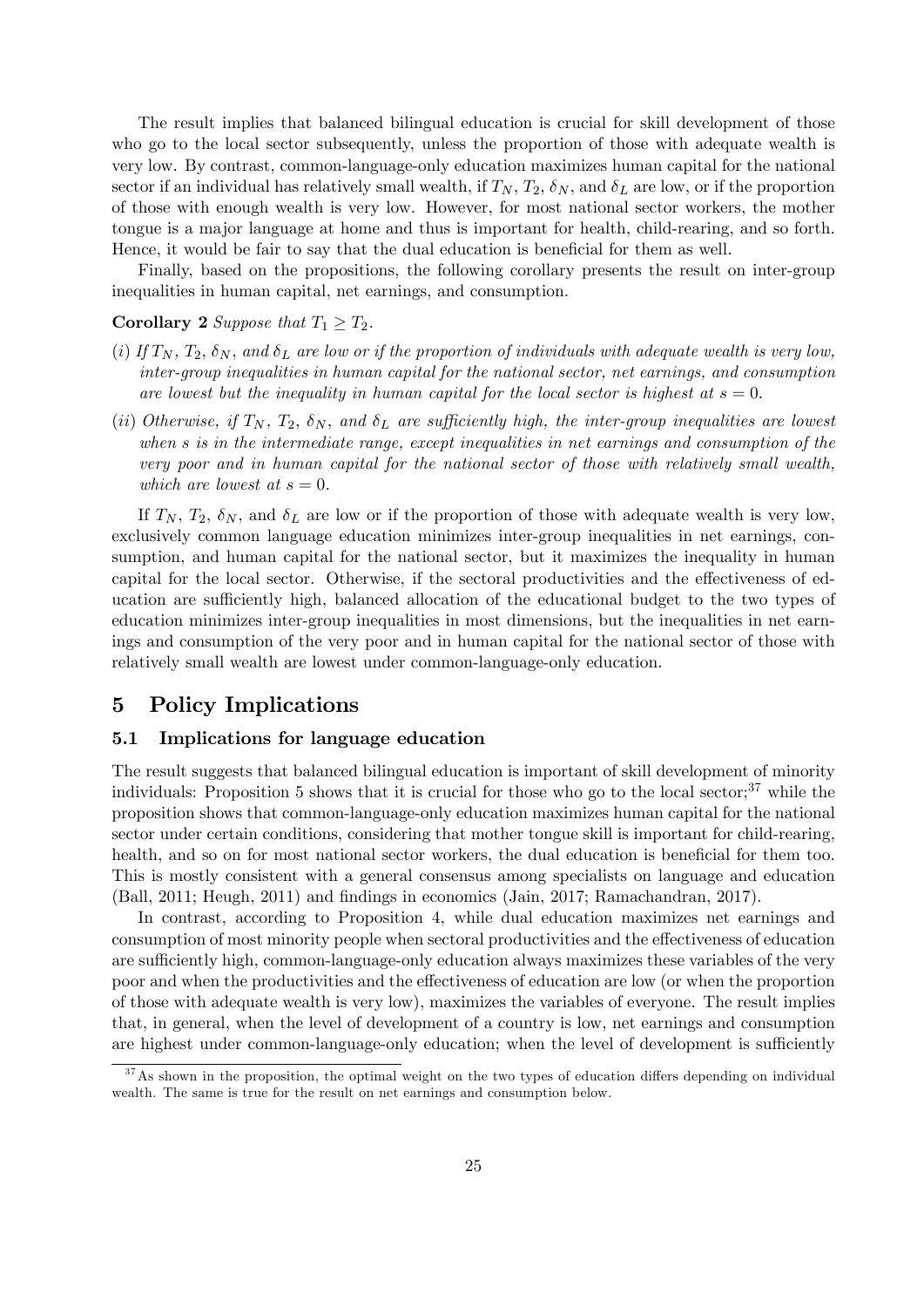The result implies that balanced bilingual education is crucial for skill development of those who go to the local sector subsequently, unless the proportion of those with adequate wealth is very low. By contrast, common-language-only education maximizes human capital for the national sector if an individual has relatively small wealth, if  $T_N$ ,  $T_2$ ,  $\delta_N$ , and  $\delta_L$  are low, or if the proportion of those with enough wealth is very low. However, for most national sector workers, the mother tongue is a major language at home and thus is important for health, child-rearing, and so forth. Hence, it would be fair to say that the dual education is beneficial for them as well.

Finally, based on the propositions, the following corollary presents the result on inter-group inequalities in human capital, net earnings, and consumption.

#### **Corollary 2** Suppose that  $T_1 \geq T_2$ .

- (i) If  $T_N$ ,  $T_2$ ,  $\delta_N$ , and  $\delta_L$  are low or if the proportion of individuals with adequate wealth is very low, inter-group inequalities in human capital for the national sector, net earnings, and consumption are lowest but the inequality in human capital for the local sector is highest at  $s = 0$ .
- (ii) Otherwise, if  $T_N$ ,  $T_2$ ,  $\delta_N$ , and  $\delta_L$  are sufficiently high, the inter-group inequalities are lowest when s is in the intermediate range, except inequalities in net earnings and consumption of the very poor and in human capital for the national sector of those with relatively small wealth, which are lowest at  $s = 0$ .

If  $T_N$ ,  $T_2$ ,  $\delta_N$ , and  $\delta_L$  are low or if the proportion of those with adequate wealth is very low, exclusively common language education minimizes inter-group inequalities in net earnings, consumption, and human capital for the national sector, but it maximizes the inequality in human capital for the local sector. Otherwise, if the sectoral productivities and the effectiveness of education are sufficiently high, balanced allocation of the educational budget to the two types of education minimizes inter-group inequalities in most dimensions, but the inequalities in net earnings and consumption of the very poor and in human capital for the national sector of those with relatively small wealth are lowest under common-language-only education.

# 5 Policy Implications

#### 5.1 Implications for language education

The result suggests that balanced bilingual education is important of skill development of minority individuals: Proposition 5 shows that it is crucial for those who go to the local sector; $37$  while the proposition shows that common-language-only education maximizes human capital for the national sector under certain conditions, considering that mother tongue skill is important for child-rearing, health, and so on for most national sector workers, the dual education is beneficial for them too. This is mostly consistent with a general consensus among specialists on language and education (Ball, 2011; Heugh, 2011) and Öndings in economics (Jain, 2017; Ramachandran, 2017).

In contrast, according to Proposition 4, while dual education maximizes net earnings and consumption of most minority people when sectoral productivities and the effectiveness of education are sufficiently high, common-language-only education always maximizes these variables of the very poor and when the productivities and the effectiveness of education are low (or when the proportion of those with adequate wealth is very low), maximizes the variables of everyone. The result implies that, in general, when the level of development of a country is low, net earnings and consumption are highest under common-language-only education; when the level of development is sufficiently

 $37$ As shown in the proposition, the optimal weight on the two types of education differs depending on individual wealth. The same is true for the result on net earnings and consumption below.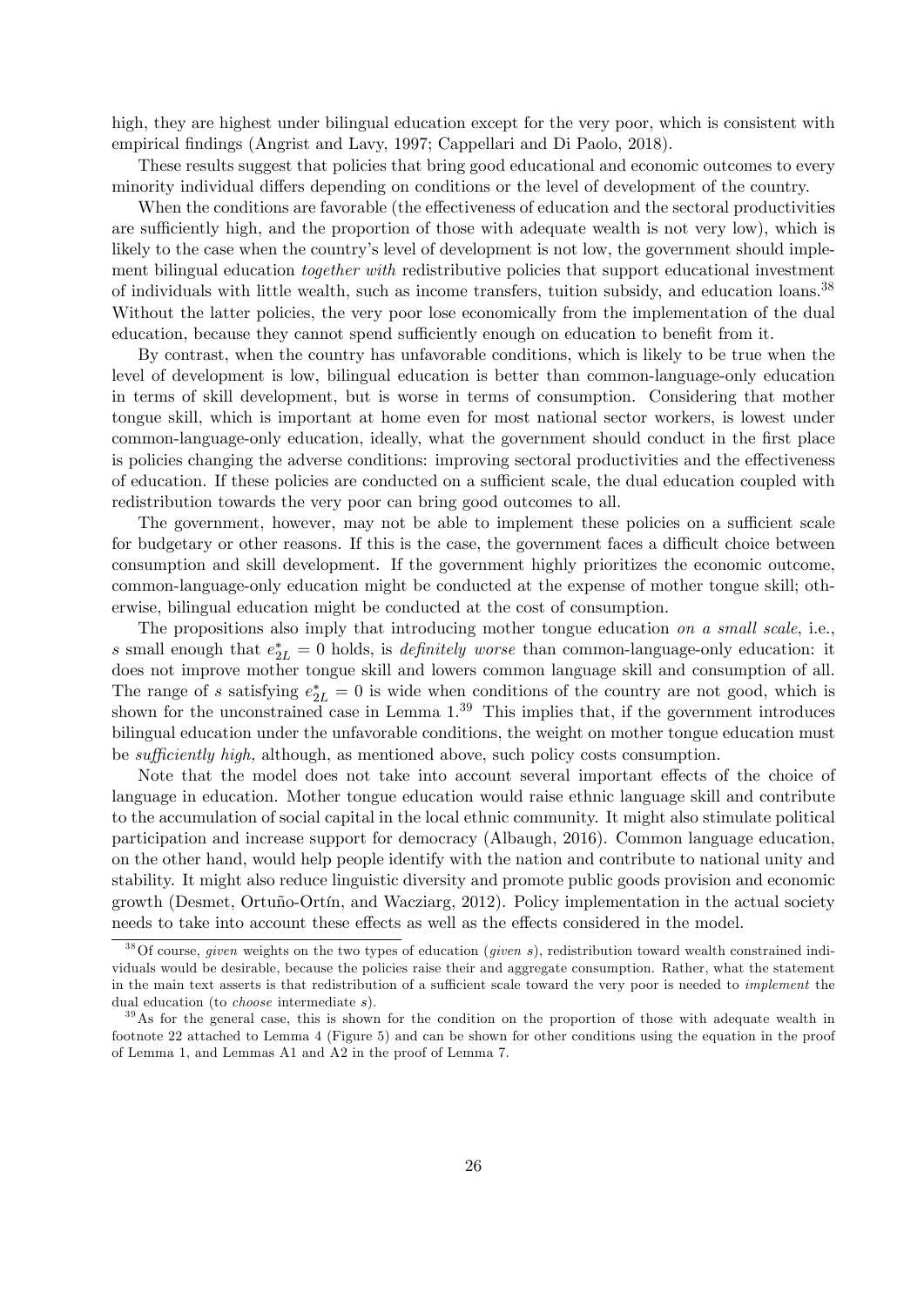high, they are highest under bilingual education except for the very poor, which is consistent with empirical findings (Angrist and Lavy, 1997; Cappellari and Di Paolo, 2018).

These results suggest that policies that bring good educational and economic outcomes to every minority individual differs depending on conditions or the level of development of the country.

When the conditions are favorable (the effectiveness of education and the sectoral productivities are sufficiently high, and the proportion of those with adequate wealth is not very low), which is likely to the case when the country's level of development is not low, the government should implement bilingual education *together with* redistributive policies that support educational investment of individuals with little wealth, such as income transfers, tuition subsidy, and education loans.<sup>38</sup> Without the latter policies, the very poor lose economically from the implementation of the dual education, because they cannot spend sufficiently enough on education to benefit from it.

By contrast, when the country has unfavorable conditions, which is likely to be true when the level of development is low, bilingual education is better than common-language-only education in terms of skill development, but is worse in terms of consumption. Considering that mother tongue skill, which is important at home even for most national sector workers, is lowest under common-language-only education, ideally, what the government should conduct in the first place is policies changing the adverse conditions: improving sectoral productivities and the effectiveness of education. If these policies are conducted on a sufficient scale, the dual education coupled with redistribution towards the very poor can bring good outcomes to all.

The government, however, may not be able to implement these policies on a sufficient scale for budgetary or other reasons. If this is the case, the government faces a difficult choice between consumption and skill development. If the government highly prioritizes the economic outcome, common-language-only education might be conducted at the expense of mother tongue skill; otherwise, bilingual education might be conducted at the cost of consumption.

The propositions also imply that introducing mother tongue education on a small scale, i.e., s small enough that  $e_{2L}^* = 0$  holds, is *definitely worse* than common-language-only education: it does not improve mother tongue skill and lowers common language skill and consumption of all. The range of s satisfying  $e_{2L}^* = 0$  is wide when conditions of the country are not good, which is shown for the unconstrained case in Lemma  $1<sup>39</sup>$ . This implies that, if the government introduces bilingual education under the unfavorable conditions, the weight on mother tongue education must be *sufficiently high*, although, as mentioned above, such policy costs consumption.

Note that the model does not take into account several important effects of the choice of language in education. Mother tongue education would raise ethnic language skill and contribute to the accumulation of social capital in the local ethnic community. It might also stimulate political participation and increase support for democracy (Albaugh, 2016). Common language education, on the other hand, would help people identify with the nation and contribute to national unity and stability. It might also reduce linguistic diversity and promote public goods provision and economic growth (Desmet, Ortuño-Ortín, and Wacziarg, 2012). Policy implementation in the actual society needs to take into account these effects as well as the effects considered in the model.

<sup>&</sup>lt;sup>38</sup>Of course, *given* weights on the two types of education (*given s*), redistribution toward wealth constrained individuals would be desirable, because the policies raise their and aggregate consumption. Rather, what the statement in the main text asserts is that redistribution of a sufficient scale toward the very poor is needed to *implement* the dual education (to choose intermediate s).

<sup>&</sup>lt;sup>39</sup>As for the general case, this is shown for the condition on the proportion of those with adequate wealth in footnote 22 attached to Lemma 4 (Figure 5) and can be shown for other conditions using the equation in the proof of Lemma 1, and Lemmas A1 and A2 in the proof of Lemma 7.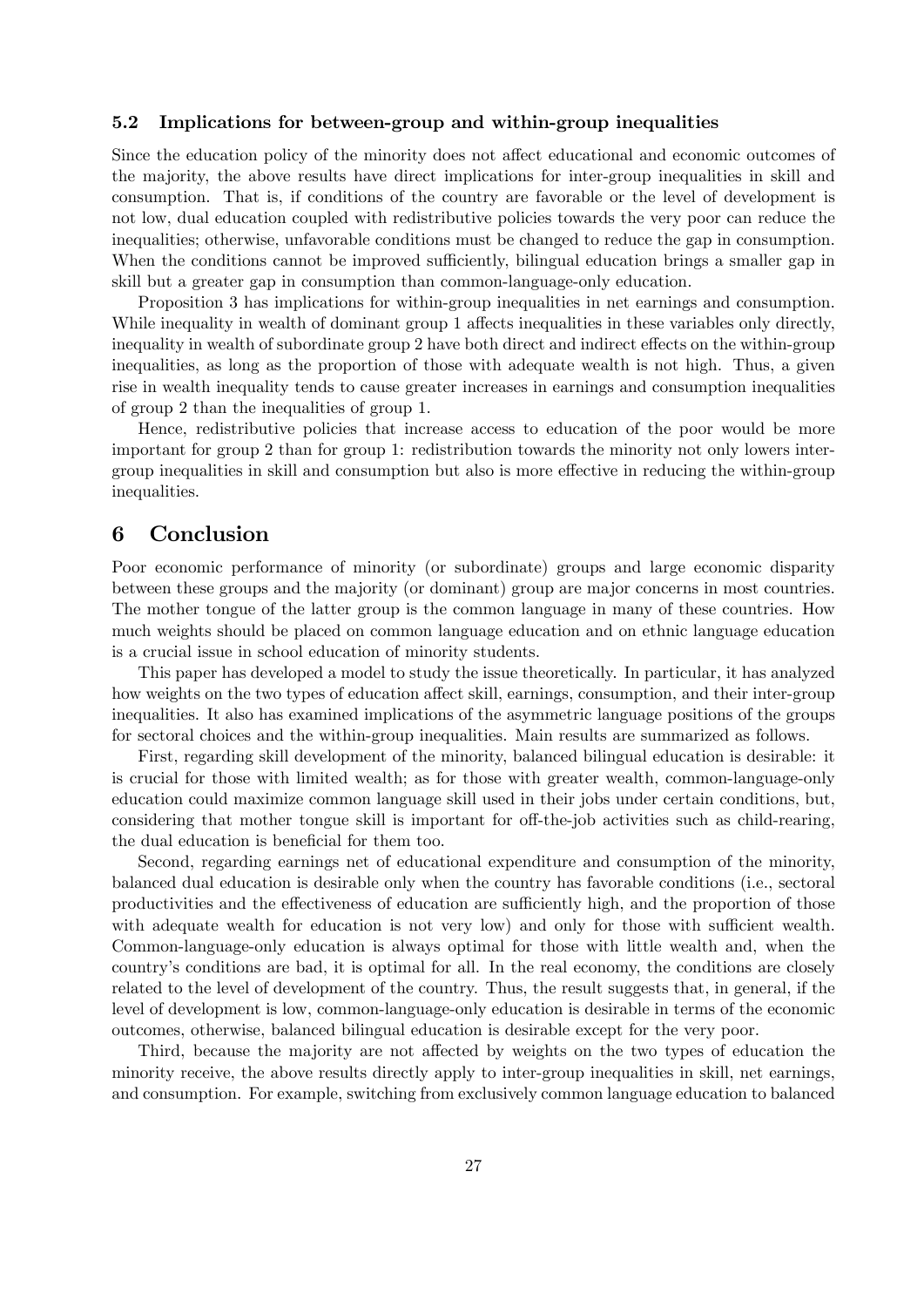#### 5.2 Implications for between-group and within-group inequalities

Since the education policy of the minority does not affect educational and economic outcomes of the majority, the above results have direct implications for inter-group inequalities in skill and consumption. That is, if conditions of the country are favorable or the level of development is not low, dual education coupled with redistributive policies towards the very poor can reduce the inequalities; otherwise, unfavorable conditions must be changed to reduce the gap in consumption. When the conditions cannot be improved sufficiently, bilingual education brings a smaller gap in skill but a greater gap in consumption than common-language-only education.

Proposition 3 has implications for within-group inequalities in net earnings and consumption. While inequality in wealth of dominant group 1 affects inequalities in these variables only directly, inequality in wealth of subordinate group 2 have both direct and indirect effects on the within-group inequalities, as long as the proportion of those with adequate wealth is not high. Thus, a given rise in wealth inequality tends to cause greater increases in earnings and consumption inequalities of group 2 than the inequalities of group 1.

Hence, redistributive policies that increase access to education of the poor would be more important for group 2 than for group 1: redistribution towards the minority not only lowers intergroup inequalities in skill and consumption but also is more effective in reducing the within-group inequalities.

# 6 Conclusion

Poor economic performance of minority (or subordinate) groups and large economic disparity between these groups and the majority (or dominant) group are major concerns in most countries. The mother tongue of the latter group is the common language in many of these countries. How much weights should be placed on common language education and on ethnic language education is a crucial issue in school education of minority students.

This paper has developed a model to study the issue theoretically. In particular, it has analyzed how weights on the two types of education affect skill, earnings, consumption, and their inter-group inequalities. It also has examined implications of the asymmetric language positions of the groups for sectoral choices and the within-group inequalities. Main results are summarized as follows.

First, regarding skill development of the minority, balanced bilingual education is desirable: it is crucial for those with limited wealth; as for those with greater wealth, common-language-only education could maximize common language skill used in their jobs under certain conditions, but, considering that mother tongue skill is important for off-the-job activities such as child-rearing, the dual education is beneficial for them too.

Second, regarding earnings net of educational expenditure and consumption of the minority, balanced dual education is desirable only when the country has favorable conditions (i.e., sectoral productivities and the effectiveness of education are sufficiently high, and the proportion of those with adequate wealth for education is not very low) and only for those with sufficient wealth. Common-language-only education is always optimal for those with little wealth and, when the countryís conditions are bad, it is optimal for all. In the real economy, the conditions are closely related to the level of development of the country. Thus, the result suggests that, in general, if the level of development is low, common-language-only education is desirable in terms of the economic outcomes, otherwise, balanced bilingual education is desirable except for the very poor.

Third, because the majority are not affected by weights on the two types of education the minority receive, the above results directly apply to inter-group inequalities in skill, net earnings, and consumption. For example, switching from exclusively common language education to balanced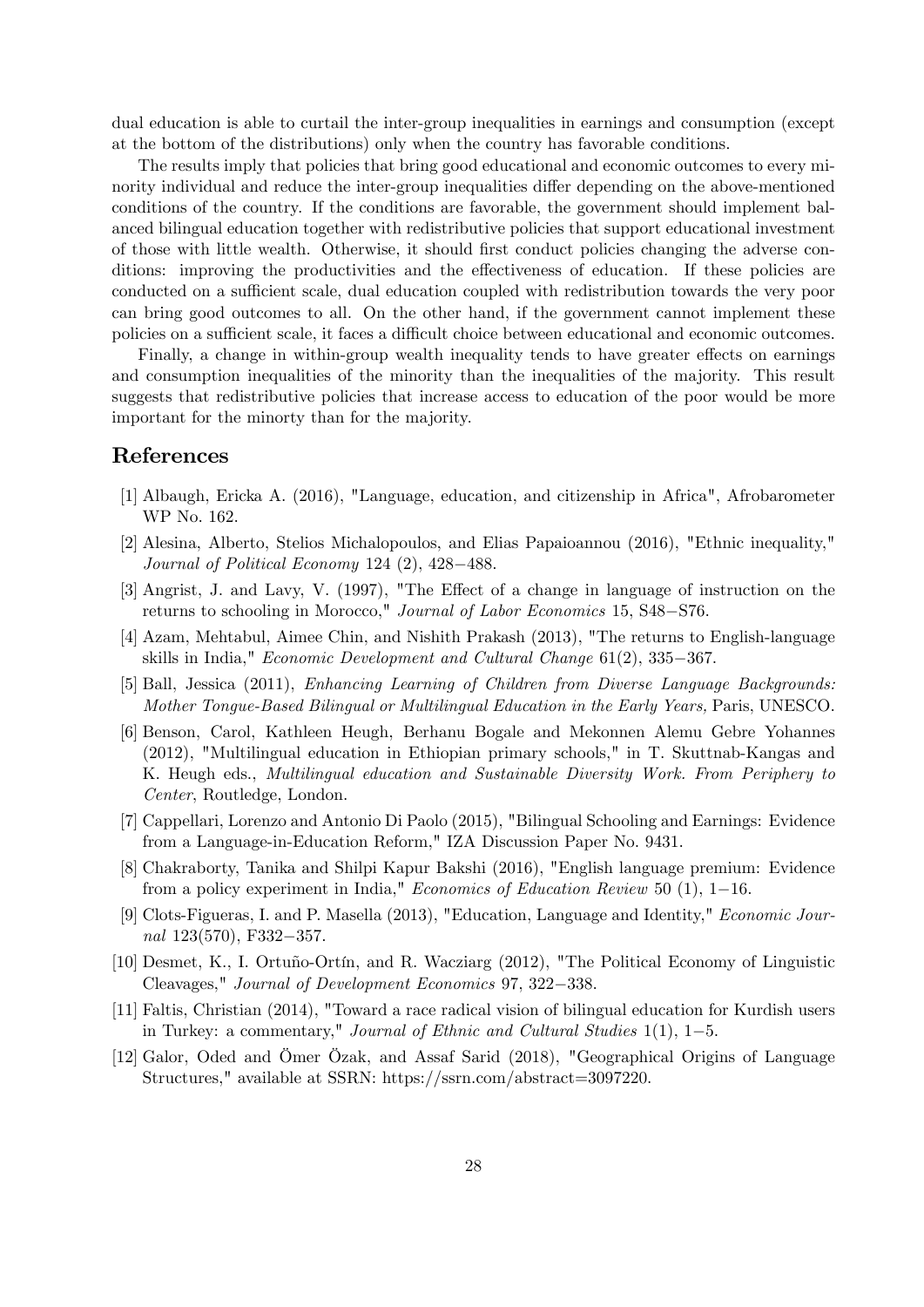dual education is able to curtail the inter-group inequalities in earnings and consumption (except at the bottom of the distributions) only when the country has favorable conditions.

The results imply that policies that bring good educational and economic outcomes to every minority individual and reduce the inter-group inequalities differ depending on the above-mentioned conditions of the country. If the conditions are favorable, the government should implement balanced bilingual education together with redistributive policies that support educational investment of those with little wealth. Otherwise, it should first conduct policies changing the adverse conditions: improving the productivities and the effectiveness of education. If these policies are conducted on a sufficient scale, dual education coupled with redistribution towards the very poor can bring good outcomes to all. On the other hand, if the government cannot implement these policies on a sufficient scale, it faces a difficult choice between educational and economic outcomes.

Finally, a change in within-group wealth inequality tends to have greater effects on earnings and consumption inequalities of the minority than the inequalities of the majority. This result suggests that redistributive policies that increase access to education of the poor would be more important for the minorty than for the majority.

### References

- [1] Albaugh, Ericka A. (2016), "Language, education, and citizenship in Africa", Afrobarometer WP No. 162.
- [2] Alesina, Alberto, Stelios Michalopoulos, and Elias Papaioannou (2016), "Ethnic inequality," Journal of Political Economy 124  $(2)$ , 428-488.
- [3] Angrist, J. and Lavy, V. (1997), "The Effect of a change in language of instruction on the returns to schooling in Morocco," Journal of Labor Economics 15, S48–S76.
- [4] Azam, Mehtabul, Aimee Chin, and Nishith Prakash (2013), "The returns to English-language skills in India." *Economic Development and Cultural Change*  $61(2)$ ,  $335-367$ .
- [5] Ball, Jessica (2011), Enhancing Learning of Children from Diverse Language Backgrounds: Mother Tongue-Based Bilingual or Multilingual Education in the Early Years, Paris, UNESCO.
- [6] Benson, Carol, Kathleen Heugh, Berhanu Bogale and Mekonnen Alemu Gebre Yohannes (2012), "Multilingual education in Ethiopian primary schools," in T. Skuttnab-Kangas and K. Heugh eds., Multilingual education and Sustainable Diversity Work. From Periphery to Center, Routledge, London.
- [7] Cappellari, Lorenzo and Antonio Di Paolo (2015), "Bilingual Schooling and Earnings: Evidence from a Language-in-Education Reform," IZA Discussion Paper No. 9431.
- [8] Chakraborty, Tanika and Shilpi Kapur Bakshi (2016), "English language premium: Evidence from a policy experiment in India," *Economics of Education Review* 50  $(1)$ , 1-16.
- [9] Clots-Figueras, I. and P. Masella (2013), "Education, Language and Identity," Economic Journal  $123(570)$ , F332-357.
- [10] Desmet, K., I. Ortuño-Ortín, and R. Wacziarg (2012), "The Political Economy of Linguistic Cleavages," Journal of Development Economics 97, 322–338.
- [11] Faltis, Christian (2014), "Toward a race radical vision of bilingual education for Kurdish users in Turkey: a commentary," Journal of Ethnic and Cultural Studies  $1(1)$ ,  $1-5$ .
- [12] Galor, Oded and Ömer Özak, and Assaf Sarid (2018), "Geographical Origins of Language Structures," available at SSRN: https://ssrn.com/abstract=3097220.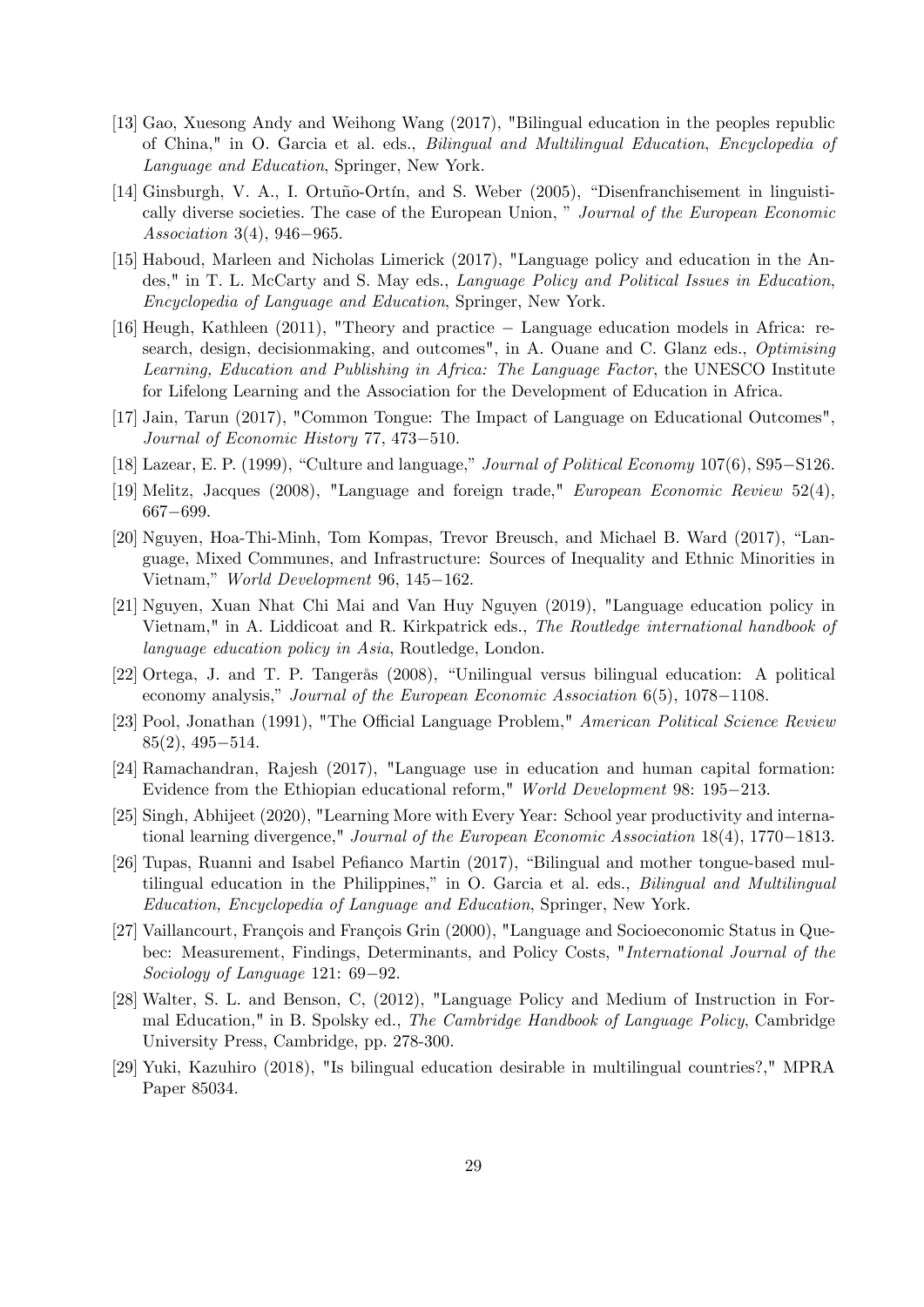- [13] Gao, Xuesong Andy and Weihong Wang (2017), "Bilingual education in the peoples republic of China," in O. Garcia et al. eds., Bilingual and Multilingual Education, Encyclopedia of Language and Education, Springer, New York.
- [14] Ginsburgh, V. A., I. Ortuño-Ortín, and S. Weber (2005), "Disenfranchisement in linguistically diverse societies. The case of the European Union, " Journal of the European Economic Association 3(4), 946–965.
- [15] Haboud, Marleen and Nicholas Limerick (2017), "Language policy and education in the Andes," in T. L. McCarty and S. May eds., Language Policy and Political Issues in Education, Encyclopedia of Language and Education, Springer, New York.
- [16] Heugh, Kathleen (2011), "Theory and practice Language education models in Africa: research, design, decisionmaking, and outcomes", in A. Ouane and C. Glanz eds., Optimising Learning, Education and Publishing in Africa: The Language Factor, the UNESCO Institute for Lifelong Learning and the Association for the Development of Education in Africa.
- [17] Jain, Tarun (2017), "Common Tongue: The Impact of Language on Educational Outcomes", Journal of Economic History 77, 473-510.
- [18] Lazear, E. P. (1999), "Culture and language," *Journal of Political Economy*  $107(6)$ , S95-S126.
- [19] Melitz, Jacques (2008), "Language and foreign trade," European Economic Review 52(4), 667-699.
- [20] Nguyen, Hoa-Thi-Minh, Tom Kompas, Trevor Breusch, and Michael B. Ward (2017), "Language, Mixed Communes, and Infrastructure: Sources of Inequality and Ethnic Minorities in Vietnam," *World Development* 96, 145-162.
- [21] Nguyen, Xuan Nhat Chi Mai and Van Huy Nguyen (2019), "Language education policy in Vietnam," in A. Liddicoat and R. Kirkpatrick eds., The Routledge international handbook of language education policy in Asia, Routledge, London.
- $[22]$  Ortega, J. and T. P. Tangerås  $(2008)$ , "Unilingual versus bilingual education: A political economy analysis," Journal of the European Economic Association  $6(5)$ ,  $1078-1108$ .
- [23] Pool, Jonathan (1991), "The Official Language Problem," American Political Science Review  $85(2)$ ,  $495-514$ .
- [24] Ramachandran, Rajesh (2017), "Language use in education and human capital formation: Evidence from the Ethiopian educational reform," World Development 98: 195–213.
- [25] Singh, Abhijeet (2020), "Learning More with Every Year: School year productivity and international learning divergence," *Journal of the European Economic Association*  $18(4)$ ,  $1770-1813$ .
- [26] Tupas, Ruanni and Isabel Pefianco Martin (2017), "Bilingual and mother tongue-based multilingual education in the Philippines," in O. Garcia et al. eds., *Bilingual and Multilingual* Education, Encyclopedia of Language and Education, Springer, New York.
- [27] Vaillancourt, François and François Grin (2000), "Language and Socioeconomic Status in Quebec: Measurement, Findings, Determinants, and Policy Costs, "International Journal of the Sociology of Language 121:  $69-92$ .
- [28] Walter, S. L. and Benson, C, (2012), "Language Policy and Medium of Instruction in Formal Education," in B. Spolsky ed., The Cambridge Handbook of Language Policy, Cambridge University Press, Cambridge, pp. 278-300.
- [29] Yuki, Kazuhiro (2018), "Is bilingual education desirable in multilingual countries?," MPRA Paper 85034.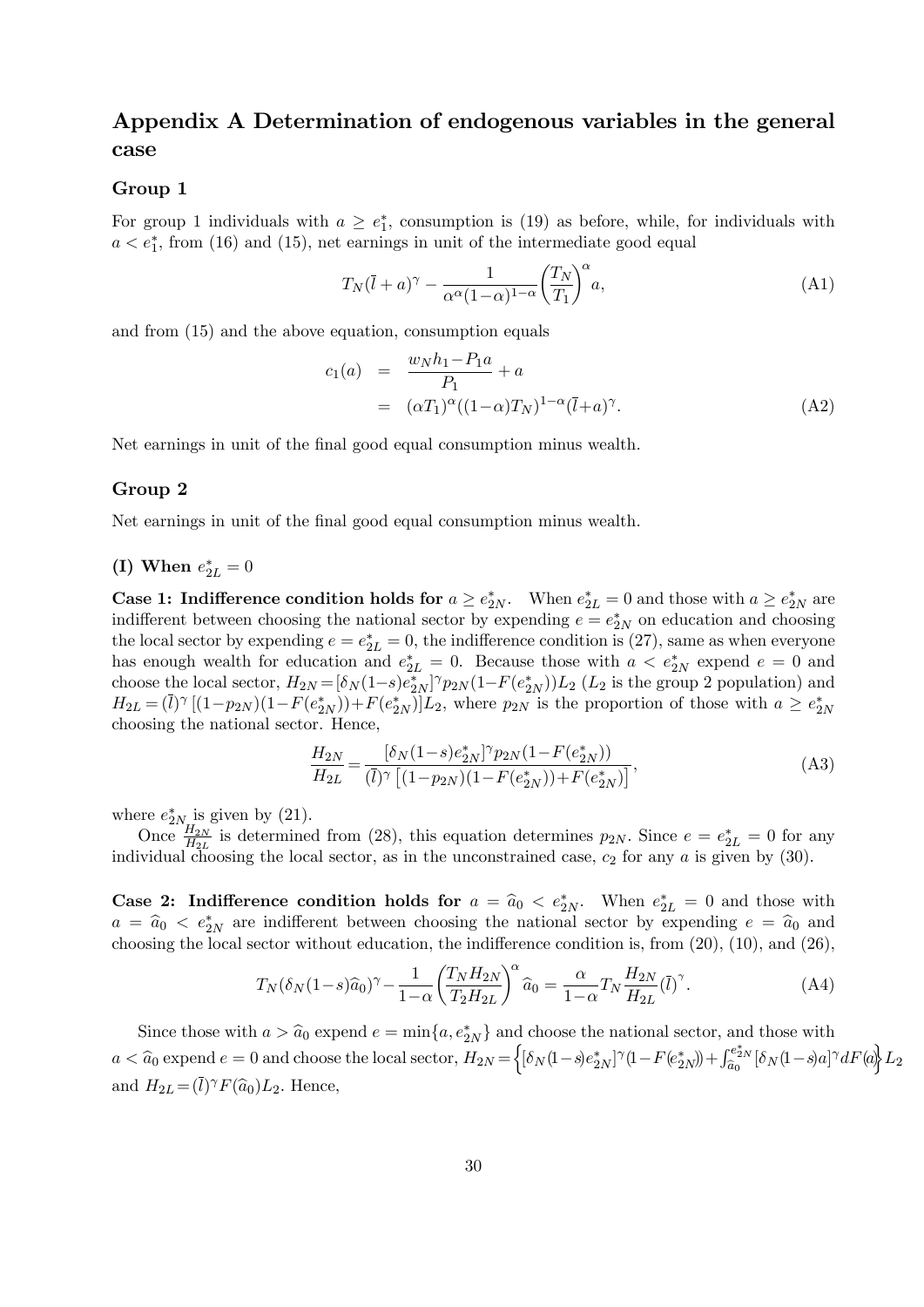# Appendix A Determination of endogenous variables in the general case

#### Group 1

For group 1 individuals with  $a \geq e_1^*$ , consumption is (19) as before, while, for individuals with  $a < e_1^*$ , from (16) and (15), net earnings in unit of the intermediate good equal

$$
T_N(\bar{l} + a)^\gamma - \frac{1}{\alpha^\alpha (1 - \alpha)^{1 - \alpha}} \left(\frac{T_N}{T_1}\right)^\alpha a,\tag{A1}
$$

and from (15) and the above equation, consumption equals

$$
c_1(a) = \frac{w_N h_1 - P_1 a}{P_1} + a
$$
  
=  $(\alpha T_1)^{\alpha} ((1 - \alpha) T_N)^{1 - \alpha} (\bar{l} + a)^{\gamma}.$  (A2)

Net earnings in unit of the final good equal consumption minus wealth.

#### Group 2

Net earnings in unit of the final good equal consumption minus wealth.

# (I) When  $e_{2L}^{\ast}=0$

**Case 1: Indifference condition holds for**  $a \ge e_{2N}^*$ . When  $e_{2L}^* = 0$  and those with  $a \ge e_{2N}^*$  are indifferent between choosing the national sector by expending  $e = e_{2N}^*$  on education and choosing the local sector by expending  $e = e_{2L}^* = 0$ , the indifference condition is (27), same as when everyone has enough wealth for education and  $e_{2L}^* = 0$ . Because those with  $a < e_{2N}^*$  expend  $e = 0$  and choose the local sector,  $H_{2N} = [\delta_N(1-s)e_{2N}^*]\gamma_{2N}(1-F(e_{2N}^*))L_2$  ( $L_2$  is the group 2 population) and  $H_{2L} = (\bar{l})^{\gamma} [(1-p_{2N})(1-F(e_{2N}^*))+F(e_{2N}^*)]L_2$ , where  $p_{2N}$  is the proportion of those with  $a \ge e_{2N}^*$ choosing the national sector. Hence,

$$
\frac{H_{2N}}{H_{2L}} = \frac{[\delta_N(1-s)e_{2N}^*]^\gamma p_{2N}(1-F(e_{2N}^*))}{(\overline{l})^\gamma \left[ (1-p_{2N})(1-F(e_{2N}^*)) + F(e_{2N}^*) \right]},\tag{A3}
$$

where  $e_{2N_{\rm{rr}}}^{*}$  is given by (21).

Once  $\frac{H_{2N}}{H_{2L}}$  is determined from (28), this equation determines  $p_{2N}$ . Since  $e = e_{2L}^* = 0$  for any individual choosing the local sector, as in the unconstrained case,  $c_2$  for any a is given by (30).

**Case 2: Indifference condition holds for**  $a = \hat{a}_0 < e_{2N}^*$ . When  $e_{2L}^* = 0$  and those with  $a = \hat{a}_0 < e^*_{2N}$  are indifferent between choosing the national sector by expending  $e = \hat{a}_0$  and choosing the local sector without education, the indifference condition is, from  $(20)$ ,  $(10)$ , and  $(26)$ ,

$$
T_N(\delta_N(1-s)\hat{a}_0)^\gamma - \frac{1}{1-\alpha} \left(\frac{T_N H_{2N}}{T_2 H_{2L}}\right)^\alpha \hat{a}_0 = \frac{\alpha}{1-\alpha} T_N \frac{H_{2N}}{H_{2L}} (\bar{l})^\gamma.
$$
 (A4)

Since those with  $a > \hat{a}_0$  expend  $e = \min\{a, e^*_{2N}\}\$  and choose the national sector, and those with  $a < \widehat{a}_0$  expend  $e = 0$  and choose the local sector,  $H_{2N} = \left\{ [\delta_N(1-s)e_{2N}^*]^\gamma (1-F(e_{2N}^*) + \int_{\widehat{a}_0}^{e_{2N}^*} [\delta_N(1-s)a]^\gamma dF(a) \right\} L_2$ and  $H_{2L} = (\bar{l})^{\gamma} F(\hat{a}_0) L_2$ . Hence,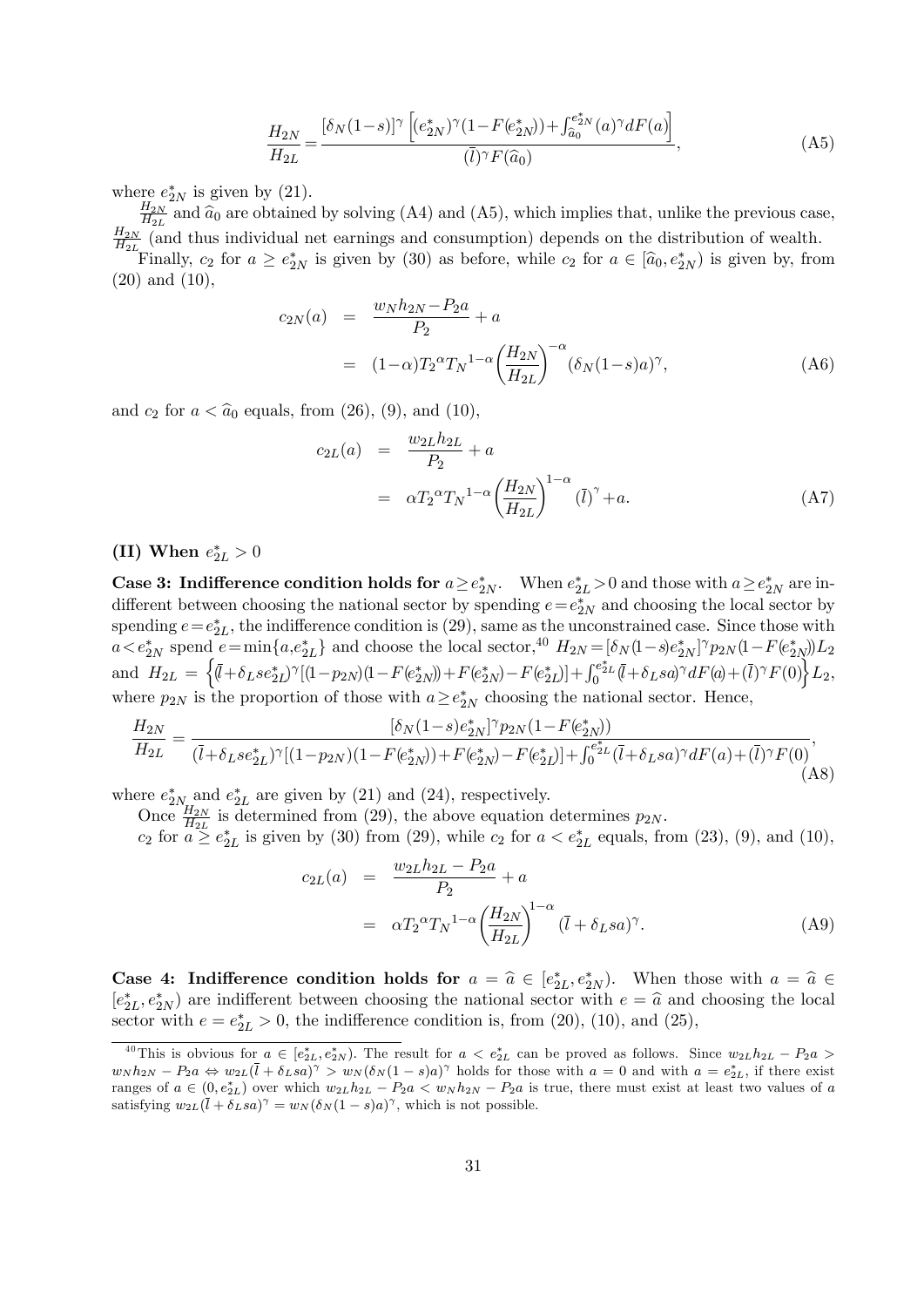$$
\frac{H_{2N}}{H_{2L}} = \frac{[\delta_N(1-s)]^{\gamma} \left[ (e_{2N}^*)^{\gamma} (1 - F(e_{2N}^*) ) + \int_{\hat{a}_0}^{e_{2N}^*} (a)^{\gamma} dF(a) \right]}{(\bar{l})^{\gamma} F(\hat{a}_0)},
$$
\n(A5)

where  $e_{2N}^*$  is given by (21).

 $_{H_{2N}}$  $\frac{H_{2N}}{H_{2L}}$  and  $\hat{a}_0$  are obtained by solving (A4) and (A5), which implies that, unlike the previous case,  $_{H_{2N}}$  $\frac{H_{2N}}{H_{2L}}$  (and thus individual net earnings and consumption) depends on the distribution of wealth.

Finally,  $c_2$  for  $a \geq e_{2N}^*$  is given by (30) as before, while  $c_2$  for  $a \in [\hat{a}_0, e_{2N}^*]$  is given by, from (20) and (10),

$$
c_{2N}(a) = \frac{w_N h_{2N} - P_{2}a}{P_2} + a
$$
  
=  $(1 - \alpha)T_2^{\alpha}T_N^{1-\alpha} \left(\frac{H_{2N}}{H_{2L}}\right)^{-\alpha} (\delta_N (1 - s)a)^{\gamma},$  (A6)

and  $c_2$  for  $a < \hat{a}_0$  equals, from (26), (9), and (10),

$$
c_{2L}(a) = \frac{w_{2L}h_{2L}}{P_2} + a
$$
  
= 
$$
\alpha T_2^{\alpha} T_N^{1-\alpha} \left(\frac{H_{2N}}{H_{2L}}\right)^{1-\alpha} (\bar{l})^{\gamma} + a.
$$
 (A7)

# (II) When  $e^*_{2L} > 0$

Case 3: Indifference condition holds for  $a \ge e_{2N}^*$ . When  $e_{2L}^* > 0$  and those with  $a \ge e_{2N}^*$  are indifferent between choosing the national sector by spending  $e=e_{2N}^*$  and choosing the local sector by spending  $e=e_{2L}^*$ , the indifference condition is (29), same as the unconstrained case. Since those with  $a < e^*_{2N}$  spend  $e = \min\{a,e^*_{2L}\}\$  and choose the local sector,<sup>40</sup>  $H_{2N} = [\delta_N(1-s)e^*_{2N}]^\gamma p_{2N}(1-F(e^*_{2N}))L_2$ and  $H_{2L} = \left\{ (\bar{l} + \delta_{L}se_{2L}^*)^{\gamma}[(1-p_{2N})(1-F(e_{2N}^*)+F(e_{2N}^*)-F(e_{2L}^*)]+ \int_0^{e_{2L}^*} (\bar{l} + \delta_{L}sa)^{\gamma}dF(a) + (\bar{l})^{\gamma}F(0) \right\} L_2$ where  $p_{2N}$  is the proportion of those with  $a \geq e_{2N}^*$  choosing the national sector. Hence,

$$
\frac{H_{2N}}{H_{2L}} = \frac{[\delta_N(1-s)e^*_{2N}]^\gamma p_{2N}(1-F(e^*_{2N}))}{(\bar{l}+\delta_L s e^*_{2L})^\gamma [(1-p_{2N})(1-F(e^*_{2N}))+F(e^*_{2N})-F(e^*_{2L})] + \int_0^{e^*_{2L}} (\bar{l}+\delta_L s a)^\gamma dF(a) + (\bar{l})^\gamma F(0)},\tag{A8}
$$

where  $e_{2N_{\rm rr}}^*$  and  $e_{2L}^*$  are given by (21) and (24), respectively.

Once  $\frac{H_{2N}}{H_{2L}}$  is determined from (29), the above equation determines  $p_{2N}$ .

 $c_2$  for  $a \geq c_{2L}^*$  is given by (30) from (29), while  $c_2$  for  $a < c_{2L}^*$  equals, from (23), (9), and (10),

$$
c_{2L}(a) = \frac{w_{2L}h_{2L} - P_{2}a}{P_{2}} + a
$$
  
=  $\alpha T_{2}^{\alpha}T_{N}^{1-\alpha} \left(\frac{H_{2N}}{H_{2L}}\right)^{1-\alpha} (\bar{l} + \delta_{L}sa)^{\gamma}.$  (A9)

**Case 4: Indifference condition holds for**  $a = \hat{a} \in [e_{2L}^*, e_{2N}^*]$ . When those with  $a = \hat{a} \in [e_{2L}^*, e_{2M}^*]$  $[e_{2L}^*, e_{2N}^*]$  are indifferent between choosing the national sector with  $e = \hat{a}$  and choosing the local sector with  $e = e_{2L}^* > 0$ , the indifference condition is, from (20), (10), and (25),

<sup>&</sup>lt;sup>40</sup>This is obvious for  $a \in [e_{2L}^*, e_{2N}^*]$ . The result for  $a < e_{2L}^*$  can be proved as follows. Since  $w_{2L}h_{2L} - P_{2}a >$  $w_N h_{2N} - P_2 a \Leftrightarrow w_{2L}(\bar{l} + \delta_L s a)^{\gamma} > w_N (\delta_N (1-s)a)^{\gamma}$  holds for those with  $a = 0$  and with  $a = e_{2L}^*$ , if there exist ranges of  $a \in (0, e_{2L}^*)$  over which  $w_{2L}h_{2L} - P_2a < w_Nh_{2N} - P_2a$  is true, there must exist at least two values of a satisfying  $w_{2L}(\bar{l} + \delta_L s a)^{\gamma} = w_N (\delta_N (1 - s) a)^{\gamma}$ , which is not possible.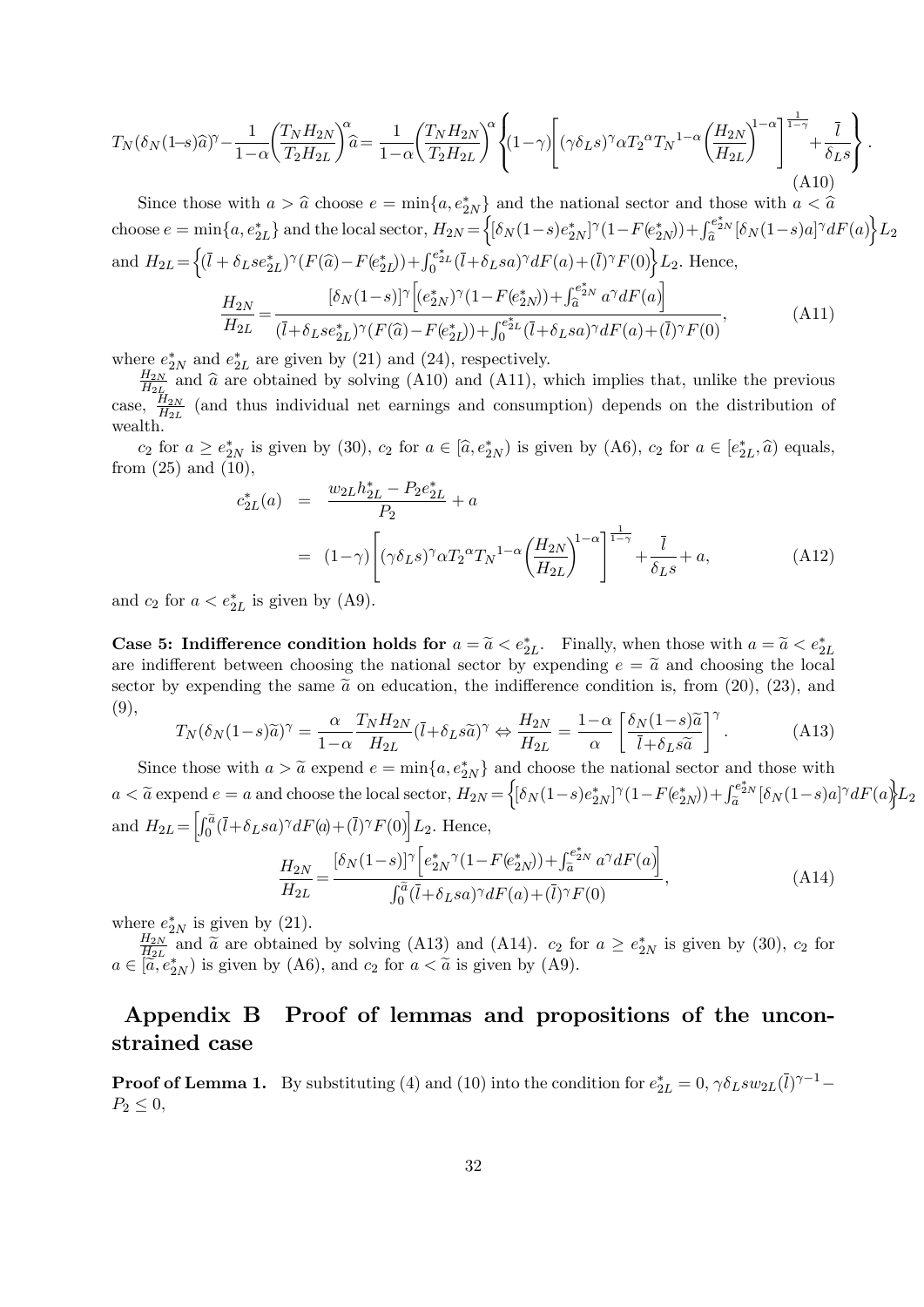$$
T_N(\delta_N(1-s)\widehat{a})^{\gamma} - \frac{1}{1-\alpha} \left(\frac{T_N H_{2N}}{T_2 H_{2L}}\right)^{\alpha} \widehat{a} = \frac{1}{1-\alpha} \left(\frac{T_N H_{2N}}{T_2 H_{2L}}\right)^{\alpha} \left\{ (1-\gamma) \left[ (\gamma \delta_L s)^{\gamma} \alpha T_2^{\alpha} T_N^{1-\alpha} \left(\frac{H_{2N}}{H_{2L}}\right)^{1-\alpha} \right]^{\frac{1}{1-\gamma}} + \frac{\overline{l}}{\delta_L s} \right\}.
$$
\n(A10)

Since those with  $a > \hat{a}$  choose  $e = \min\{a, e^*_{2N}\}\$  and the national sector and those with  $a < \hat{a}$ choose  $e = \min\{a, e_{2L}^*\}$  and the local sector,  $H_{2N} = \left\{ [\delta_N(1-s)e_{2N}^*]^\gamma (1-F(e_{2N}^*)) + \int_{\widehat{a}}^{e_{2N}^*} [\delta_N(1-s)a]^\gamma dF(a) \right\} L_2$ and  $H_{2L} = \left\{ (\bar{l} + \delta_L s e_{2L}^*)^{\gamma} (F(\hat{a}) - F(e_{2L}^*)) + \int_0^{e_{2L}^*} (\bar{l} + \delta_L s a)^{\gamma} dF(a) + (\bar{l})^{\gamma} F(0) \right\} L_2$ . Hence,  $H_{2N}$  $\frac{H_{2N}}{H_{2L}} =$  $\left[ \delta_N (1-s) \right]^\gamma \! \left[ (e^*_{2N})^\gamma (1\!-\!F(e^*_{2N})) \!+\! \int_{\widehat a}^{e^*_{2N}} a^\gamma dF(a) \right]$  $\overline{(\overline{l}+\delta_Lse^*_{2L})^{\gamma}(F(\widehat{a})-F(e^*_{2L}))+\int_{0}^{e^*_{2L}}(\overline{l}+\delta_Lsa)^{\gamma}dF(a)+(\overline{l})^{\gamma}F(0)}$  $(A11)$ 

where  $e_{2N}^*$  and  $e_{2L}^*$  are given by (21) and (24), respectively.

 $H_{2N}$  $\frac{H_{2N}}{H_{2L}}$  and  $\hat{a}$  are obtained by solving (A10) and (A11), which implies that, unlike the previous case,  $\frac{H_{2N}}{H_{2L}}$  (and thus individual net earnings and consumption) depends on the distribution of wealth.

 $c_2$  for  $a \geq e_{2N}^*$  is given by (30),  $c_2$  for  $a \in [\hat{a}, e_{2N}^*]$  is given by (A6),  $c_2$  for  $a \in [e_{2L}^*, \hat{a})$  equals, from  $(25)$  and  $(10)$ ,

$$
c_{2L}^{*}(a) = \frac{w_{2L}h_{2L}^{*} - P_{2}e_{2L}^{*}}{P_{2}} + a
$$
  
=  $(1-\gamma)\left[ (\gamma\delta_{LS})^{\gamma} \alpha T_{2}^{\alpha} T_{N}^{1-\alpha} \left(\frac{H_{2N}}{H_{2L}}\right)^{1-\alpha}\right]^{\frac{1}{1-\gamma}} + \frac{\bar{l}}{\delta_{LS}} + a,$  (A12)

and  $c_2$  for  $a < e_{2L}^*$  is given by (A9).

**Case 5: Indifference condition holds for**  $a = \tilde{a} < e_{2L}^*$ . Finally, when those with  $a = \tilde{a} < e_{2L}^*$ are indifferent between choosing the national sector by expending  $e = \tilde{a}$  and choosing the local sector by expending the same  $\tilde{a}$  on education, the indifference condition is, from (20), (23), and (9),

$$
T_N(\delta_N(1-s)\tilde{a})^\gamma = \frac{\alpha}{1-\alpha} \frac{T_N H_{2N}}{H_{2L}} (\bar{l} + \delta_L s \tilde{a})^\gamma \Leftrightarrow \frac{H_{2N}}{H_{2L}} = \frac{1-\alpha}{\alpha} \left[ \frac{\delta_N (1-s)\tilde{a}}{\bar{l} + \delta_L s \tilde{a}} \right]^\gamma.
$$
 (A13)

Since those with  $a > \tilde{a}$  expend  $e = \min\{a, e_{2N}^*\}\$  and choose the national sector and those with  $a < \widetilde{a}$  expend  $e = a$  and choose the local sector,  $H_{2N} = \left\{ [\delta_N(1-s)e_{2N}^*]^\gamma (1-F(e_{2N}^*)) + \int_{\widetilde{a}}^{e_{2N}^*} [\delta_N(1-s)a]^\gamma dF(a) \right\} L_2$ and  $H_{2L} = \left[ \int_0^{\widetilde{a}} (\overline{l} + \delta_L sa)^{\gamma} dF(a) + (\overline{l})^{\gamma} F(0) \right] L_2$ . Hence,  $H_{2N}$  $\frac{H_{2N}}{H_{2L}} =$  $\frac{[\delta_N(1-s)]^{\gamma}\Bigl[e^*_{2N}{}^{\gamma} (1-F(e^*_{2N}))+\int_{\widetilde{a}}^{e^*_{2N}} a^{\gamma} dF(a)\Bigr]}{2\pi}\nonumber\\$  $\int_0^{\widetilde{a}}(\overline{l}+\delta_L sa)^{\gamma}dF(a)+(\overline{l})^{\gamma}F(0)$  $(A14)$ 

where  $e_{2N}^*$  is given by (21).

 $_{H_{2N}}$  $\frac{H_{2N}}{H_{2L}}$  and  $\tilde{a}$  are obtained by solving (A13) and (A14).  $c_2$  for  $a \geq e_{2N}^*$  is given by (30),  $c_2$  for  $a \in [\tilde{\tilde{a}}, e^*_{2N})$  is given by (A6), and  $c_2$  for  $a < \tilde{a}$  is given by (A9).

# Appendix B Proof of lemmas and propositions of the unconstrained case

**Proof of Lemma 1.** By substituting (4) and (10) into the condition for  $e_{2L}^* = 0$ ,  $\gamma \delta_L s w_{2L}(\bar{l})^{\gamma - 1}$  $P_2 \leq 0$ ,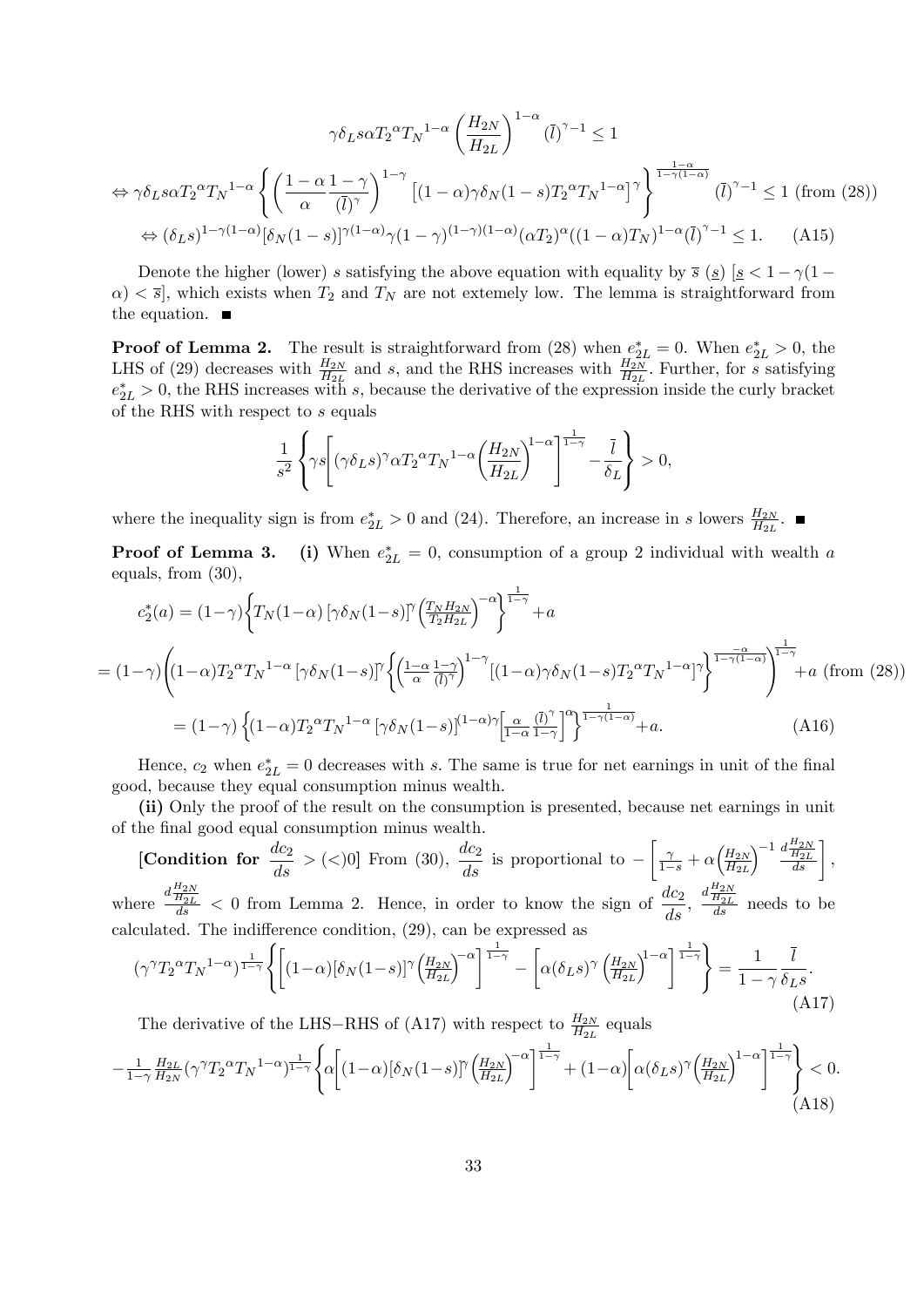$$
\gamma \delta_L s \alpha T_2^{\alpha} T_N^{1-\alpha} \left( \frac{H_{2N}}{H_{2L}} \right)^{1-\alpha} (\bar{l})^{\gamma-1} \le 1
$$
  
\n
$$
\Leftrightarrow \gamma \delta_L s \alpha T_2^{\alpha} T_N^{1-\alpha} \left\{ \left( \frac{1-\alpha}{\alpha} \frac{1-\gamma}{(\bar{l})^{\gamma}} \right)^{1-\gamma} \left[ (1-\alpha)\gamma \delta_N (1-s) T_2^{\alpha} T_N^{1-\alpha} \right]^{\gamma} \right\}^{\frac{1-\alpha}{1-\gamma(1-\alpha)}} (\bar{l})^{\gamma-1} \le 1 \text{ (from (28))}
$$
  
\n
$$
\Leftrightarrow (\delta_L s)^{1-\gamma(1-\alpha)} [\delta_N (1-s)]^{\gamma(1-\alpha)} \gamma (1-\gamma)^{(1-\gamma)(1-\alpha)} (\alpha T_2)^{\alpha} ((1-\alpha) T_N)^{1-\alpha} (\bar{l})^{\gamma-1} \le 1. \tag{A15}
$$

Denote the higher (lower) s satisfying the above equation with equality by  $\bar{s}$  (s)  $[s < 1 - \gamma(1 \alpha$   $\langle \sigma \rangle$   $\langle \sigma \rangle$ , which exists when  $T_2$  and  $T_N$  are not extemely low. The lemma is straightforward from the equation.  $\blacksquare$ 

**Proof of Lemma 2.** The result is straightforward from (28) when  $e_{2L}^* = 0$ . When  $e_{2L}^* > 0$ , the LHS of (29) decreases with  $\frac{H_{2N}}{H_{2L}}$  and s, and the RHS increases with  $\frac{H_{2N}}{H_{2L}}$ . Further, for s satisfying  $e_{2L}^* > 0$ , the RHS increases with s, because the derivative of the expression inside the curly bracket of the RHS with respect to s equals

$$
\frac{1}{s^2} \left\{ \gamma s \left[ (\gamma \delta_{L} s)^\gamma \alpha T_2^{\alpha} T_N^{1-\alpha} \left( \frac{H_{2N}}{H_{2L}} \right)^{1-\alpha} \right]^{\frac{1}{1-\gamma}} - \frac{\bar{l}}{\delta_L} \right\} > 0,
$$

where the inequality sign is from  $e_{2L}^* > 0$  and (24). Therefore, an increase in s lowers  $\frac{H_{2N}}{H_{2L}}$ .

Proof of Lemma 3.  $z_{2L}^* = 0$ , consumption of a group 2 individual with wealth a equals, from (30),

$$
c_2^*(a) = (1-\gamma) \left\{ T_N(1-\alpha) \left[ \gamma \delta_N(1-s) \right]^\gamma \left( \frac{T_N H_{2N}}{T_2 H_{2L}} \right)^{-\alpha} \right\}^{\frac{1}{1-\gamma}} + a
$$
  
\n
$$
= (1-\gamma) \left( (1-\alpha) T_2^{\alpha} T_N^{1-\alpha} \left[ \gamma \delta_N(1-s) \right]^\gamma \left\{ \left( \frac{1-\alpha}{\alpha} \frac{1-\gamma}{(\overline{l})^\gamma} \right)^{1-\gamma} \left[ (1-\alpha) \gamma \delta_N(1-s) T_2^{\alpha} T_N^{1-\alpha} \right]^\gamma \right\}^{\frac{-\alpha}{1-\gamma(1-\alpha)}} \right\}^{\frac{1}{1-\gamma}} + a \text{ (from (28))}
$$
  
\n
$$
= (1-\gamma) \left\{ (1-\alpha) T_2^{\alpha} T_N^{1-\alpha} \left[ \gamma \delta_N(1-s) \right]^{(1-\alpha)\gamma} \left[ \frac{\alpha}{1-\alpha} \frac{(\overline{l})^\gamma}{1-\gamma} \right]^\alpha \right\}^{\frac{1}{1-\gamma(1-\alpha)}} + a. \tag{A16}
$$

Hence,  $c_2$  when  $e_{2L}^* = 0$  decreases with s. The same is true for net earnings in unit of the final good, because they equal consumption minus wealth.

(ii) Only the proof of the result on the consumption is presented, because net earnings in unit of the Önal good equal consumption minus wealth.

[Condition for 
$$
\frac{dc_2}{ds}
$$
 > (<0] From (30),  $\frac{dc_2}{ds}$  is proportional to  $-\left[\frac{\gamma}{1-s} + \alpha \left(\frac{H_{2N}}{H_{2L}}\right)^{-1} \frac{d\frac{H_{2N}}{H_{2L}}}{ds}\right]$ ,  
here  $\frac{d\frac{H_{2N}}{ds}}{ds} < 0$  from Lemma 2. Hence, in order to know the sign of  $\frac{dc_2}{ds}$ ,  $\frac{d\frac{H_{2N}}{H_{2L}}}{ds}$  needs to be

 $\overline{W}$  $\overline{ds}$  $ds$ <sup>'</sup>  $\frac{H_{2L}}{ds}$  needs to be calculated. The indifference condition,  $(29)$ , can be expressed as

$$
(\gamma^{\gamma}T_2^{\alpha}T_N^{1-\alpha})^{\frac{1}{1-\gamma}}\left\{ \left[ (1-\alpha)[\delta_N(1-s)]^{\gamma} \left(\frac{H_{2N}}{H_{2L}}\right)^{-\alpha} \right]^{\frac{1}{1-\gamma}} - \left[ \alpha(\delta_L s)^{\gamma} \left(\frac{H_{2N}}{H_{2L}}\right)^{1-\alpha} \right]^{\frac{1}{1-\gamma}} \right\} = \frac{1}{1-\gamma} \frac{\bar{l}}{\delta_L s}.
$$
\n(A17)

The derivative of the LHS–RHS of (A17) with respect to  $\frac{H_{2N}}{H_{2L}}$  equals

$$
-\frac{1}{1-\gamma}\frac{H_{2L}}{H_{2N}}(\gamma^{\gamma}T_2^{\alpha}T_N^{1-\alpha})^{\frac{1}{1-\gamma}}\left\{\alpha\bigg[(1-\alpha)[\delta_N(1-s)]^{\gamma}\left(\frac{H_{2N}}{H_{2L}}\right)^{-\alpha}\right]^{\frac{1}{1-\gamma}}+(1-\alpha)\bigg[\alpha(\delta_Ls)^{\gamma}\left(\frac{H_{2N}}{H_{2L}}\right)^{1-\alpha}\bigg]^{\frac{1}{1-\gamma}}\right\}<0.
$$
(A18)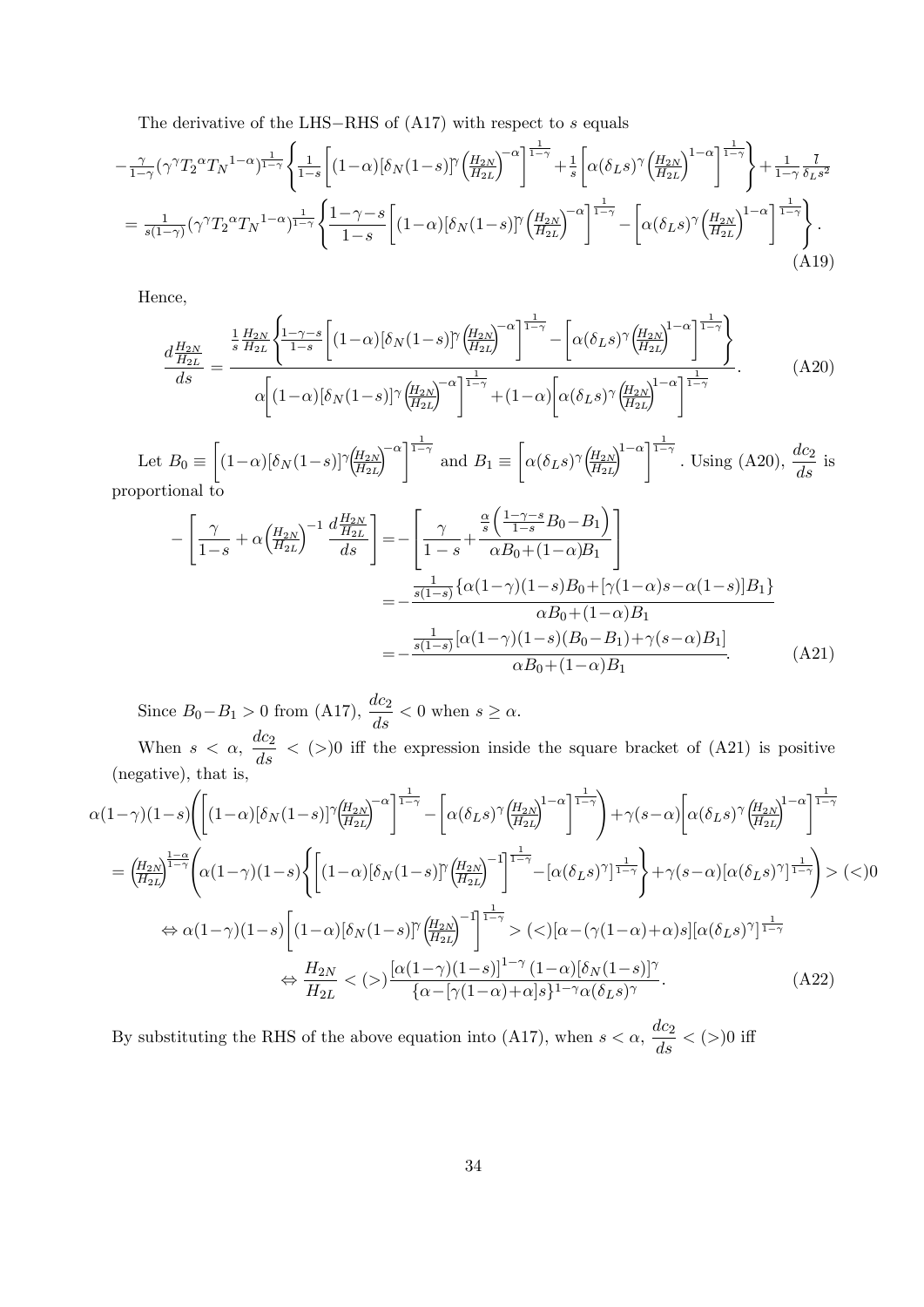The derivative of the LHS-RHS of  $(A17)$  with respect to s equals

$$
-\frac{\gamma}{1-\gamma}(\gamma^{\gamma}T_{2}^{\alpha}T_{N}^{1-\alpha})^{\frac{1}{1-\gamma}}\left\{\frac{1}{1-s}\left[(1-\alpha)\left[\delta_{N}(1-s)\right]^{\gamma}\left(\frac{H_{2N}}{H_{2L}}\right)^{-\alpha}\right]^{\frac{1}{1-\gamma}}+ \frac{1}{s}\left[\alpha(\delta_{L}s)^{\gamma}\left(\frac{H_{2N}}{H_{2L}}\right)^{1-\alpha}\right]^{\frac{1}{1-\gamma}}\right\}+\frac{1}{1-\gamma}\frac{\bar{l}}{\delta_{L}s^{2}}
$$

$$
=\frac{1}{s(1-\gamma)}(\gamma^{\gamma}T_{2}^{\alpha}T_{N}^{1-\alpha})^{\frac{1}{1-\gamma}}\left\{\frac{1-\gamma-s}{1-s}\left[(1-\alpha)\left[\delta_{N}(1-s)\right]^{\gamma}\left(\frac{H_{2N}}{H_{2L}}\right)^{-\alpha}\right]^{\frac{1}{1-\gamma}}-\left[\alpha(\delta_{L}s)^{\gamma}\left(\frac{H_{2N}}{H_{2L}}\right)^{1-\alpha}\right]^{\frac{1}{1-\gamma}}\right\}.\tag{A19}
$$

Hence,

$$
\frac{d\frac{H_{2N}}{H_{2L}}}{ds} = \frac{\frac{1}{s}\frac{H_{2N}}{H_{2L}}\left\{\frac{1-\gamma-s}{1-s}\left[(1-\alpha)\left[\delta_N(1-s)\right]\left(\frac{H_{2N}}{H_{2L}}\right)^{-\alpha}\right]^{\frac{1}{1-\gamma}}-\left[\alpha(\delta_L s)\left(\frac{H_{2N}}{H_{2L}}\right)^{1-\alpha}\right]^{\frac{1}{1-\gamma}}}{\alpha\left[(1-\alpha)\left[\delta_N(1-s)\right]\left(\frac{H_{2N}}{H_{2L}}\right)^{-\alpha}\right]^{\frac{1}{1-\gamma}}+(1-\alpha)\left[\alpha(\delta_L s)\left(\frac{H_{2N}}{H_{2L}}\right)^{1-\alpha}\right]^{\frac{1}{1-\gamma}}}
$$
\n(A20)

Let  $B_0 \equiv$  $\int (1-\alpha)[\delta_N(1-s)]^{\gamma} \left(\frac{H_{2N}}{H_{2N}}\right)$  $H_{2L}$  $\left[\sum_{1}^{\infty} \right]^{1-\gamma}$  and  $B_1 \equiv$  $\sqrt{ }$  $\alpha(\delta_L s)^\gamma \left(\frac{H_{2N}}{H_{2L}}\right)$  $H_{2L}$  $\int_{0}^{1-\alpha} \sqrt{\frac{1-\gamma}{1-\gamma}}$ . Using (A20),  $\frac{dc_2}{ds}$  is proportional to

$$
-\left[\frac{\gamma}{1-s} + \alpha \left(\frac{H_{2N}}{H_{2L}}\right)^{-1} \frac{d \frac{H_{2N}}{H_{2L}}}{ds}\right] = -\left[\frac{\gamma}{1-s} + \frac{\frac{\alpha}{s} \left(\frac{1-\gamma-s}{1-s}B_0 - B_1\right)}{\alpha B_0 + (1-\alpha)B_1}\right] = -\frac{\frac{1}{s(1-s)} \left\{\alpha(1-\gamma)(1-s)B_0 + \left[\gamma(1-\alpha)s - \alpha(1-s)\right]B_1\right\}}{\alpha B_0 + (1-\alpha)B_1} = -\frac{\frac{1}{s(1-s)} \left[\alpha(1-\gamma)(1-s)(B_0 - B_1) + \gamma(s-\alpha)B_1\right]}{\alpha B_0 + (1-\alpha)B_1}.
$$
 (A21)

Since  $B_0 - B_1 > 0$  from (A17),  $\frac{dc_2}{ds} < 0$  when  $s \ge \alpha$ .

When  $s < \alpha$ ,  $\frac{dc_2}{ds} <$  (>)0 iff the expression inside the square bracket of (A21) is positive (negative), that is,

$$
\alpha(1-\gamma)(1-s)\left(\left[(1-\alpha)\left[\delta_{N}(1-s)\right]^{\gamma}\left(\frac{H_{2N}}{H_{2L}}\right)^{-\alpha}\right]^{\frac{1}{1-\gamma}}-\left[\alpha(\delta_{LS})^{\gamma}\left(\frac{H_{2N}}{H_{2L}}\right)^{1-\alpha}\right]^{\frac{1}{1-\gamma}}\right)+\gamma(s-\alpha)\left[\alpha(\delta_{LS})^{\gamma}\left(\frac{H_{2N}}{H_{2L}}\right)^{1-\alpha}\right]^{\frac{1}{1-\gamma}}
$$
\n
$$
=\left(\frac{H_{2N}}{H_{2L}}\right)^{\frac{1-\alpha}{1-\gamma}}\left(\alpha(1-\gamma)(1-s)\left\{\left[(1-\alpha)\left[\delta_{N}(1-s)\right]^{\gamma}\left(\frac{H_{2N}}{H_{2L}}\right)^{-1}\right]^{\frac{1}{1-\gamma}}-\left[\alpha(\delta_{LS})^{\gamma}\right]^{\frac{1}{1-\gamma}}\right\}+\gamma(s-\alpha)\left[\alpha(\delta_{LS})^{\gamma}\right]^{\frac{1}{1-\gamma}}\right)>(0)
$$
\n
$$
\Leftrightarrow \alpha(1-\gamma)(1-s)\left[\left(1-\alpha\right)\left[\delta_{N}(1-s)\right]^{\gamma}\left(\frac{H_{2N}}{H_{2L}}\right)^{-1}\right]^{\frac{1}{1-\gamma}}>(0)
$$
\n
$$
\Leftrightarrow \frac{H_{2N}}{H_{2L}}<(0)
$$
\n
$$
\frac{\left[\alpha(1-\gamma)(1-s)\right]^{\gamma}\left(\frac{1-\alpha}{1-\gamma}\right)^{1-\gamma}\left(1-\alpha\right)\left[\delta_{N}(1-s)\right]^{\gamma}}{\left\{\alpha-\left[\gamma(1-\alpha)+\alpha\right]s\right\}^{1-\gamma}\alpha(\delta_{LS})^{\gamma}}.
$$
\n(A22)

By substituting the RHS of the above equation into (A17), when  $s < \alpha$ ,  $\frac{dc_2}{ds} < (>)0$  iff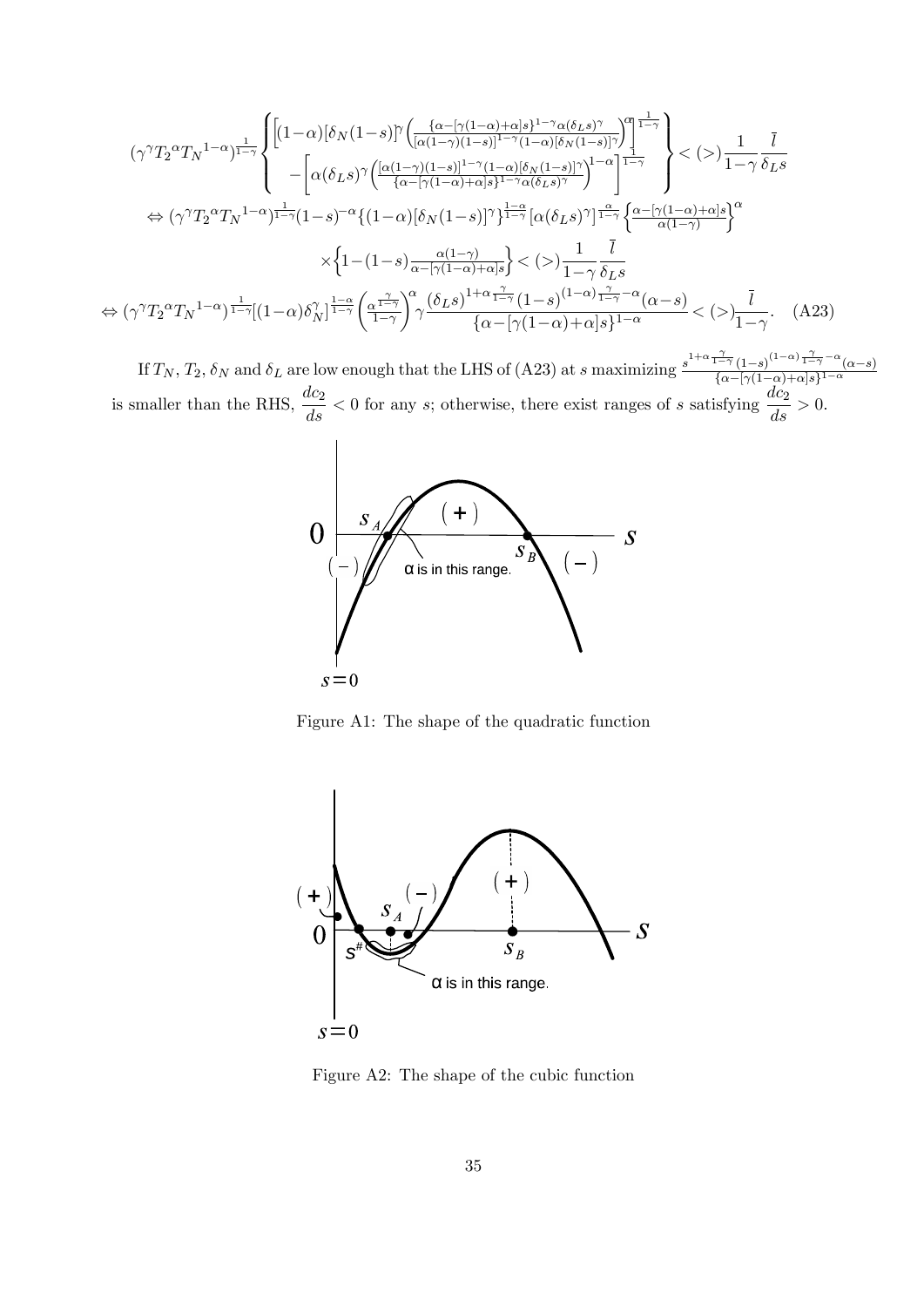$$
(\gamma^{\gamma}T_{2}^{\alpha}T_{N}^{1-\alpha})^{\frac{1}{1-\gamma}}\left\{\begin{aligned} &\left[(1-\alpha)\left[\delta_{N}(1-s)\right]^{\gamma}\left(\frac{\{\alpha-\left[\gamma(1-\alpha)+\alpha\right]s\}^{1-\gamma}\alpha(\delta_{L}s)^{\gamma}}{\left[\alpha(1-\gamma)(1-s)\right]^{1-\gamma}(1-\alpha)\left[\delta_{N}(1-s)\right]^{\gamma}}\right]^{1-\gamma}}\right\}<\left(>\right)\frac{1}{1-\gamma}\frac{\bar{l}}{\delta_{L}s}\right\}\\ &-\left[\alpha(\delta_{L}s)^{\gamma}\left(\frac{\left[\alpha(1-\gamma)(1-s)\right]^{1-\gamma}(1-\alpha)\left[\delta_{N}(1-s)\right]^{\gamma}}{\{\alpha-\left[\gamma(1-\alpha)+\alpha\right]s\}^{1-\gamma}\alpha(\delta_{L}s)^{\gamma}}}\right)^{1-\alpha}\right]^{\frac{1-\gamma}{1-\gamma}}\right\}<\left(>\right)\frac{1}{1-\gamma}\frac{\bar{l}}{\delta_{L}s}\right\}\\ &\Leftrightarrow(\gamma^{\gamma}T_{2}^{\alpha}T_{N}^{1-\alpha})^{\frac{1}{1-\gamma}(1-s)^{-\alpha}\left\{\left(1-\alpha\right)\left[\delta_{N}(1-s)\right]^{\gamma}\right\}^{\frac{1-\alpha}{1-\gamma}}\left[\alpha(\delta_{L}s)^{\gamma}\right]^{\frac{\alpha}{1-\gamma}}\left\{\frac{\alpha-\left[\gamma(1-\alpha)+\alpha\right]s\right\}^{\alpha}}{\alpha(1-\gamma)}\right\}}\\ &\times\left\{\frac{1}{1-(1-s)\frac{\alpha(1-\gamma)}{\alpha-\left[\gamma(1-\alpha)+\alpha\right]s}\right\}<\left(>\right)\frac{1}{1-\gamma}\frac{\bar{l}}{\delta_{L}s}\right\}\\ &\Leftrightarrow(\gamma^{\gamma}T_{2}^{\alpha}T_{N}^{1-\alpha})^{\frac{1}{1-\gamma}}\left[(1-\alpha)\delta_{N}^{\gamma}\right]^{\frac{1-\alpha}{1-\gamma}}\left(\frac{\alpha^{\frac{\gamma}{1-\gamma}}}{1-\gamma}\right)^{\alpha}\frac{\left(\delta_{L}s\right)^{1+\alpha\frac{\gamma}{1-\gamma}}\left(1-s\right)^{\left(1-\alpha\right)}\frac{\gamma}{1-\gamma}-\alpha(\alpha-s)}<\left(>\right)\frac{\bar{l}}{1-\gamma}.\end{aligned} \tag{A23}
$$

If  $T_N$ ,  $T_2$ ,  $\delta_N$  and  $\delta_L$  are low enough that the LHS of (A23) at s maximizing  $\frac{s^{1+\alpha}\frac{\gamma}{1-\gamma}(1-s)^{(1-\alpha)}\frac{\gamma}{1-\gamma}-\alpha(\alpha-s)}{\{\alpha-[\gamma(1-\alpha)+\alpha]s\}^{1-\alpha}}$  $\frac{1}{\{\alpha-\lceil\gamma(1-\alpha)+\alpha\rceil s\}^{1-\alpha}}$ is smaller than the RHS,  $\frac{dc_2}{ds} < 0$  for any s; otherwise, there exist ranges of s satisfying  $\frac{dc_2}{ds} > 0$ .



Figure A1: The shape of the quadratic function



Figure A2: The shape of the cubic function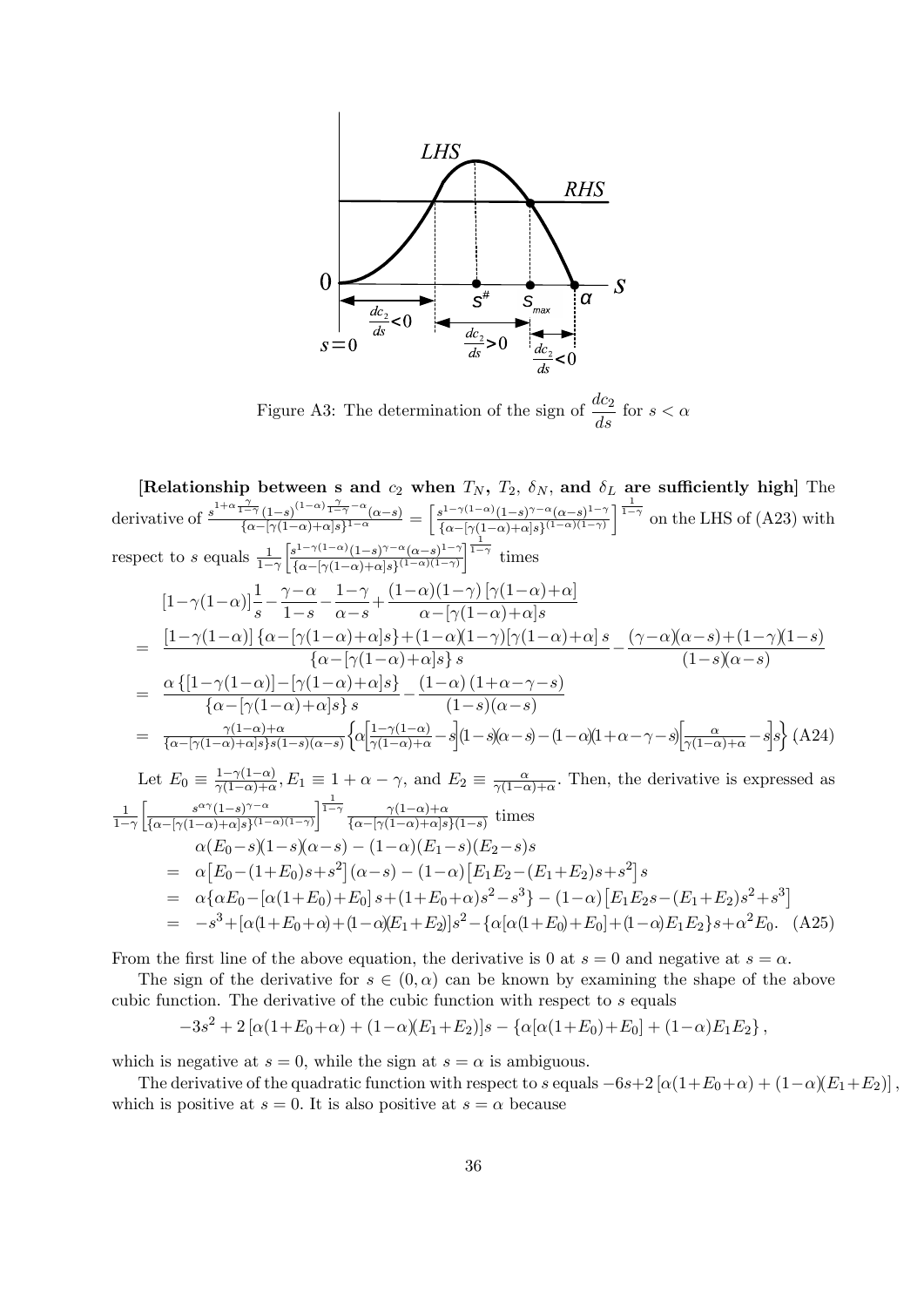

Figure A3: The determination of the sign of  $\frac{dc_2}{ds}$  for  $s < \alpha$ 

[Relationship between s and  $c_2$  when  $T_N$ ,  $T_2$ ,  $\delta_N$ , and  $\delta_L$  are sufficiently high] The derivative of  $\frac{s^{1+\alpha} \frac{\gamma}{1-\gamma} (1-s)^{(1-\alpha)} \frac{\gamma}{1-\gamma} - \alpha(\alpha-s)}{\int_{\alpha-\alpha} [(\alpha-\alpha)+\alpha] s (1-\alpha)}$  $\frac{\frac{1}{1-\gamma}\left(1-s\right)^{\left(1-\alpha\right)}\frac{1}{1-\gamma}-\alpha}{\left\{\alpha-\left[\gamma(1-\alpha)+\alpha\right]s\right\}^{1-\alpha}}=\left[\frac{s^{1-\gamma(1-\alpha)}(1-s)^{\gamma-\alpha}(\alpha-s)^{1-\gamma}}{s^{\alpha-\left[\gamma(1-\alpha)+\alpha\right]s\right\}^{(1-\alpha)(1-\gamma)}}\right]$  $\frac{s^{1-\gamma(1-\alpha)}(1-s)^{\gamma-\alpha}(\alpha-s)^{1-\gamma}}{\{\alpha-[\gamma(1-\alpha)+\alpha]s\}^{(1-\alpha)(1-\gamma)}}$  on the LHS of (A23) with respect to s equals  $\frac{1}{1-\gamma}$  $\int s^{1-\gamma(1-\alpha)}(1-s)^{\gamma-\alpha}(\alpha-s)^{1-\gamma}$  $\frac{\sinh^{-\gamma(1-\alpha)}(1-s)^{\gamma-\alpha}(\alpha-s)^{1-\gamma}}{\{\alpha-\lceil \gamma(1-\alpha)+\alpha \rceil s\}^{(1-\alpha)(1-\gamma)}}$  times  $\left[1\!-\!\gamma(1\!-\!\alpha)\right]\!{1\over s}\!-\!\frac{\gamma\!-\!\alpha}{1\!-\!s}$  $\frac{\gamma - \alpha}{1 - s} - \frac{1 - \gamma}{\alpha - s}$  $\frac{1-\gamma}{\alpha-s} + \frac{(1-\alpha)(1-\gamma)\left[\gamma(1-\alpha)+\alpha\right]}{\alpha-\left[\gamma(1-\alpha)+\alpha\right]s}$  $\alpha - [\gamma(1-\alpha)+\alpha]s$  $= \frac{\left[1-\gamma(1-\alpha)\right]\left\{\alpha-\left[\gamma(1-\alpha)+\alpha\right]s\right\}+(1-\alpha)(1-\gamma)\left[\gamma(1-\alpha)+\alpha\right]s}{\left(1-\gamma(1-\alpha)+1\right)s}$  $\frac{(\gamma-1-\alpha)+\alpha|s+(1-\alpha)(1-\gamma)[\gamma(1-\alpha)+\alpha]s}{\{\alpha-[\gamma(1-\alpha)+\alpha]s\}s} - \frac{(\gamma-\alpha)(\alpha-s)+(1-\gamma)(1-s)}{(1-s)(\alpha-s)}$  $(1-s)(\alpha-s)$  $= \frac{\alpha \{[1-\gamma(1-\alpha)] - [\gamma(1-\alpha)+\alpha]s\}}{[1-\gamma(1-\alpha)+\alpha]s\}}$  $\frac{-\gamma(1-\alpha)] - [\gamma(1-\alpha)+\alpha]s\}}{\{\alpha - [\gamma(1-\alpha)+\alpha]s\}s} - \frac{(1-\alpha)\,(1+\alpha-\gamma-s)}{(1-s)(\alpha-s)}$  $(1-s)(\alpha-s)$  $=\frac{\gamma(1-\alpha)+\alpha}{\sqrt{1-\alpha(1-\alpha)+\alpha(s)s(1-\alpha)}}$  $\{\alpha-\lceil \gamma(1-\alpha)+\alpha \rceil s\} s(1-s)(\alpha-s)$  $\left\{\alpha\left[\frac{1-\gamma(1-\alpha)}{\gamma(1-\alpha)+\alpha}-s\right](1-s)(\alpha-s)-(1-\alpha)(1+\alpha-\gamma-s)\right]\frac{\alpha}{\gamma(1-\alpha)+\alpha}-s\right\} s\right\}\;(\mathbf{A24})$ Let  $E_0 \equiv \frac{1-\gamma(1-\alpha)}{\gamma(1-\alpha)+\alpha}$  $\frac{1-\gamma(1-\alpha)}{\gamma(1-\alpha)+\alpha}$ ,  $E_1 \equiv 1 + \alpha - \gamma$ , and  $E_2 \equiv \frac{\alpha}{\gamma(1-\alpha)}$  $\frac{\alpha}{\gamma(1-\alpha)+\alpha}$ . Then, the derivative is expressed as  $\frac{1}{1-\gamma}$  $s^{\alpha\gamma}(1-s)^{\gamma-\alpha}$  $\frac{s^{\alpha\gamma}(1-s)^{\gamma-\alpha}}{\{\alpha-[\gamma(1-\alpha)+\alpha]s\}^{(1-\alpha)(1-\gamma)}} \sqrt{\frac{1}{1-\gamma}} \frac{\gamma(1-\alpha)+\alpha}{\{\alpha-[\gamma(1-\alpha)+\alpha]s\}^{(1-\alpha)(1-\gamma)}}$  $\frac{\gamma(1-\alpha)+\alpha}{\{\alpha-\lceil\gamma(1-\alpha)+\alpha\rfloor s\}(1-s)}$  times  $\alpha(E_0-s)(1-s)(\alpha-s) - (1-\alpha)(E_1-s)(E_2-s)s$ =  $\alpha [E_0-(1+E_0)s+s^2](\alpha-s)-(1-\alpha)[E_1E_2-(E_1+E_2)s+s^2]s$ =  $\alpha \{\alpha E_0 - [\alpha(1+E_0)+E_0] s + (1+E_0+\alpha)s^2 - s^3\} - (1-\alpha) [E_1E_2s - (E_1+E_2)s^2 + s^3]$ =  $-s^3 + [\alpha(1+E_0+\alpha)+(1-\alpha)(E_1+E_2)]s^2 - {\alpha[\alpha(1+E_0)+E_0]} + (1-\alpha)E_1E_2\}s + \alpha^2E_0.$  (A25)

From the first line of the above equation, the derivative is 0 at  $s = 0$  and negative at  $s = \alpha$ .

The sign of the derivative for  $s \in (0, \alpha)$  can be known by examining the shape of the above cubic function. The derivative of the cubic function with respect to s equals

$$
-3s^2 + 2[\alpha(1+E_0+\alpha) + (1-\alpha)(E_1+E_2)]s - {\alpha[\alpha(1+E_0)+E_0]} + (1-\alpha)E_1E_2,
$$

which is negative at  $s = 0$ , while the sign at  $s = \alpha$  is ambiguous.

The derivative of the quadratic function with respect to s equals  $-6s+2[\alpha(1+E_0+\alpha) + (1-\alpha)(E_1+E_2)]$ , which is positive at  $s = 0$ . It is also positive at  $s = \alpha$  because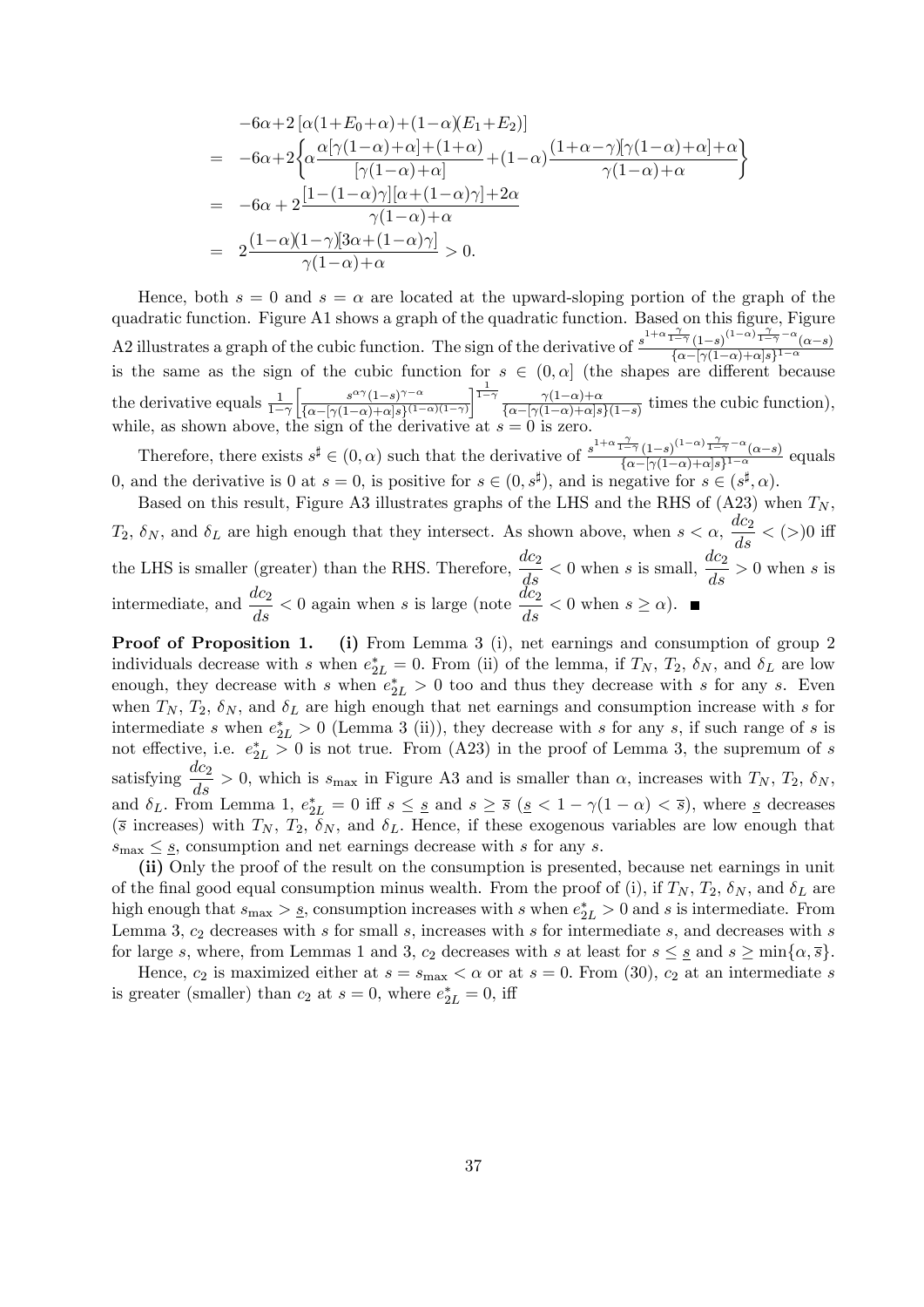$$
-6\alpha + 2\left[\alpha(1+E_0+\alpha) + (1-\alpha)(E_1+E_2)\right]
$$
  
= 
$$
-6\alpha + 2\left\{\alpha\frac{\alpha[\gamma(1-\alpha)+\alpha] + (1+\alpha)}{[\gamma(1-\alpha)+\alpha]} + (1-\alpha)\frac{(1+\alpha-\gamma)\gamma(1-\alpha)+\alpha+\alpha}{\gamma(1-\alpha)+\alpha}\right\}
$$
  
= 
$$
-6\alpha + 2\frac{[1-(1-\alpha)\gamma][\alpha+(1-\alpha)\gamma]+2\alpha}{\gamma(1-\alpha)+\alpha}
$$
  
= 
$$
2\frac{(1-\alpha)(1-\gamma)[3\alpha+(1-\alpha)\gamma]}{\gamma(1-\alpha)+\alpha} > 0.
$$

Hence, both  $s = 0$  and  $s = \alpha$  are located at the upward-sloping portion of the graph of the quadratic function. Figure A1 shows a graph of the quadratic function. Based on this figure, Figure A2 illustrates a graph of the cubic function. The sign of the derivative of  $\frac{s^{1+\alpha}\frac{\gamma}{1-\gamma}(1-s)^{(1-\alpha)}\frac{\gamma}{1-\gamma}-\alpha(\alpha-s)}{\int_{\Omega}[(\alpha-\beta)(\alpha-s)\alpha]s^{1-\alpha}}$  $\frac{1}{\{\alpha-\lceil\gamma(1-\alpha)+\alpha\rceil s\}^{1-\alpha}}$ is the same as the sign of the cubic function for  $s \in (0, \alpha]$  (the shapes are different because the derivative equals  $\frac{1}{1-\gamma}$  $s^{\alpha\gamma}(1-s)^{\gamma-\alpha}$  $\frac{s^{\alpha\gamma}(1-s)^{\gamma-\alpha}}{\{\alpha-[\gamma(1-\alpha)+\alpha]s\}^{(1-\alpha)(1-\gamma)}} \sqrt{\frac{1}{1-\gamma}} \frac{\gamma(1-\alpha)+\alpha}{\{\alpha-[\gamma(1-\alpha)+\alpha]s\}^{(1-\alpha)(1-\gamma)}}$  $\frac{\gamma(1-\alpha)+\alpha}{\{\alpha-\gamma(1-\alpha)+\alpha\}s\}(1-s)}$  times the cubic function), while, as shown above, the sign of the derivative at  $s = 0$  is zero.

Therefore, there exists  $s^{\sharp} \in (0, \alpha)$  such that the derivative of  $\frac{s^{1+\alpha} \frac{\gamma}{1-\gamma} (1-s)^{(1-\alpha)} \frac{\gamma}{1-\gamma} - \alpha}{\int_{\alpha - [\alpha(1-\alpha)+\alpha] s^{11-\alpha}} (\alpha - s)}$  $\frac{\alpha-s}{\{\alpha-[{\gamma}(1-\alpha)+\alpha]s\}^{1-\alpha}}$  equals 0, and the derivative is 0 at  $s = 0$ , is positive for  $s \in (0, s^{\sharp})$ , and is negative for  $s \in (s^{\sharp}, \alpha)$ .

Based on this result, Figure A3 illustrates graphs of the LHS and the RHS of (A23) when  $T_N$ ,  $T_2$ ,  $\delta_N$ , and  $\delta_L$  are high enough that they intersect. As shown above, when  $s < \alpha$ ,  $\frac{dc_2}{ds} < (>)0$  iff the LHS is smaller (greater) than the RHS. Therefore,  $\frac{dc_2}{ds} < 0$  when s is small,  $\frac{dc_2}{ds} > 0$  when s is intermediate, and  $\frac{dc_2}{ds} < 0$  again when s is large (note  $\frac{dc_2}{ds} < 0$  when  $s \ge \alpha$ ).

Proof of Proposition 1. (i) From Lemma 3 (i), net earnings and consumption of group 2 individuals decrease with s when  $e_{2L}^* = 0$ . From (ii) of the lemma, if  $T_N$ ,  $T_2$ ,  $\delta_N$ , and  $\delta_L$  are low enough, they decrease with s when  $e_{2L}^* > 0$  too and thus they decrease with s for any s. Even when  $T_N$ ,  $T_2$ ,  $\delta_N$ , and  $\delta_L$  are high enough that net earnings and consumption increase with s for intermediate s when  $e_{2L}^* > 0$  (Lemma 3 (ii)), they decrease with s for any s, if such range of s is not effective, i.e.  $e_{2L}^* > 0$  is not true. From (A23) in the proof of Lemma 3, the supremum of s satisfying  $\frac{dc_2}{ds} > 0$ , which is  $s_{\text{max}}$  in Figure A3 and is smaller than  $\alpha$ , increases with  $T_N$ ,  $T_2$ ,  $\delta_N$ , and  $\delta_L$ . From Lemma 1,  $e_{2L}^* = 0$  iff  $s \leq s$  and  $s \geq \overline{s}$  ( $s < 1 - \gamma(1 - \alpha) < \overline{s}$ ), where  $s$  decreases ( $\bar{s}$  increases) with  $T_N$ ,  $T_2$ ,  $\delta_N$ , and  $\delta_L$ . Hence, if these exogenous variables are low enough that  $s_{\text{max}} \leq s$ , consumption and net earnings decrease with s for any s.

(ii) Only the proof of the result on the consumption is presented, because net earnings in unit of the final good equal consumption minus wealth. From the proof of (i), if  $T_N$ ,  $T_2$ ,  $\delta_N$ , and  $\delta_L$  are high enough that  $s_{\text{max}} > s$ , consumption increases with s when  $e_{2L}^* > 0$  and s is intermediate. From Lemma 3,  $c_2$  decreases with s for small s, increases with s for intermediate s, and decreases with s for large s, where, from Lemmas 1 and 3,  $c_2$  decreases with s at least for  $s \leq s$  and  $s \geq \min\{\alpha, \overline{s}\}.$ 

Hence,  $c_2$  is maximized either at  $s = s_{\text{max}} < \alpha$  or at  $s = 0$ . From (30),  $c_2$  at an intermediate s is greater (smaller) than  $c_2$  at  $s = 0$ , where  $e_{2L}^* = 0$ , iff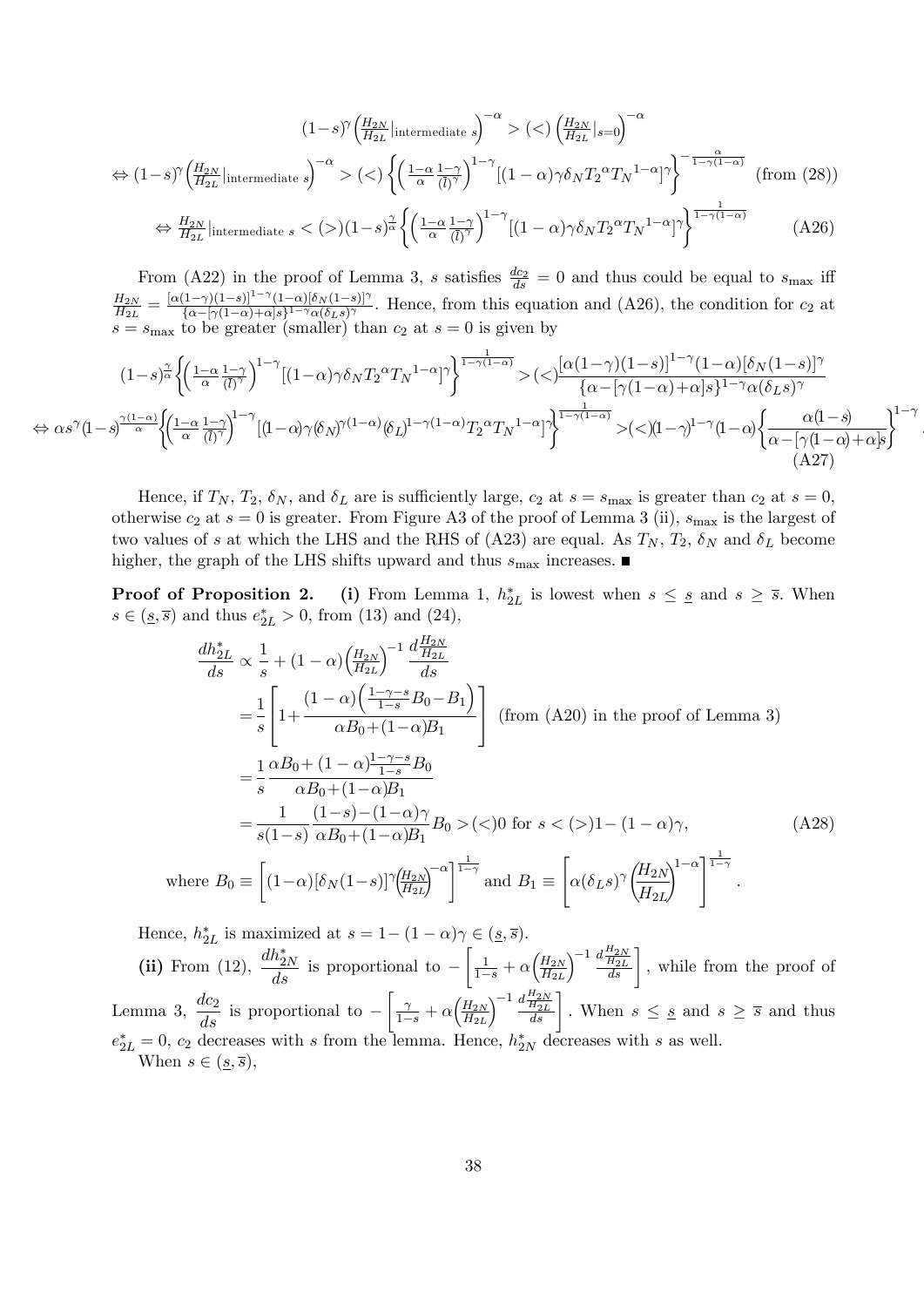$$
(1-s)^{\gamma} \left(\frac{H_{2N}}{H_{2L}}\middle|\text{intermediate }s\right)^{-\alpha} > \left(\langle\right) \left(\frac{H_{2N}}{H_{2L}}\middle|\text{ }s=0\right)^{-\alpha} \Leftrightarrow (1-s)^{\gamma} \left(\frac{H_{2N}}{H_{2L}}\middle|\text{intermediate }s\right)^{-\alpha} > \left(\langle\right) \left\{\left(\frac{1-\alpha}{\alpha}\frac{1-\gamma}{(\overline{l})^{\gamma}}\right)^{1-\gamma} \left[(1-\alpha)\gamma\delta_{N}T_{2}^{\alpha}T_{N}^{1-\alpha}\right]^{\gamma}\right\}^{-\frac{\alpha}{1-\gamma(1-\alpha)}} \quad \text{(from (28))}
$$
\n
$$
\Leftrightarrow \frac{H_{2N}}{H_{2L}}\middle|\text{intermediate }s < \left(\rangle\right)\left(1-s\right)^{\frac{\gamma}{\alpha}} \left\{\left(\frac{1-\alpha}{\alpha}\frac{1-\gamma}{(\overline{l})^{\gamma}}\right)^{1-\gamma} \left[(1-\alpha)\gamma\delta_{N}T_{2}^{\alpha}T_{N}^{1-\alpha}\right]^{\gamma}\right\}^{\frac{1}{1-\gamma(1-\alpha)}} \quad \text{(A26)}
$$

From (A22) in the proof of Lemma 3, s satisfies  $\frac{dc_2}{ds} = 0$  and thus could be equal to  $s_{\text{max}}$  iff  $_{H_{2N}}$  $\frac{H_{2N}}{H_{2L}}=\frac{[\alpha(1-\gamma)(1-s)]^{1-\gamma}(1-\alpha)[\delta_N(1-s)]^{\gamma}}{\{\alpha-[\gamma(1-\alpha)+\alpha]s\}^{1-\gamma}\alpha(\delta_L s)^{\gamma}}$  $\frac{(1-\gamma)(1-s)}{\{\alpha-(\gamma(1-\alpha)+\alpha)s\}^{1-\gamma}\alpha(\delta_L s)^\gamma}$ . Hence, from this equation and (A26), the condition for  $c_2$  at  $s = s_{\text{max}}$  to be greater (smaller) than  $c_2$  at  $s = 0$  is given by

$$
(1-s)^{\frac{\gamma}{\alpha}}\left\{\left(\frac{1-\alpha}{\alpha}\frac{1-\gamma}{(\overline{l})^{\gamma}}\right)^{1-\gamma}\left[(1-\alpha)\gamma\delta_{N}T_{2}^{\alpha}T_{N}^{1-\alpha}\right]^{\gamma}\right\}^{\frac{1}{1-\gamma(1-\alpha)}}>(<)\frac{[\alpha(1-\gamma)(1-s)]^{1-\gamma}(1-\alpha)[\delta_{N}(1-s)]^{\gamma}}{\{\alpha-[\gamma(1-\alpha)+\alpha]s\}^{1-\gamma}\alpha(\delta_{L}s)^{\gamma}}\right\}
$$

$$
\Leftrightarrow \alpha s^{\gamma}(1-s)^{\frac{\gamma(1-\alpha)}{\alpha}}\left\{\left(\frac{1-\alpha}{\alpha}\frac{1-\gamma}{(\overline{l})^{\gamma}}\right)^{1-\gamma}\left[(1-\alpha)\gamma(\delta_{N})^{\gamma(1-\alpha)}(\delta_{L})^{1-\gamma(1-\alpha)}T_{2}^{\alpha}T_{N}^{1-\alpha}\right]^{\gamma}\right\}^{\frac{1}{1-\gamma(1-\alpha)}}>(<)(1-\gamma)^{1-\gamma}(1-\alpha)\left\{\frac{\alpha(1-s)}{\alpha-(\gamma(1-\alpha)+\alpha]s}\right\}^{1-\gamma} \tag{A27}
$$

:

Hence, if  $T_N$ ,  $T_2$ ,  $\delta_N$ , and  $\delta_L$  are is sufficiently large,  $c_2$  at  $s = s_{\text{max}}$  is greater than  $c_2$  at  $s = 0$ , otherwise  $c_2$  at  $s = 0$  is greater. From Figure A3 of the proof of Lemma 3 (ii),  $s_{\text{max}}$  is the largest of two values of s at which the LHS and the RHS of (A23) are equal. As  $T_N$ ,  $T_2$ ,  $\delta_N$  and  $\delta_L$  become higher, the graph of the LHS shifts upward and thus  $s_{\text{max}}$  increases.

**Proof of Proposition 2.** (i) From Lemma 1,  $h_{2L}^*$  is lowest when  $s \leq s$  and  $s \geq \overline{s}$ . When  $s \in (\underline{s}, \overline{s})$  and thus  $e_{2L}^{*} > 0$ , from (13) and (24),

$$
\frac{dh_{2L}^{*}}{ds} \propto \frac{1}{s} + (1 - \alpha) \left(\frac{H_{2N}}{H_{2L}}\right)^{-1} \frac{d \frac{H_{2N}}{H_{2L}}}{ds}
$$
\n
$$
= \frac{1}{s} \left[ 1 + \frac{(1 - \alpha) \left(\frac{1 - \gamma - s}{1 - s} B_0 - B_1\right)}{\alpha B_0 + (1 - \alpha) B_1} \right] \text{ (from (A20) in the proof of Lemma 3)}
$$
\n
$$
= \frac{1}{s} \frac{\alpha B_0 + (1 - \alpha) \frac{1 - \gamma - s}{1 - s} B_0}{\alpha B_0 + (1 - \alpha) B_1}
$$
\n
$$
= \frac{1}{s(1 - s)} \frac{(1 - s) - (1 - \alpha)\gamma}{\alpha B_0 + (1 - \alpha) B_1} B_0 > (\alpha) \text{ for } s < (\alpha) 1 - (1 - \alpha)\gamma, \qquad \text{(A28)}
$$
\n
$$
\text{where } B_0 \equiv \left[ (1 - \alpha) [\delta_N(1 - s)]^{\gamma} \left(\frac{H_{2N}}{H_{2L}}\right)^{-\alpha} \right]^{\frac{1}{1 - \gamma}} \text{ and } B_1 \equiv \left[ \alpha (\delta_L s)^{\gamma} \left(\frac{H_{2N}}{H_{2L}}\right)^{1 - \alpha} \right]^{\frac{1}{1 - \gamma}}.
$$

Hence,  $h_{2L}^*$  is maximized at  $s = 1 - (1 - \alpha)\gamma \in (s, \overline{s}).$ (ii) From (12),  $\frac{dh_{2N}^{*}}{ds}$  is proportional to –  $\int \frac{1}{1-s} + \alpha \left( \frac{H_{2N}}{H_{2L}} \right)$  $H_{2L}$  $\left[\frac{1}{\frac{d_{2N}}{ds}}\right]$ , while from the proof of Lemma 3,  $\frac{dc_2}{ds}$  is proportional to - $\int_{1-s}^{1} + \alpha \left( \frac{H_{2N}}{H_{2L}} \right)$  $H_{2L}$  $\left(\frac{1}{\frac{H_{2N}}{ds}}\right)^{-1} \frac{d_{\frac{H_{2N}}{H_{2L}}}}{ds}\right]$ . When  $s \leq s$  and  $s \geq \overline{s}$  and thus  $e_{2L}^* = 0$ ,  $c_2$  decreases with s from the lemma. Hence,  $h_{2N}^*$  decreases with s as well. When  $s \in (s, \overline{s})$ ,